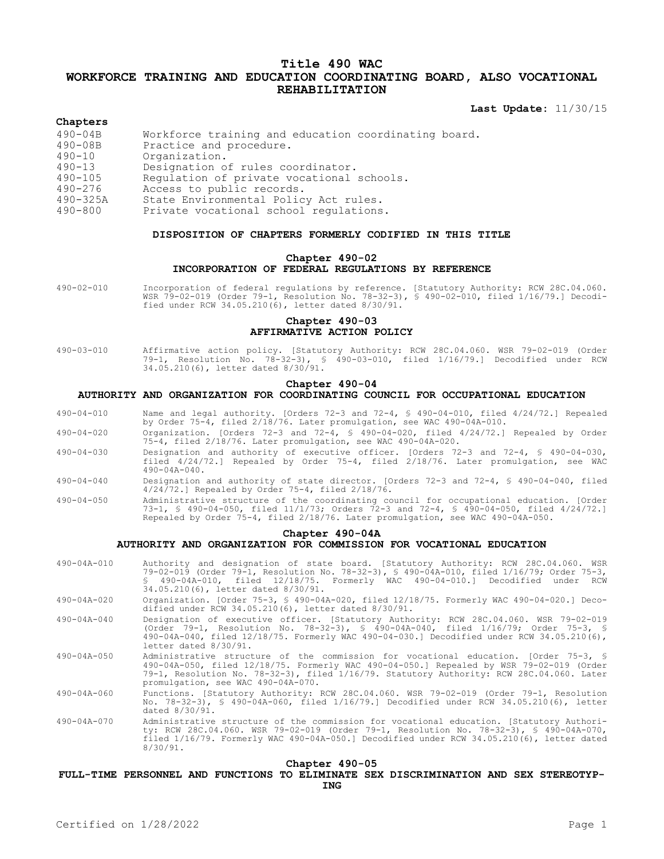# **Title 490 WAC WORKFORCE TRAINING AND EDUCATION COORDINATING BOARD, ALSO VOCATIONAL REHABILITATION**

**Last Update:** 11/30/15

#### **Chapters**

| $490 - 04B$  | Workforce training and education coordinating board. |
|--------------|------------------------------------------------------|
| $490 - 08B$  | Practice and procedure.                              |
| $490 - 10$   | Organization.                                        |
| $490 - 13$   | Designation of rules coordinator.                    |
| $490 - 105$  | Regulation of private vocational schools.            |
| $490 - 276$  | Access to public records.                            |
| $490 - 325A$ | State Environmental Policy Act rules.                |
|              |                                                      |

490-800 Private vocational school regulations.

#### **DISPOSITION OF CHAPTERS FORMERLY CODIFIED IN THIS TITLE**

## **Chapter 490-02 INCORPORATION OF FEDERAL REGULATIONS BY REFERENCE**

490-02-010 Incorporation of federal regulations by reference. [Statutory Authority: RCW 28C.04.060. WSR 79-02-019 (Order 79-1, Resolution No. 78-32-3), § 490-02-010, filed 1/16/79.] Decodified under RCW 34.05.210(6), letter dated 8/30/91.

# **Chapter 490-03 AFFIRMATIVE ACTION POLICY**

490-03-010 Affirmative action policy. [Statutory Authority: RCW 28C.04.060. WSR 79-02-019 (Order 79-1, Resolution No. 78-32-3), § 490-03-010, filed 1/16/79.] Decodified under RCW 34.05.210(6), letter dated 8/30/91.

#### **Chapter 490-04**

#### **AUTHORITY AND ORGANIZATION FOR COORDINATING COUNCIL FOR OCCUPATIONAL EDUCATION**

- 490-04-010 Name and legal authority. [Orders 72-3 and 72-4, § 490-04-010, filed 4/24/72.] Repealed by Order 75-4, filed 2/18/76. Later promulgation, see WAC 490-04A-010.
- 490-04-020 Organization. [Orders 72-3 and 72-4, § 490-04-020, filed 4/24/72.] Repealed by Order 75-4, filed 2/18/76. Later promulgation, see WAC 490-04A-020.
- 490-04-030 Designation and authority of executive officer. [Orders 72-3 and 72-4, § 490-04-030, filed 4/24/72.] Repealed by Order 75-4, filed 2/18/76. Later promulgation, see WAC 490-04A-040.
- 490-04-040 Designation and authority of state director. [Orders 72-3 and 72-4, § 490-04-040, filed 4/24/72.] Repealed by Order 75-4, filed 2/18/76.
- 490-04-050 Administrative structure of the coordinating council for occupational education. [Order 73-1, § 490-04-050, filed 11/1/73; Orders 72-3 and 72-4, § 490-04-050, filed 4/24/72.] Repealed by Order 75-4, filed 2/18/76. Later promulgation, see WAC 490-04A-050.

#### **Chapter 490-04A**

## **AUTHORITY AND ORGANIZATION FOR COMMISSION FOR VOCATIONAL EDUCATION**

- 490-04A-010 Authority and designation of state board. [Statutory Authority: RCW 28C.04.060. WSR 79-02-019 (Order 79-1, Resolution No. 78-32-3), § 490-04A-010, filed 1/16/79; Order 75-3, § 490-04A-010, filed 12/18/75. Formerly WAC 490-04-010.] Decodified under RCW 34.05.210(6), letter dated 8/30/91.
- 490-04A-020 Organization. [Order 75-3, § 490-04A-020, filed 12/18/75. Formerly WAC 490-04-020.] Decodified under RCW 34.05.210(6), letter dated 8/30/91.
- 490-04A-040 Designation of executive officer. [Statutory Authority: RCW 28C.04.060. WSR 79-02-019 (Order 79-1, Resolution No. 78-32-3), § 490-04A-040, filed 1/16/79; Order 75-3, § 490-04A-040, filed 12/18/75. Formerly WAC 490-04-030.] Decodified under RCW 34.05.210(6), letter dated 8/30/91.
- 490-04A-050 Administrative structure of the commission for vocational education. [Order 75-3, § 490-04A-050, filed 12/18/75. Formerly WAC 490-04-050.] Repealed by WSR 79-02-019 (Order 79-1, Resolution No. 78-32-3), filed 1/16/79. Statutory Authority: RCW 28C.04.060. Later promulgation, see WAC 490-04A-070.
- 490-04A-060 Functions. [Statutory Authority: RCW 28C.04.060. WSR 79-02-019 (Order 79-1, Resolution No. 78-32-3), § 490-04A-060, filed 1/16/79.] Decodified under RCW 34.05.210(6), letter dated 8/30/91.
- 490-04A-070 Administrative structure of the commission for vocational education. [Statutory Authority: RCW 28C.04.060. WSR 79-02-019 (Order 79-1, Resolution No. 78-32-3), § 490-04A-070, filed 1/16/79. Formerly WAC 490-04A-050.] Decodified under RCW 34.05.210(6), letter dated 8/30/91.

#### **Chapter 490-05**

#### **FULL-TIME PERSONNEL AND FUNCTIONS TO ELIMINATE SEX DISCRIMINATION AND SEX STEREOTYP-ING**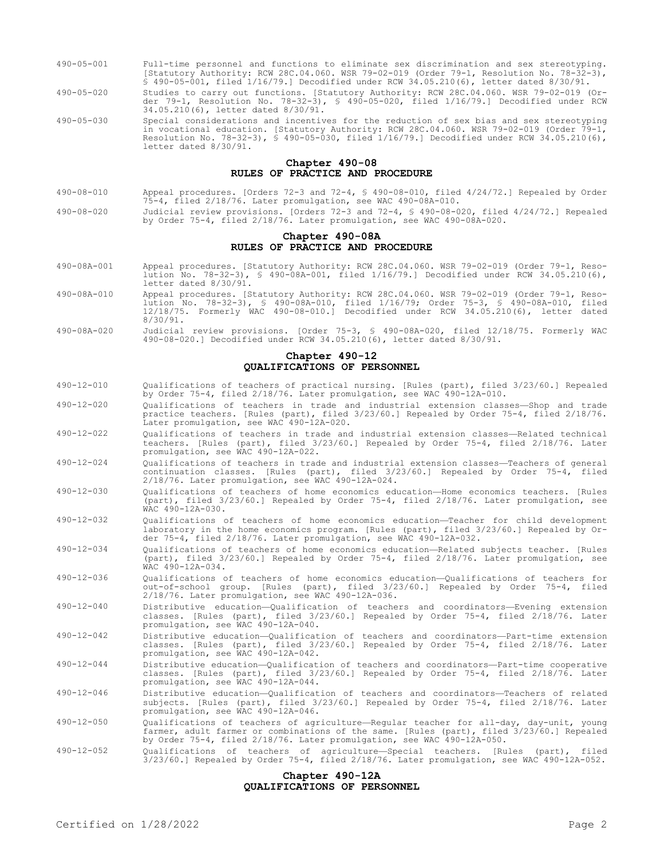- 490-05-001 Full-time personnel and functions to eliminate sex discrimination and sex stereotyping. [Statutory Authority: RCW 28C.04.060. WSR 79-02-019 (Order 79-1, Resolution No. 78-32-3), § 490-05-001, filed 1/16/79.] Decodified under RCW 34.05.210(6), letter dated 8/30/91.
- 490-05-020 Studies to carry out functions. [Statutory Authority: RCW 28C.04.060. WSR 79-02-019 (Order 79-1, Resolution No. 78-32-3), § 490-05-020, filed 1/16/79.] Decodified under RCW 34.05.210(6), letter dated 8/30/91.
- 490-05-030 Special considerations and incentives for the reduction of sex bias and sex stereotyping in vocational education. [Statutory Authority: RCW 28C.04.060. WSR 79-02-019 (Order 79-1, Resolution No. 78-32-3), § 490-05-030, filed 1/16/79.] Decodified under RCW 34.05.210(6), letter dated 8/30/91.

#### **Chapter 490-08 RULES OF PRACTICE AND PROCEDURE**

- 490-08-010 Appeal procedures. [Orders 72-3 and 72-4, § 490-08-010, filed 4/24/72.] Repealed by Order 75-4, filed 2/18/76. Later promulgation, see WAC 490-08A-010.
- 490-08-020 Judicial review provisions. [Orders 72-3 and 72-4, § 490-08-020, filed 4/24/72.] Repealed by Order 75-4, filed 2/18/76. Later promulgation, see WAC 490-08A-020.

## **Chapter 490-08A RULES OF PRACTICE AND PROCEDURE**

- 490-08A-001 Appeal procedures. [Statutory Authority: RCW 28C.04.060. WSR 79-02-019 (Order 79-1, Resolution No. 78-32-3), § 490-08A-001, filed 1/16/79.] Decodified under RCW 34.05.210(6), letter dated 8/30/91.
- 490-08A-010 Appeal procedures. [Statutory Authority: RCW 28C.04.060. WSR 79-02-019 (Order 79-1, Resolution No. 78-32-3), § 490-08A-010, filed 1/16/79; Order 75-3, § 490-08A-010, filed 12/18/75. Formerly WAC 490-08-010.] Decodified under RCW 34.05.210(6), letter dated 8/30/91.
- 490-08A-020 Judicial review provisions. [Order 75-3, § 490-08A-020, filed 12/18/75. Formerly WAC 490-08-020.] Decodified under RCW 34.05.210(6), letter dated 8/30/91.

### **Chapter 490-12 QUALIFICATIONS OF PERSONNEL**

- 490-12-010 Qualifications of teachers of practical nursing. [Rules (part), filed 3/23/60.] Repealed by Order 75-4, filed 2/18/76. Later promulgation, see WAC 490-12A-010.
- 490-12-020 Qualifications of teachers in trade and industrial extension classes—Shop and trade practice teachers. [Rules (part), filed 3/23/60.] Repealed by Order 75-4, filed 2/18/76. Later promulgation, see WAC 490-12A-020.
- 490-12-022 Qualifications of teachers in trade and industrial extension classes—Related technical teachers. [Rules (part), filed 3/23/60.] Repealed by Order 75-4, filed 2/18/76. Later promulgation, see WAC 490-12A-022.
- 490-12-024 Qualifications of teachers in trade and industrial extension classes—Teachers of general continuation classes. [Rules (part), filed 3/23/60.] Repealed by Order 75-4, filed 2/18/76. Later promulgation, see WAC 490-12A-024.
- 490-12-030 Qualifications of teachers of home economics education—Home economics teachers. [Rules (part), filed 3/23/60.] Repealed by Order 75-4, filed 2/18/76. Later promulgation, see WAC 490-12A-030.
- 490-12-032 Qualifications of teachers of home economics education—Teacher for child development laboratory in the home economics program. [Rules (part), filed 3/23/60.] Repealed by Order 75-4, filed 2/18/76. Later promulgation, see WAC 490-12A-032.
- 490-12-034 Qualifications of teachers of home economics education—Related subjects teacher. [Rules (part), filed 3/23/60.] Repealed by Order 75-4, filed 2/18/76. Later promulgation, see WAC 490-12A-034.
- 490-12-036 Qualifications of teachers of home economics education—Qualifications of teachers for out-of-school group. [Rules (part), filed 3/23/60.] Repealed by Order 75-4, filed 2/18/76. Later promulgation, see WAC 490-12A-036.
- 490-12-040 Distributive education—Qualification of teachers and coordinators—Evening extension classes. [Rules (part), filed 3/23/60.] Repealed by Order 75-4, filed 2/18/76. Later promulgation, see WAC 490-12A-040.
- 490-12-042 Distributive education—Qualification of teachers and coordinators—Part-time extension classes. [Rules (part), filed 3/23/60.] Repealed by Order 75-4, filed 2/18/76. Later promulgation, see WAC 490-12A-042.
- 490-12-044 Distributive education—Qualification of teachers and coordinators—Part-time cooperative classes. [Rules (part), filed 3/23/60.] Repealed by Order 75-4, filed 2/18/76. Later promulgation, see WAC 490-12A-044.
- 490-12-046 Distributive education—Qualification of teachers and coordinators—Teachers of related subjects. [Rules (part), filed 3/23/60.] Repealed by Order 75-4, filed 2/18/76. Later promulgation, see WAC 490-12A-046.
- 490-12-050 Qualifications of teachers of agriculture—Regular teacher for all-day, day-unit, young farmer, adult farmer or combinations of the same. [Rules (part), filed 3/23/60.] Repealed by Order 75-4, filed 2/18/76. Later promulgation, see WAC 490-12A-050.
- 490-12-052 Qualifications of teachers of agriculture—Special teachers. [Rules (part), filed 3/23/60.] Repealed by Order 75-4, filed 2/18/76. Later promulgation, see WAC 490-12A-052.

#### **Chapter 490-12A QUALIFICATIONS OF PERSONNEL**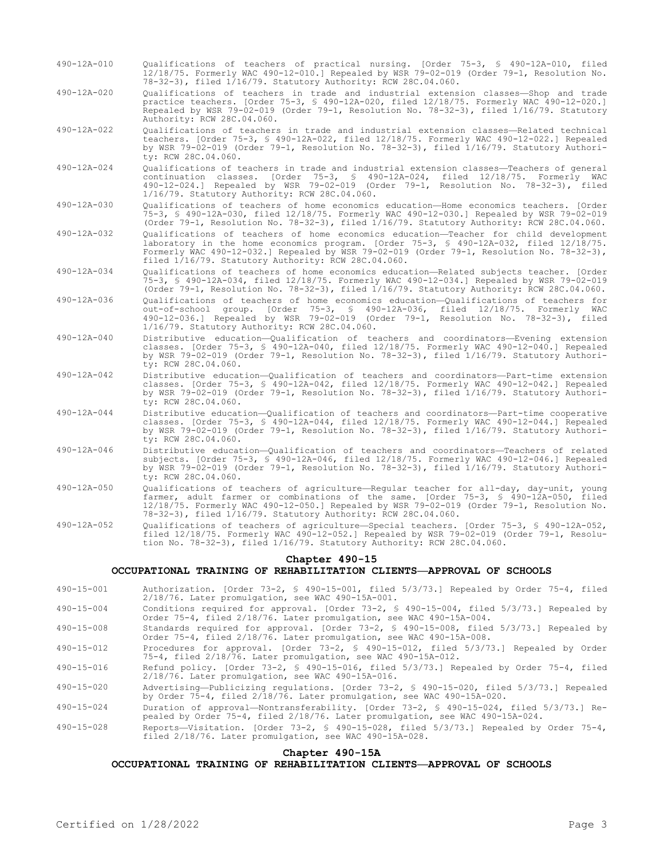- 490-12A-010 Qualifications of teachers of practical nursing. [Order 75-3, § 490-12A-010, filed 12/18/75. Formerly WAC 490-12-010.] Repealed by WSR 79-02-019 (Order 79-1, Resolution No. 78-32-3), filed 1/16/79. Statutory Authority: RCW 28C.04.060.
- 490-12A-020 Qualifications of teachers in trade and industrial extension classes—Shop and trade practice teachers. [Order 75-3, § 490-12A-020, filed 12/18/75. Formerly WAC 490-12-020.] Repealed by WSR 79-02-019 (Order 79-1, Resolution No. 78-32-3), filed 1/16/79. Statutory Authority: RCW 28C.04.060.
- 490-12A-022 Qualifications of teachers in trade and industrial extension classes—Related technical teachers. [Order 75-3, § 490-12A-022, filed 12/18/75. Formerly WAC 490-12-022.] Repealed by WSR 79-02-019 (Order 79-1, Resolution No. 78-32-3), filed 1/16/79. Statutory Authority: RCW 28C.04.060.
- 490-12A-024 Qualifications of teachers in trade and industrial extension classes—Teachers of general continuation classes. [Order 75-3, § 490-12A-024, filed 12/18/75. Formerly WAC 490-12-024.] Repealed by WSR 79-02-019 (Order 79-1, Resolution No. 78-32-3), filed 1/16/79. Statutory Authority: RCW 28C.04.060.
- 490-12A-030 Qualifications of teachers of home economics education—Home economics teachers. [Order 75-3, § 490-12A-030, filed 12/18/75. Formerly WAC 490-12-030.] Repealed by WSR 79-02-019 (Order 79-1, Resolution No. 78-32-3), filed 1/16/79. Statutory Authority: RCW 28C.04.060.
- 490-12A-032 Qualifications of teachers of home economics education—Teacher for child development laboratory in the home economics program. [Order 75-3, § 490-12A-032, filed 12/18/75. Formerly WAC 490-12-032.] Repealed by WSR 79-02-019 (Order 79-1, Resolution No. 78-32-3), filed 1/16/79. Statutory Authority: RCW 28C.04.060.
- 490-12A-034 Qualifications of teachers of home economics education—Related subjects teacher. [Order 75-3, § 490-12A-034, filed 12/18/75. Formerly WAC 490-12-034.] Repealed by WSR 79-02-019 (Order 79-1, Resolution No. 78-32-3), filed 1/16/79. Statutory Authority: RCW 28C.04.060.
- 490-12A-036 Qualifications of teachers of home economics education—Qualifications of teachers for out-of-school group. [Order 75-3, § 490-12A-036, filed 12/18/75. Formerly WAC 490-12-036.] Repealed by WSR 79-02-019 (Order 79-1, Resolution No. 78-32-3), filed 1/16/79. Statutory Authority: RCW 28C.04.060.
- 490-12A-040 Distributive education—Qualification of teachers and coordinators—Evening extension classes. [Order 75-3, § 490-12A-040, filed 12/18/75. Formerly WAC 490-12-040.] Repealed by WSR 79-02-019 (Order 79-1, Resolution No. 78-32-3), filed 1/16/79. Statutory Authority: RCW 28C.04.060.
- 490-12A-042 Distributive education—Qualification of teachers and coordinators—Part-time extension classes. [Order 75-3, § 490-12A-042, filed 12/18/75. Formerly WAC 490-12-042.] Repealed by WSR 79-02-019 (Order 79-1, Resolution No. 78-32-3), filed 1/16/79. Statutory Authority: RCW 28C.04.060.
- 490-12A-044 Distributive education—Qualification of teachers and coordinators—Part-time cooperative classes. [Order 75-3, § 490-12A-044, filed 12/18/75. Formerly WAC 490-12-044.] Repealed by WSR 79-02-019 (Order 79-1, Resolution No. 78-32-3), filed 1/16/79. Statutory Authority: RCW 28C.04.060.
- 490-12A-046 Distributive education—Qualification of teachers and coordinators—Teachers of related subjects. [Order 75-3, § 490-12A-046, filed 12/18/75. Formerly WAC 490-12-046.] Repealed by WSR 79-02-019 (Order 79-1, Resolution No. 78-32-3), filed 1/16/79. Statutory Authority: RCW 28C.04.060.
- 490-12A-050 Qualifications of teachers of agriculture—Regular teacher for all-day, day-unit, young farmer, adult farmer or combinations of the same. [Order 75-3, § 490-12A-050, filed 12/18/75. Formerly WAC 490-12-050.] Repealed by WSR 79-02-019 (Order 79-1, Resolution No. 78-32-3), filed 1/16/79. Statutory Authority: RCW 28C.04.060.
- 490-12A-052 Qualifications of teachers of agriculture—Special teachers. [Order 75-3, § 490-12A-052, filed 12/18/75. Formerly WAC 490-12-052.] Repealed by WSR 79-02-019 (Order 79-1, Resolution No. 78-32-3), filed 1/16/79. Statutory Authority: RCW 28C.04.060.

#### **Chapter 490-15**

## **OCCUPATIONAL TRAINING OF REHABILITATION CLIENTS—APPROVAL OF SCHOOLS**

- 490-15-001 Authorization. [Order 73-2, § 490-15-001, filed 5/3/73.] Repealed by Order 75-4, filed 2/18/76. Later promulgation, see WAC 490-15A-001.
- 490-15-004 Conditions required for approval. [Order 73-2, § 490-15-004, filed 5/3/73.] Repealed by Order 75-4, filed 2/18/76. Later promulgation, see WAC 490-15A-004.
- 490-15-008 Standards required for approval. [Order 73-2, § 490-15-008, filed 5/3/73.] Repealed by Order 75-4, filed 2/18/76. Later promulgation, see WAC 490-15A-008.
- 490-15-012 Procedures for approval. [Order 73-2, § 490-15-012, filed 5/3/73.] Repealed by Order 75-4, filed 2/18/76. Later promulgation, see WAC 490-15A-012.
- 490-15-016 Refund policy. [Order 73-2, § 490-15-016, filed 5/3/73.] Repealed by Order 75-4, filed 2/18/76. Later promulgation, see WAC 490-15A-016.
- 490-15-020 Advertising—Publicizing regulations. [Order 73-2, § 490-15-020, filed 5/3/73.] Repealed by Order 75-4, filed 2/18/76. Later promulgation, see WAC 490-15A-020.
- 490-15-024 Duration of approval—Nontransferability. [Order 73-2, § 490-15-024, filed 5/3/73.] Repealed by Order 75-4, filed 2/18/76. Later promulgation, see WAC 490-15A-024.
- 490-15-028 Reports—Visitation. [Order 73-2, § 490-15-028, filed 5/3/73.] Repealed by Order 75-4, filed 2/18/76. Later promulgation, see WAC 490-15A-028.

#### **Chapter 490-15A**

## **OCCUPATIONAL TRAINING OF REHABILITATION CLIENTS—APPROVAL OF SCHOOLS**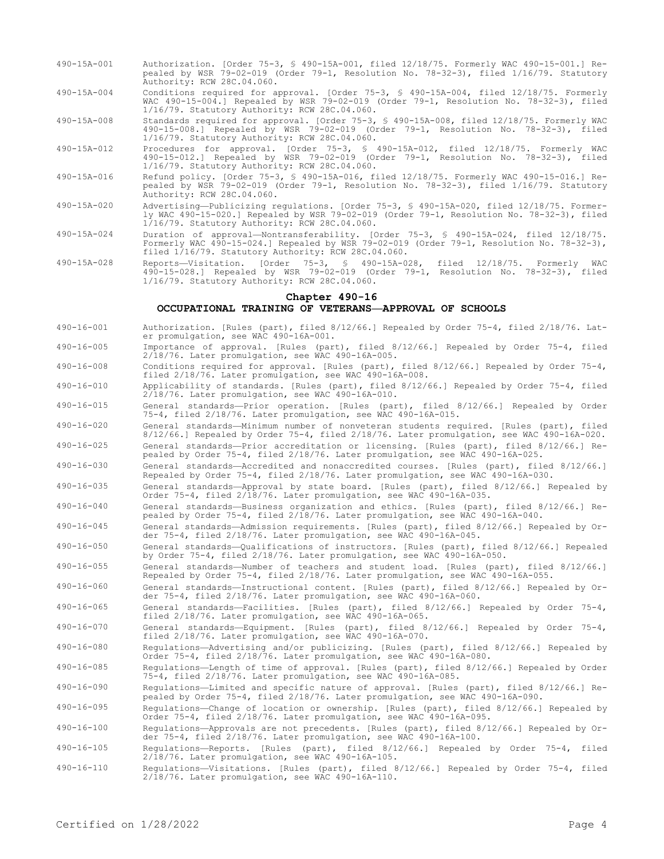- 490-15A-001 Authorization. [Order 75-3, § 490-15A-001, filed 12/18/75. Formerly WAC 490-15-001.] Repealed by WSR 79-02-019 (Order 79-1, Resolution No. 78-32-3), filed 1/16/79. Statutory Authority: RCW 28C.04.060.
- 490-15A-004 Conditions required for approval. [Order 75-3, § 490-15A-004, filed 12/18/75. Formerly WAC 490-15-004.] Repealed by WSR 79-02-019 (Order 79-1, Resolution No. 78-32-3), filed 1/16/79. Statutory Authority: RCW 28C.04.060.

490-15A-008 Standards required for approval. [Order 75-3, § 490-15A-008, filed 12/18/75. Formerly WAC 490-15-008.] Repealed by WSR 79-02-019 (Order 79-1, Resolution No. 78-32-3), filed 1/16/79. Statutory Authority: RCW 28C.04.060.

490-15A-012 Procedures for approval. [Order 75-3, § 490-15A-012, filed 12/18/75. Formerly WAC 490-15-012.] Repealed by WSR 79-02-019 (Order 79-1, Resolution No. 78-32-3), filed 1/16/79. Statutory Authority: RCW 28C.04.060.

- 490-15A-016 Refund policy. [Order 75-3, § 490-15A-016, filed 12/18/75. Formerly WAC 490-15-016.] Repealed by WSR 79-02-019 (Order 79-1, Resolution No. 78-32-3), filed 1/16/79. Statutory Authority: RCW 28C.04.060.
- 490-15A-020 Advertising—Publicizing regulations. [Order 75-3, § 490-15A-020, filed 12/18/75. Formerly WAC 490-15-020.] Repealed by WSR 79-02-019 (Order 79-1, Resolution No. 78-32-3), filed 1/16/79. Statutory Authority: RCW 28C.04.060.
- 490-15A-024 Duration of approval—Nontransferability. [Order 75-3, § 490-15A-024, filed 12/18/75. Formerly WAC 490-15-024.] Repealed by WSR 79-02-019 (Order 79-1, Resolution No. 78-32-3), filed 1/16/79. Statutory Authority: RCW 28C.04.060.
- 490-15A-028 Reports—Visitation. [Order 75-3, § 490-15A-028, filed 12/18/75. Formerly WAC 490-15-028.] Repealed by WSR 79-02-019 (Order 79-1, Resolution No. 78-32-3), filed 1/16/79. Statutory Authority: RCW 28C.04.060.

#### **Chapter 490-16**

## **OCCUPATIONAL TRAINING OF VETERANS—APPROVAL OF SCHOOLS**

- 490-16-001 Authorization. [Rules (part), filed 8/12/66.] Repealed by Order 75-4, filed 2/18/76. Later promulgation, see WAC 490-16A-001.
- 490-16-005 Importance of approval. [Rules (part), filed 8/12/66.] Repealed by Order 75-4, filed 2/18/76. Later promulgation, see WAC 490-16A-005.
- 490-16-008 Conditions required for approval. [Rules (part), filed 8/12/66.] Repealed by Order 75-4, filed 2/18/76. Later promulgation, see WAC 490-16A-008.
- 490-16-010 Applicability of standards. [Rules (part), filed 8/12/66.] Repealed by Order 75-4, filed 2/18/76. Later promulgation, see WAC 490-16A-010.
- 490-16-015 General standards—Prior operation. [Rules (part), filed 8/12/66.] Repealed by Order 75-4, filed 2/18/76. Later promulgation, see WAC 490-16A-015.

490-16-020 General standards—Minimum number of nonveteran students required. [Rules (part), filed 8/12/66.] Repealed by Order 75-4, filed 2/18/76. Later promulgation, see WAC 490-16A-020. 490-16-025 General standards—Prior accreditation or licensing. [Rules (part), filed 8/12/66.] Re-

pealed by Order 75-4, filed 2/18/76. Later promulgation, see WAC 490-16A-025. 490-16-030 General standards—Accredited and nonaccredited courses. [Rules (part), filed 8/12/66.]

Repealed by Order 75-4, filed 2/18/76. Later promulgation, see WAC 490-16A-030. 490-16-035 General standards—Approval by state board. [Rules (part), filed 8/12/66.] Repealed by

- Order 75-4, filed 2/18/76. Later promulgation, see WAC 490-16A-035.
- 490-16-040 General standards—Business organization and ethics. [Rules (part), filed 8/12/66.] Repealed by Order 75-4, filed 2/18/76. Later promulgation, see WAC 490-16A-040.
- 490-16-045 General standards—Admission requirements. [Rules (part), filed 8/12/66.] Repealed by Order 75-4, filed 2/18/76. Later promulgation, see WAC 490-16A-045.
- 490-16-050 General standards—Qualifications of instructors. [Rules (part), filed 8/12/66.] Repealed by Order 75-4, filed 2/18/76. Later promulgation, see WAC 490-16A-050.
- 490-16-055 General standards—Number of teachers and student load. [Rules (part), filed 8/12/66.] Repealed by Order 75-4, filed 2/18/76. Later promulgation, see WAC 490-16A-055.

490-16-060 General standards—Instructional content. [Rules (part), filed 8/12/66.] Repealed by Order 75-4, filed 2/18/76. Later promulgation, see WAC 490-16A-060.

490-16-065 General standards—Facilities. [Rules (part), filed 8/12/66.] Repealed by Order 75-4, filed 2/18/76. Later promulgation, see WAC 490-16A-065.

490-16-070 General standards—Equipment. [Rules (part), filed 8/12/66.] Repealed by Order 75-4, filed 2/18/76. Later promulgation, see WAC 490-16A-070.

490-16-080 Regulations—Advertising and/or publicizing. [Rules (part), filed 8/12/66.] Repealed by Order 75-4, filed 2/18/76. Later promulgation, see WAC 490-16A-080.

490-16-085 Regulations—Length of time of approval. [Rules (part), filed 8/12/66.] Repealed by Order 75-4, filed 2/18/76. Later promulgation, see WAC 490-16A-085.

490-16-090 Regulations—Limited and specific nature of approval. [Rules (part), filed 8/12/66.] Repealed by Order 75-4, filed 2/18/76. Later promulgation, see WAC 490-16A-090.

490-16-095 Regulations—Change of location or ownership. [Rules (part), filed 8/12/66.] Repealed by Order 75-4, filed 2/18/76. Later promulgation, see WAC 490-16A-095.

490-16-100 Regulations—Approvals are not precedents. [Rules (part), filed 8/12/66.] Repealed by Order 75-4, filed 2/18/76. Later promulgation, see WAC 490-16A-100.

490-16-105 Regulations—Reports. [Rules (part), filed 8/12/66.] Repealed by Order 75-4, filed 2/18/76. Later promulgation, see WAC 490-16A-105.

490-16-110 Regulations—Visitations. [Rules (part), filed 8/12/66.] Repealed by Order 75-4, filed 2/18/76. Later promulgation, see WAC 490-16A-110.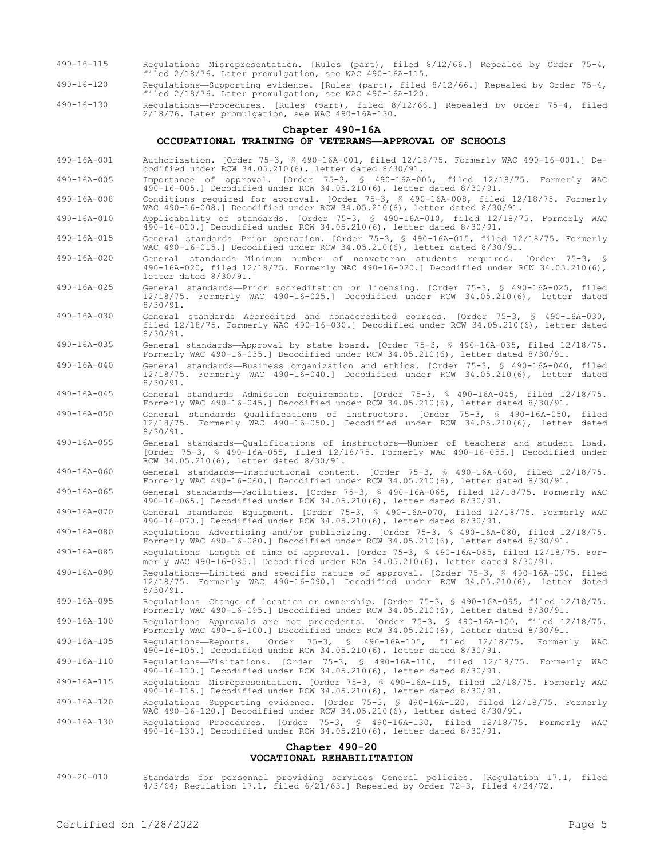- 490-16-115 Regulations—Misrepresentation. [Rules (part), filed 8/12/66.] Repealed by Order 75-4, filed 2/18/76. Later promulgation, see WAC 490-16A-115.
- 490-16-120 Regulations—Supporting evidence. [Rules (part), filed 8/12/66.] Repealed by Order 75-4, filed 2/18/76. Later promulgation, see WAC 490-16A-120.
- 490-16-130 Regulations—Procedures. [Rules (part), filed 8/12/66.] Repealed by Order 75-4, filed 2/18/76. Later promulgation, see WAC 490-16A-130.

#### **Chapter 490-16A OCCUPATIONAL TRAINING OF VETERANS—APPROVAL OF SCHOOLS**

- 490-16A-001 Authorization. [Order 75-3, § 490-16A-001, filed 12/18/75. Formerly WAC 490-16-001.] Decodified under RCW 34.05.210(6), letter dated 8/30/91. 490-16A-005 Importance of approval. [Order 75-3, § 490-16A-005, filed 12/18/75. Formerly WAC
- 490-16-005.] Decodified under RCW 34.05.210(6), letter dated 8/30/91. 490-16A-008 Conditions required for approval. [Order 75-3, § 490-16A-008, filed 12/18/75. Formerly
- WAC 490-16-008.] Decodified under RCW 34.05.210(6), letter dated 8/30/91.
- 490-16A-010 Applicability of standards. [Order 75-3, § 490-16A-010, filed 12/18/75. Formerly WAC 490-16-010.] Decodified under RCW 34.05.210(6), letter dated 8/30/91.
- 490-16A-015 General standards—Prior operation. [Order 75-3, § 490-16A-015, filed 12/18/75. Formerly WAC 490-16-015.] Decodified under RCW 34.05.210(6), letter dated 8/30/91.
- 490-16A-020 General standards—Minimum number of nonveteran students required. [Order 75-3, § 490-16A-020, filed 12/18/75. Formerly WAC 490-16-020.] Decodified under RCW 34.05.210(6), letter dated 8/30/91.
- 490-16A-025 General standards—Prior accreditation or licensing. [Order 75-3, § 490-16A-025, filed 12/18/75. Formerly WAC 490-16-025.] Decodified under RCW 34.05.210(6), letter dated 8/30/91.
- 490-16A-030 General standards—Accredited and nonaccredited courses. [Order 75-3, § 490-16A-030, filed 12/18/75. Formerly WAC 490-16-030.] Decodified under RCW 34.05.210(6), letter dated 8/30/91.
- 490-16A-035 General standards—Approval by state board. [Order 75-3, § 490-16A-035, filed 12/18/75. Formerly WAC 490-16-035.] Decodified under RCW 34.05.210(6), letter dated 8/30/91.
- 490-16A-040 General standards—Business organization and ethics. [Order 75-3, § 490-16A-040, filed 12/18/75. Formerly WAC 490-16-040.] Decodified under RCW 34.05.210(6), letter dated 8/30/91.
- 490-16A-045 General standards—Admission requirements. [Order 75-3, § 490-16A-045, filed 12/18/75. Formerly WAC 490-16-045.] Decodified under RCW 34.05.210(6), letter dated 8/30/91.
- 490-16A-050 General standards—Qualifications of instructors. [Order 75-3, § 490-16A-050, filed 12/18/75. Formerly WAC 490-16-050.] Decodified under RCW 34.05.210(6), letter dated 8/30/91.
- 490-16A-055 General standards—Qualifications of instructors—Number of teachers and student load. [Order 75-3, § 490-16A-055, filed 12/18/75. Formerly WAC 490-16-055.] Decodified under RCW 34.05.210(6), letter dated 8/30/91.
- 490-16A-060 General standards—Instructional content. [Order 75-3, § 490-16A-060, filed 12/18/75. Formerly WAC 490-16-060.] Decodified under RCW 34.05.210(6), letter dated 8/30/91.
- 490-16A-065 General standards—Facilities. [Order 75-3, § 490-16A-065, filed 12/18/75. Formerly WAC 490-16-065.] Decodified under RCW 34.05.210(6), letter dated 8/30/91.
- 490-16A-070 General standards—Equipment. [Order 75-3, § 490-16A-070, filed 12/18/75. Formerly WAC 490-16-070.] Decodified under RCW 34.05.210(6), letter dated 8/30/91.
- 490-16A-080 Regulations—Advertising and/or publicizing. [Order 75-3, § 490-16A-080, filed 12/18/75. Formerly WAC 490-16-080.] Decodified under RCW 34.05.210(6), letter dated 8/30/91.
- 490-16A-085 Regulations—Length of time of approval. [Order 75-3, § 490-16A-085, filed 12/18/75. Formerly WAC 490-16-085.] Decodified under RCW 34.05.210(6), letter dated 8/30/91.
- 490-16A-090 Regulations—Limited and specific nature of approval. [Order 75-3, § 490-16A-090, filed 12/18/75. Formerly WAC 490-16-090.] Decodified under RCW 34.05.210(6), letter dated 8/30/91.
- 490-16A-095 Regulations—Change of location or ownership. [Order 75-3, § 490-16A-095, filed 12/18/75. Formerly WAC 490-16-095.] Decodified under RCW 34.05.210(6), letter dated 8/30/91.
- 490-16A-100 Regulations—Approvals are not precedents. [Order 75-3, § 490-16A-100, filed 12/18/75. Formerly WAC 490-16-100.] Decodified under RCW 34.05.210(6), letter dated 8/30/91.
- 490-16A-105 Regulations—Reports. [Order 75-3, § 490-16A-105, filed 12/18/75. Formerly WAC 490-16-105.] Decodified under RCW 34.05.210(6), letter dated 8/30/91.
- 490-16A-110 Regulations—Visitations. [Order 75-3, § 490-16A-110, filed 12/18/75. Formerly WAC 490-16-110.] Decodified under RCW 34.05.210(6), letter dated 8/30/91.
- 490-16A-115 Regulations—Misrepresentation. [Order 75-3, § 490-16A-115, filed 12/18/75. Formerly WAC 490-16-115.] Decodified under RCW 34.05.210(6), letter dated 8/30/91.
- 490-16A-120 Regulations—Supporting evidence. [Order 75-3, § 490-16A-120, filed 12/18/75. Formerly WAC 490-16-120.] Decodified under RCW 34.05.210(6), letter dated 8/30/91.
- 490-16A-130 Regulations—Procedures. [Order 75-3, § 490-16A-130, filed 12/18/75. Formerly WAC 490-16-130.] Decodified under RCW 34.05.210(6), letter dated 8/30/91.

## **Chapter 490-20 VOCATIONAL REHABILITATION**

490-20-010 Standards for personnel providing services—General policies. [Regulation 17.1, filed 4/3/64; Regulation 17.1, filed 6/21/63.] Repealed by Order 72-3, filed 4/24/72.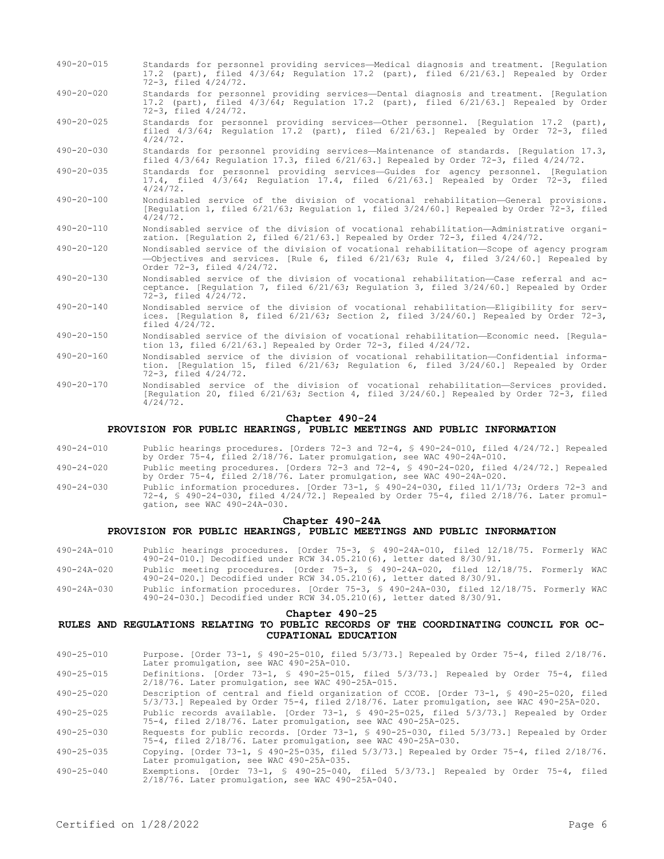- 490-20-015 Standards for personnel providing services—Medical diagnosis and treatment. [Regulation 17.2 (part), filed 4/3/64; Regulation 17.2 (part), filed 6/21/63.] Repealed by Order 72-3, filed 4/24/72.
- 490-20-020 Standards for personnel providing services—Dental diagnosis and treatment. [Regulation 17.2 (part), filed 4/3/64; Regulation 17.2 (part), filed 6/21/63.] Repealed by Order 72-3, filed 4/24/72.
- 490-20-025 Standards for personnel providing services—Other personnel. [Regulation 17.2 (part), filed 4/3/64; Regulation 17.2 (part), filed 6/21/63.] Repealed by Order 72-3, filed 4/24/72.
- 490-20-030 Standards for personnel providing services—Maintenance of standards. [Regulation 17.3, filed 4/3/64; Regulation 17.3, filed 6/21/63.] Repealed by Order 72-3, filed 4/24/72. filed 4/3/64; Regulation 17.3, filed 6/21/63.] Repealed by Order 72-3, filed 4/24/72.
- 490-20-035 Standards for personnel providing services—Guides for agency personnel. [Regulation 17.4, filed 4/3/64; Regulation 17.4, filed 6/21/63.] Repealed by Order 72-3, filed 4/24/72.
- 490-20-100 Nondisabled service of the division of vocational rehabilitation—General provisions. [Regulation 1, filed 6/21/63; Regulation 1, filed 3/24/60.] Repealed by Order 72-3, filed 4/24/72.
- 490-20-110 Nondisabled service of the division of vocational rehabilitation—Administrative organization. [Regulation 2, filed 6/21/63.] Repealed by Order 72-3, filed 4/24/72.
- 490-20-120 Nondisabled service of the division of vocational rehabilitation—Scope of agency program —Objectives and services. [Rule 6, filed 6/21/63; Rule 4, filed 3/24/60.] Repealed by Order 72-3, filed 4/24/72.
- 490-20-130 Nondisabled service of the division of vocational rehabilitation—Case referral and acceptance. [Regulation 7, filed 6/21/63; Regulation 3, filed 3/24/60.] Repealed by Order 72-3, filed 4/24/72.
- 490-20-140 Nondisabled service of the division of vocational rehabilitation—Eligibility for services. [Regulation 8, filed 6/21/63; Section 2, filed 3/24/60.] Repealed by Order 72-3, filed 4/24/72.
- 490-20-150 Nondisabled service of the division of vocational rehabilitation—Economic need. [Regulation 13, filed 6/21/63.] Repealed by Order 72-3, filed 4/24/72.
- 490-20-160 Nondisabled service of the division of vocational rehabilitation—Confidential information. [Regulation 15, filed 6/21/63; Regulation 6, filed 3/24/60.] Repealed by Order 72-3, filed 4/24/72.
- 490-20-170 Nondisabled service of the division of vocational rehabilitation—Services provided. [Regulation 20, filed 6/21/63; Section 4, filed 3/24/60.] Repealed by Order 72-3, filed 4/24/72.

## **Chapter 490-24**

## **PROVISION FOR PUBLIC HEARINGS, PUBLIC MEETINGS AND PUBLIC INFORMATION**

- 490-24-010 Public hearings procedures. [Orders 72-3 and 72-4, § 490-24-010, filed 4/24/72.] Repealed by Order 75-4, filed 2/18/76. Later promulgation, see WAC 490-24A-010.
- 490-24-020 Public meeting procedures. [Orders 72-3 and 72-4, § 490-24-020, filed 4/24/72.] Repealed by Order 75-4, filed 2/18/76. Later promulgation, see WAC 490-24A-020.
- 490-24-030 Public information procedures. [Order 73-1, § 490-24-030, filed 11/1/73; Orders 72-3 and 72-4, § 490-24-030, filed 4/24/72.] Repealed by Order 75-4, filed 2/18/76. Later promulgation, see WAC 490-24A-030.

#### **Chapter 490-24A**

#### **PROVISION FOR PUBLIC HEARINGS, PUBLIC MEETINGS AND PUBLIC INFORMATION**

- 490-24A-010 Public hearings procedures. [Order 75-3, § 490-24A-010, filed 12/18/75. Formerly WAC 490-24-010.] Decodified under RCW 34.05.210(6), letter dated 8/30/91.
- 490-24A-020 Public meeting procedures. [Order 75-3, § 490-24A-020, filed 12/18/75. Formerly WAC 490-24-020.] Decodified under RCW 34.05.210(6), letter dated 8/30/91.
- 490-24A-030 Public information procedures. [Order 75-3, § 490-24A-030, filed 12/18/75. Formerly WAC 490-24-030.] Decodified under RCW 34.05.210(6), letter dated 8/30/91.

#### **Chapter 490-25**

# **RULES AND REGULATIONS RELATING TO PUBLIC RECORDS OF THE COORDINATING COUNCIL FOR OC-CUPATIONAL EDUCATION**

- 490-25-010 Purpose. [Order 73-1, § 490-25-010, filed 5/3/73.] Repealed by Order 75-4, filed 2/18/76. Later promulgation, see WAC 490-25A-010.
- 490-25-015 Definitions. [Order 73-1, § 490-25-015, filed 5/3/73.] Repealed by Order 75-4, filed 2/18/76. Later promulgation, see WAC 490-25A-015.

490-25-020 Description of central and field organization of CCOE. [Order 73-1, § 490-25-020, filed 5/3/73.] Repealed by Order 75-4, filed 2/18/76. Later promulgation, see WAC 490-25A-020.

490-25-025 Public records available. [Order 73-1, § 490-25-025, filed 5/3/73.] Repealed by Order 75-4, filed 2/18/76. Later promulgation, see WAC 490-25A-025.

490-25-030 Requests for public records. [Order 73-1, § 490-25-030, filed 5/3/73.] Repealed by Order 75-4, filed 2/18/76. Later promulgation, see WAC 490-25A-030.

490-25-035 Copying. [Order 73-1, § 490-25-035, filed 5/3/73.] Repealed by Order 75-4, filed 2/18/76. Later promulgation, see WAC 490-25A-035.

490-25-040 Exemptions. [Order 73-1, § 490-25-040, filed 5/3/73.] Repealed by Order 75-4, filed 2/18/76. Later promulgation, see WAC 490-25A-040.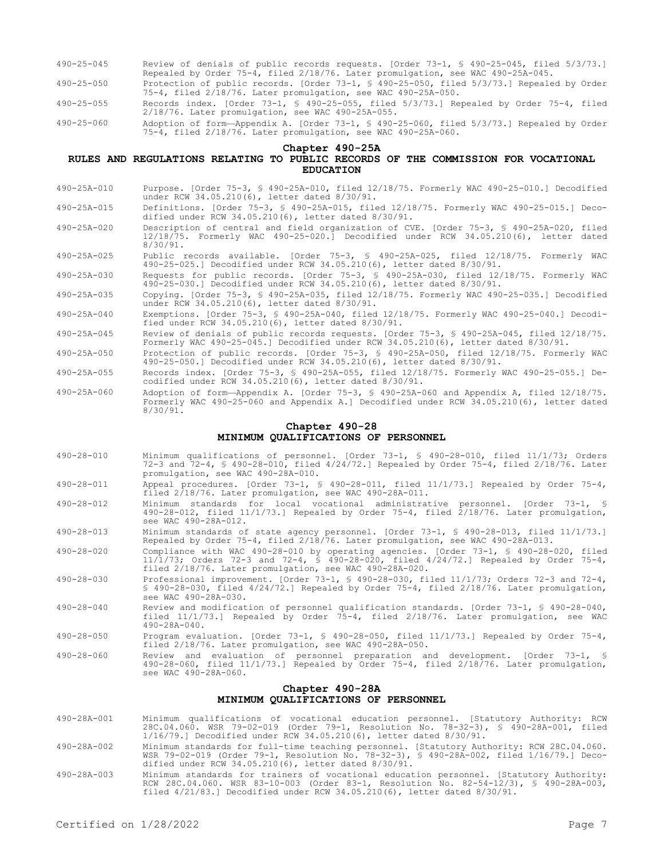- 490-25-045 Review of denials of public records requests. [Order 73-1, § 490-25-045, filed 5/3/73.] Repealed by Order 75-4, filed 2/18/76. Later promulgation, see WAC 490-25A-045.
- 490-25-050 Protection of public records. [Order 73-1, § 490-25-050, filed 5/3/73.] Repealed by Order 75-4, filed 2/18/76. Later promulgation, see WAC 490-25A-050.
- 490-25-055 Records index. [Order 73-1, § 490-25-055, filed 5/3/73.] Repealed by Order 75-4, filed 2/18/76. Later promulgation, see WAC 490-25A-055.
- 490-25-060 Adoption of form—Appendix A. [Order 73-1, § 490-25-060, filed 5/3/73.] Repealed by Order 75-4, filed 2/18/76. Later promulgation, see WAC 490-25A-060.

**Chapter 490-25A**

# **RULES AND REGULATIONS RELATING TO PUBLIC RECORDS OF THE COMMISSION FOR VOCATIONAL EDUCATION**

490-25A-010 Purpose. [Order 75-3, § 490-25A-010, filed 12/18/75. Formerly WAC 490-25-010.] Decodified under RCW 34.05.210(6), letter dated 8/30/91.

490-25A-015 Definitions. [Order 75-3, § 490-25A-015, filed 12/18/75. Formerly WAC 490-25-015.] Decodified under RCW 34.05.210(6), letter dated 8/30/91.

- 490-25A-020 Description of central and field organization of CVE. [Order 75-3, § 490-25A-020, filed 12/18/75. Formerly WAC 490-25-020.] Decodified under RCW 34.05.210(6), letter dated 8/30/91.
- 490-25A-025 Public records available. [Order 75-3, § 490-25A-025, filed 12/18/75. Formerly WAC 490-25-025.] Decodified under RCW 34.05.210(6), letter dated 8/30/91.
- 490-25A-030 Requests for public records. [Order 75-3, § 490-25A-030, filed 12/18/75. Formerly WAC 490-25-030.] Decodified under RCW 34.05.210(6), letter dated 8/30/91.
- 490-25A-035 Copying. [Order 75-3, § 490-25A-035, filed 12/18/75. Formerly WAC 490-25-035.] Decodified under RCW 34.05.210(6), letter dated 8/30/91.
- 490-25A-040 Exemptions. [Order 75-3, § 490-25A-040, filed 12/18/75. Formerly WAC 490-25-040.] Decodified under RCW 34.05.210(6), letter dated 8/30/91.
- 490-25A-045 Review of denials of public records requests. [Order 75-3, § 490-25A-045, filed 12/18/75. Formerly WAC 490-25-045.] Decodified under RCW 34.05.210(6), letter dated 8/30/91.
- 490-25A-050 Protection of public records. [Order 75-3, § 490-25A-050, filed 12/18/75. Formerly WAC 490-25-050.] Decodified under RCW 34.05.210(6), letter dated 8/30/91.
- 490-25A-055 Records index. [Order 75-3, § 490-25A-055, filed 12/18/75. Formerly WAC 490-25-055.] Decodified under RCW 34.05.210(6), letter dated 8/30/91.
- 490-25A-060 Adoption of form—Appendix A. [Order 75-3, § 490-25A-060 and Appendix A, filed 12/18/75. Formerly WAC 490-25-060 and Appendix A.] Decodified under RCW 34.05.210(6), letter dated 8/30/91.

# **Chapter 490-28 MINIMUM QUALIFICATIONS OF PERSONNEL**

- 490-28-010 Minimum qualifications of personnel. [Order 73-1, § 490-28-010, filed 11/1/73; Orders 72-3 and 72-4, § 490-28-010, filed 4/24/72.] Repealed by Order 75-4, filed 2/18/76. Later promulgation, see WAC 490-28A-010.
- 490-28-011 Appeal procedures. [Order 73-1, § 490-28-011, filed 11/1/73.] Repealed by Order 75-4, filed 2/18/76. Later promulgation, see WAC 490-28A-011.
- 490-28-012 Minimum standards for local vocational administrative personnel. [Order 73-1, § 490-28-012, filed 11/1/73.] Repealed by Order 75-4, filed 2/18/76. Later promulgation, see WAC 490-28A-012.
- 490-28-013 Minimum standards of state agency personnel. [Order 73-1, § 490-28-013, filed 11/1/73.] Repealed by Order 75-4, filed 2/18/76. Later promulgation, see WAC 490-28A-013.
- 490-28-020 Compliance with WAC 490-28-010 by operating agencies. [Order 73-1, § 490-28-020, filed 11/1/73; Orders 72-3 and 72-4, § 490-28-020, filed 4/24/72.] Repealed by Order 75-4, filed 2/18/76. Later promulgation, see WAC 490-28A-020.
- 490-28-030 Professional improvement. [Order 73-1, § 490-28-030, filed 11/1/73; Orders 72-3 and 72-4, § 490-28-030, filed 4/24/72.] Repealed by Order 75-4, filed 2/18/76. Later promulgation, see WAC 490-28A-030.
- 490-28-040 Review and modification of personnel qualification standards. [Order 73-1, § 490-28-040, filed 11/1/73.] Repealed by Order 75-4, filed 2/18/76. Later promulgation, see WAC 490-28A-040.
- 490-28-050 Program evaluation. [Order 73-1, § 490-28-050, filed 11/1/73.] Repealed by Order 75-4, filed 2/18/76. Later promulgation, see WAC 490-28A-050.
- 490-28-060 Review and evaluation of personnel preparation and development. [Order 73-1, § 490-28-060, filed 11/1/73.] Repealed by Order 75-4, filed 2/18/76. Later promulgation, see WAC 490-28A-060.

## **Chapter 490-28A MINIMUM QUALIFICATIONS OF PERSONNEL**

- 490-28A-001 Minimum qualifications of vocational education personnel. [Statutory Authority: RCW 28C.04.060. WSR 79-02-019 (Order 79-1, Resolution No. 78-32-3), § 490-28A-001, filed 1/16/79.] Decodified under RCW 34.05.210(6), letter dated 8/30/91.
- 490-28A-002 Minimum standards for full-time teaching personnel. [Statutory Authority: RCW 28C.04.060. WSR 79-02-019 (Order 79-1, Resolution No. 78-32-3), § 490-28A-002, filed 1/16/79.] Decodified under RCW 34.05.210(6), letter dated 8/30/91.
- 490-28A-003 Minimum standards for trainers of vocational education personnel. [Statutory Authority: RCW 28C.04.060. WSR 83-10-003 (Order 83-1, Resolution No. 82-54-12/3), § 490-28A-003, filed 4/21/83.] Decodified under RCW 34.05.210(6), letter dated 8/30/91.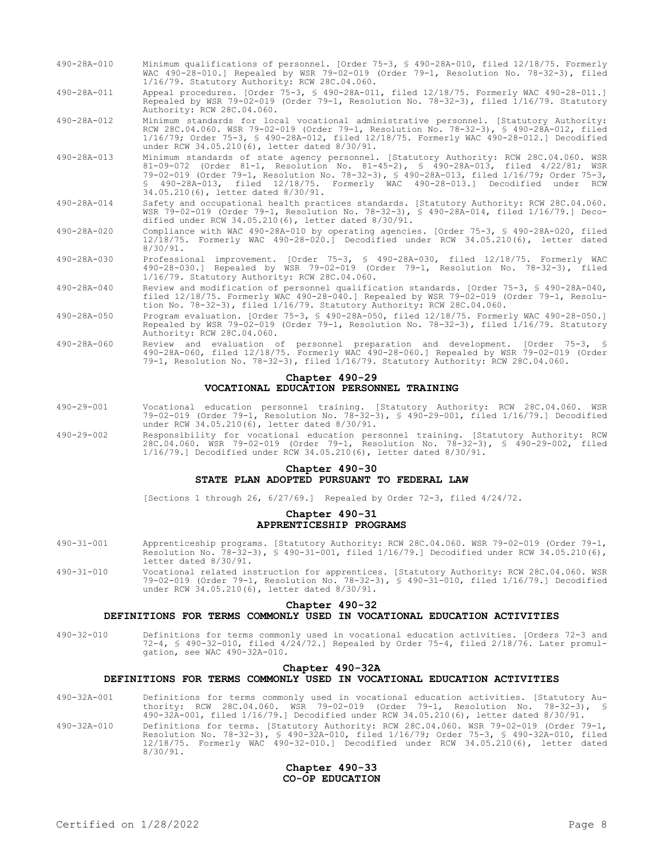- 490-28A-010 Minimum qualifications of personnel. [Order 75-3, § 490-28A-010, filed 12/18/75. Formerly WAC 490-28-010.] Repealed by WSR 79-02-019 (Order 79-1, Resolution No. 78-32-3), filed 1/16/79. Statutory Authority: RCW 28C.04.060.
- 490-28A-011 Appeal procedures. [Order 75-3, § 490-28A-011, filed 12/18/75. Formerly WAC 490-28-011.] Repealed by WSR 79-02-019 (Order 79-1, Resolution No. 78-32-3), filed 1/16/79. Statutory Authority: RCW 28C.04.060.

490-28A-012 Minimum standards for local vocational administrative personnel. [Statutory Authority: RCW 28C.04.060. WSR 79-02-019 (Order 79-1, Resolution No. 78-32-3), § 490-28A-012, filed 1/16/79; Order 75-3, § 490-28A-012, filed 12/18/75. Formerly WAC 490-28-012.] Decodified under RCW 34.05.210(6), letter dated 8/30/91.

- 490-28A-013 Minimum standards of state agency personnel. [Statutory Authority: RCW 28C.04.060. WSR 81-09-072 (Order 81-1, Resolution No. 81-45-2), § 490-28A-013, filed 4/22/81; WSR 79-02-019 (Order 79-1, Resolution No. 78-32-3), § 490-28A-013, filed 1/16/79; Order 75-3, § 490-28A-013, filed 12/18/75. Formerly WAC 490-28-013.] Decodified under RCW 34.05.210(6), letter dated 8/30/91.
- 490-28A-014 Safety and occupational health practices standards. [Statutory Authority: RCW 28C.04.060. WSR 79-02-019 (Order 79-1, Resolution No. 78-32-3), § 490-28A-014, filed 1/16/79.] Decodified under RCW 34.05.210(6), letter dated 8/30/91.
- 490-28A-020 Compliance with WAC 490-28A-010 by operating agencies. [Order 75-3, § 490-28A-020, filed 12/18/75. Formerly WAC 490-28-020.] Decodified under RCW 34.05.210(6), letter dated 8/30/91.
- 490-28A-030 Professional improvement. [Order 75-3, § 490-28A-030, filed 12/18/75. Formerly WAC 490-28-030.] Repealed by WSR 79-02-019 (Order 79-1, Resolution No. 78-32-3), filed 1/16/79. Statutory Authority: RCW 28C.04.060.
- 490-28A-040 Review and modification of personnel qualification standards. [Order 75-3, § 490-28A-040, filed 12/18/75. Formerly WAC 490-28-040.] Repealed by WSR 79-02-019 (Order 79-1, Resolution No. 78-32-3), filed 1/16/79. Statutory Authority: RCW 28C.04.060.
- 490-28A-050 Program evaluation. [Order 75-3, § 490-28A-050, filed 12/18/75. Formerly WAC 490-28-050.] Repealed by WSR 79-02-019 (Order 79-1, Resolution No. 78-32-3), filed 1/16/79. Statutory Authority: RCW 28C.04.060.
- 490-28A-060 Review and evaluation of personnel preparation and development. [Order 75-3, § 490-28A-060, filed 12/18/75. Formerly WAC 490-28-060.] Repealed by WSR 79-02-019 (Order 79-1, Resolution No. 78-32-3), filed 1/16/79. Statutory Authority: RCW 28C.04.060.

# **Chapter 490-29 VOCATIONAL EDUCATION PERSONNEL TRAINING**

- 490-29-001 Vocational education personnel training. [Statutory Authority: RCW 28C.04.060. WSR 79-02-019 (Order 79-1, Resolution No. 78-32-3), § 490-29-001, filed 1/16/79.] Decodified under RCW 34.05.210(6), letter dated 8/30/91.
- 490-29-002 Responsibility for vocational education personnel training. [Statutory Authority: RCW 28C.04.060. WSR 79-02-019 (Order 79-1, Resolution No. 78-32-3), § 490-29-002, filed 1/16/79.] Decodified under RCW 34.05.210(6), letter dated 8/30/91.

## **Chapter 490-30 STATE PLAN ADOPTED PURSUANT TO FEDERAL LAW**

[Sections 1 through 26, 6/27/69.] Repealed by Order 72-3, filed 4/24/72.

## **Chapter 490-31 APPRENTICESHIP PROGRAMS**

- 490-31-001 Apprenticeship programs. [Statutory Authority: RCW 28C.04.060. WSR 79-02-019 (Order 79-1, Resolution No. 78-32-3), § 490-31-001, filed 1/16/79.] Decodified under RCW 34.05.210(6), letter dated 8/30/91.
- 490-31-010 Vocational related instruction for apprentices. [Statutory Authority: RCW 28C.04.060. WSR 79-02-019 (Order 79-1, Resolution No. 78-32-3), § 490-31-010, filed 1/16/79.] Decodified under RCW 34.05.210(6), letter dated 8/30/91.

#### **Chapter 490-32**

# **DEFINITIONS FOR TERMS COMMONLY USED IN VOCATIONAL EDUCATION ACTIVITIES**

490-32-010 Definitions for terms commonly used in vocational education activities. [Orders 72-3 and 72-4, § 490-32-010, filed 4/24/72.] Repealed by Order 75-4, filed 2/18/76. Later promulgation, see WAC 490-32A-010.

# **Chapter 490-32A**

#### **DEFINITIONS FOR TERMS COMMONLY USED IN VOCATIONAL EDUCATION ACTIVITIES**

- 490-32A-001 Definitions for terms commonly used in vocational education activities. [Statutory Authority: RCW 28C.04.060. WSR 79-02-019 (Order 79-1, Resolution No. 78-32-3), § 490-32A-001, filed 1/16/79.] Decodified under RCW 34.05.210(6), letter dated 8/30/91.
- 490-32A-010 Definitions for terms. [Statutory Authority: RCW 28C.04.060. WSR 79-02-019 (Order 79-1, Resolution No. 78-32-3), § 490-32A-010, filed 1/16/79; Order 75-3, § 490-32A-010, filed 12/18/75. Formerly WAC 490-32-010.] Decodified under RCW 34.05.210(6), letter dated 8/30/91.

## **Chapter 490-33 CO-OP EDUCATION**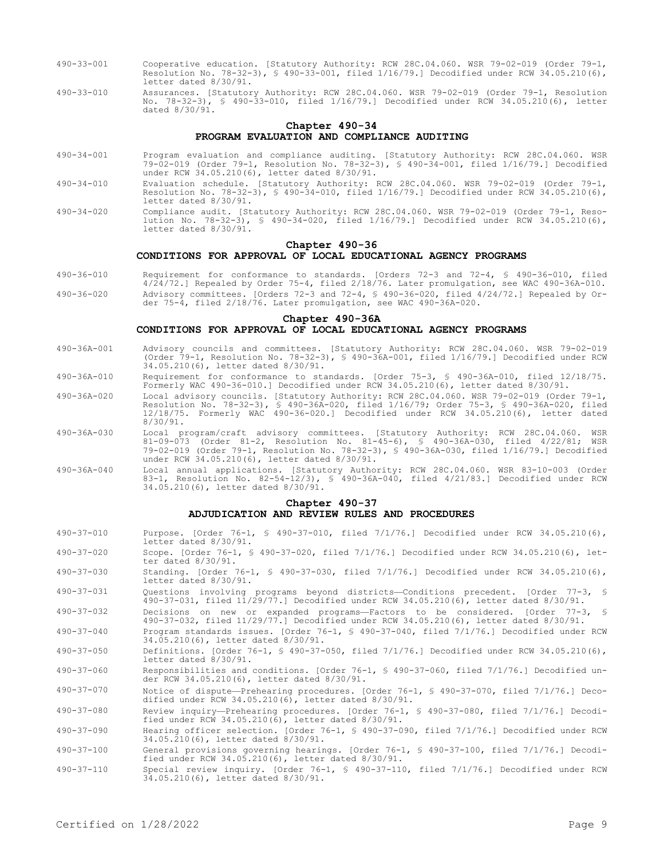- 490-33-001 Cooperative education. [Statutory Authority: RCW 28C.04.060. WSR 79-02-019 (Order 79-1, Resolution No. 78-32-3), § 490-33-001, filed 1/16/79.] Decodified under RCW 34.05.210(6), letter dated 8/30/91.
- 490-33-010 Assurances. [Statutory Authority: RCW 28C.04.060. WSR 79-02-019 (Order 79-1, Resolution No. 78-32-3), § 490-33-010, filed 1/16/79.] Decodified under RCW 34.05.210(6), letter dated 8/30/91.

### **Chapter 490-34 PROGRAM EVALUATION AND COMPLIANCE AUDITING**

- 490-34-001 Program evaluation and compliance auditing. [Statutory Authority: RCW 28C.04.060. WSR 79-02-019 (Order 79-1, Resolution No. 78-32-3), § 490-34-001, filed 1/16/79.] Decodified under RCW 34.05.210(6), letter dated 8/30/91.
- 490-34-010 Evaluation schedule. [Statutory Authority: RCW 28C.04.060. WSR 79-02-019 (Order 79-1, Resolution No. 78-32-3), § 490-34-010, filed 1/16/79.] Decodified under RCW 34.05.210(6), letter dated 8/30/91.
- 490-34-020 Compliance audit. [Statutory Authority: RCW 28C.04.060. WSR 79-02-019 (Order 79-1, Resolution No. 78-32-3), § 490-34-020, filed 1/16/79.] Decodified under RCW 34.05.210(6), letter dated 8/30/91.

### **Chapter 490-36**

## **CONDITIONS FOR APPROVAL OF LOCAL EDUCATIONAL AGENCY PROGRAMS**

490-36-010 Requirement for conformance to standards. [Orders 72-3 and 72-4, § 490-36-010, filed 4/24/72.] Repealed by Order 75-4, filed 2/18/76. Later promulgation, see WAC 490-36A-010. 490-36-020 Advisory committees. [Orders 72-3 and 72-4, § 490-36-020, filed 4/24/72.] Repealed by Order 75-4, filed 2/18/76. Later promulgation, see WAC 490-36A-020.

# **Chapter 490-36A**

#### **CONDITIONS FOR APPROVAL OF LOCAL EDUCATIONAL AGENCY PROGRAMS**

- 490-36A-001 Advisory councils and committees. [Statutory Authority: RCW 28C.04.060. WSR 79-02-019 (Order 79-1, Resolution No. 78-32-3), § 490-36A-001, filed 1/16/79.] Decodified under RCW 34.05.210(6), letter dated 8/30/91.
- 490-36A-010 Requirement for conformance to standards. [Order 75-3, § 490-36A-010, filed 12/18/75. Formerly WAC 490-36-010.] Decodified under RCW 34.05.210(6), letter dated 8/30/91.
- 490-36A-020 Local advisory councils. [Statutory Authority: RCW 28C.04.060. WSR 79-02-019 (Order 79-1, Resolution No. 78-32-3), § 490-36A-020, filed 1/16/79; Order 75-3, § 490-36A-020, filed 12/18/75. Formerly WAC 490-36-020.] Decodified under RCW 34.05.210(6), letter dated 8/30/91.
- 490-36A-030 Local program/craft advisory committees. [Statutory Authority: RCW 28C.04.060. WSR 81-09-073 (Order 81-2, Resolution No. 81-45-6), § 490-36A-030, filed 4/22/81; WSR 79-02-019 (Order 79-1, Resolution No. 78-32-3), § 490-36A-030, filed 1/16/79.] Decodified under RCW 34.05.210(6), letter dated 8/30/91.
- 490-36A-040 Local annual applications. [Statutory Authority: RCW 28C.04.060. WSR 83-10-003 (Order 83-1, Resolution No. 82-54-12/3), § 490-36A-040, filed 4/21/83.] Decodified under RCW 34.05.210(6), letter dated 8/30/91.

## **Chapter 490-37 ADJUDICATION AND REVIEW RULES AND PROCEDURES**

- 490-37-010 Purpose. [Order 76-1, § 490-37-010, filed 7/1/76.] Decodified under RCW 34.05.210(6), letter dated 8/30/91.
- 490-37-020 Scope. [Order 76-1, § 490-37-020, filed 7/1/76.] Decodified under RCW 34.05.210(6), letter dated 8/30/91.
- 490-37-030 Standing. [Order 76-1, § 490-37-030, filed 7/1/76.] Decodified under RCW 34.05.210(6), letter dated 8/30/91.
- 490-37-031 Questions involving programs beyond districts—Conditions precedent. [Order 77-3, § 490-37-031, filed 11/29/77.] Decodified under RCW 34.05.210(6), letter dated 8/30/91.
- 490-37-032 Decisions on new or expanded programs—Factors to be considered. [Order 77-3, § 490-37-032, filed 11/29/77.] Decodified under RCW 34.05.210(6), letter dated 8/30/91.
- 490-37-040 Program standards issues. [Order 76-1, § 490-37-040, filed 7/1/76.] Decodified under RCW 34.05.210(6), letter dated 8/30/91.

490-37-050 Definitions. [Order 76-1, § 490-37-050, filed 7/1/76.] Decodified under RCW 34.05.210(6), letter dated 8/30/91.

490-37-060 Responsibilities and conditions. [Order 76-1, § 490-37-060, filed 7/1/76.] Decodified under RCW 34.05.210(6), letter dated 8/30/91.

490-37-070 Notice of dispute—Prehearing procedures. [Order 76-1, § 490-37-070, filed 7/1/76.] Decodified under RCW 34.05.210(6), letter dated 8/30/91.

490-37-080 Review inquiry—Prehearing procedures. [Order 76-1, § 490-37-080, filed 7/1/76.] Decodified under RCW 34.05.210(6), letter dated 8/30/91.

490-37-090 Hearing officer selection. [Order 76-1, § 490-37-090, filed 7/1/76.] Decodified under RCW 34.05.210(6), letter dated 8/30/91.

490-37-100 General provisions governing hearings. [Order 76-1, § 490-37-100, filed 7/1/76.] Decodified under RCW 34.05.210(6), letter dated 8/30/91.

490-37-110 Special review inquiry. [Order 76-1, § 490-37-110, filed 7/1/76.] Decodified under RCW 34.05.210(6), letter dated 8/30/91.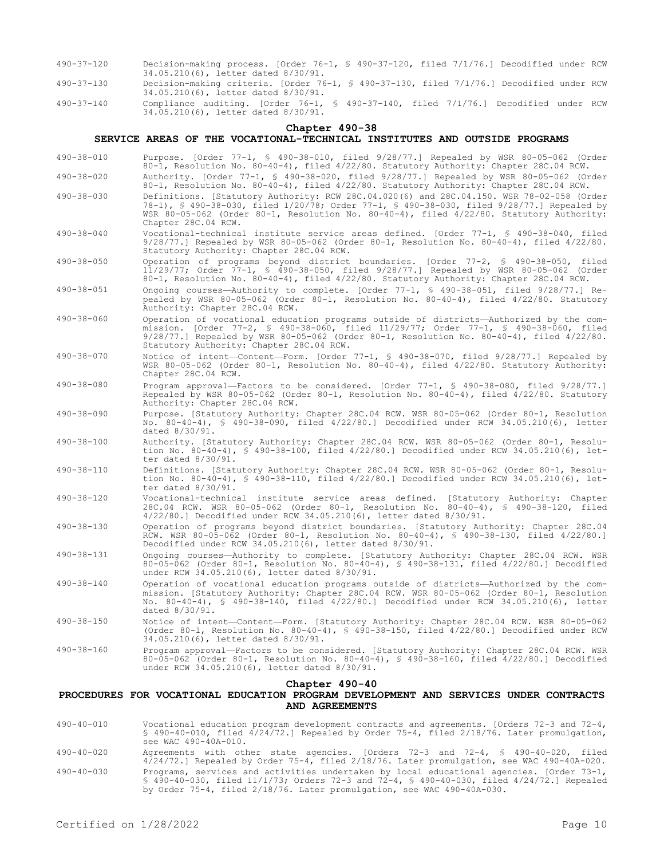- 490-37-120 Decision-making process. [Order 76-1, § 490-37-120, filed 7/1/76.] Decodified under RCW 34.05.210(6), letter dated 8/30/91.
- 490-37-130 Decision-making criteria. [Order 76-1, § 490-37-130, filed 7/1/76.] Decodified under RCW 34.05.210(6), letter dated 8/30/91.
- 490-37-140 Compliance auditing. [Order 76-1, § 490-37-140, filed 7/1/76.] Decodified under RCW 34.05.210(6), letter dated 8/30/91.

#### **Chapter 490-38**

#### **SERVICE AREAS OF THE VOCATIONAL-TECHNICAL INSTITUTES AND OUTSIDE PROGRAMS**

490-38-010 Purpose. [Order 77-1, § 490-38-010, filed 9/28/77.] Repealed by WSR 80-05-062 (Order 80-1, Resolution No. 80-40-4), filed 4/22/80. Statutory Authority: Chapter 28C.04 RCW. 490-38-020 Authority. [Order 77-1, § 490-38-020, filed 9/28/77.] Repealed by WSR 80-05-062 (Order 80-1, Resolution No. 80-40-4), filed 4/22/80. Statutory Authority: Chapter 28C.04 RCW. 490-38-030 Definitions. [Statutory Authority: RCW 28C.04.020(6) and 28C.04.150. WSR 78-02-058 (Order 78-1), § 490-38-030, filed 1/20/78; Order 77-1, § 490-38-030, filed 9/28/77.] Repealed by WSR 80-05-062 (Order 80-1, Resolution No. 80-40-4), filed 4/22/80. Statutory Authority: Chapter 28C.04 RCW. 490-38-040 Vocational-technical institute service areas defined. [Order 77-1, § 490-38-040, filed 9/28/77.] Repealed by WSR 80-05-062 (Order 80-1, Resolution No. 80-40-4), filed 4/22/80. Statutory Authority: Chapter 28C.04 RCW. 490-38-050 Operation of programs beyond district boundaries. [Order 77-2, § 490-38-050, filed 11/29/77; Order 77-1, § 490-38-050, filed 9/28/77.] Repealed by WSR 80-05-062 (Order 80-1, Resolution No. 80-40-4), filed 4/22/80. Statutory Authority: Chapter 28C.04 RCW. 490-38-051 Ongoing courses—Authority to complete. [Order 77-1, § 490-38-051, filed 9/28/77.] Repealed by WSR 80-05-062 (Order 80-1, Resolution No. 80-40-4), filed 4/22/80. Statutory Authority: Chapter 28C.04 RCW. 490-38-060 Operation of vocational education programs outside of districts—Authorized by the commission. [Order 77-2, § 490-38-060, filed 11/29/77; Order 77-1, § 490-38-060, filed 9/28/77.] Repealed by WSR 80-05-062 (Order 80-1, Resolution No. 80-40-4), filed 4/22/80. Statutory Authority: Chapter 28C.04 RCW. 490-38-070 Notice of intent—Content—Form. [Order 77-1, § 490-38-070, filed 9/28/77.] Repealed by WSR 80-05-062 (Order 80-1, Resolution No. 80-40-4), filed 4/22/80. Statutory Authority: Chapter 28C.04 RCW. 490-38-080 Program approval—Factors to be considered. [Order 77-1, § 490-38-080, filed 9/28/77.] Repealed by WSR 80-05-062 (Order 80-1, Resolution No. 80-40-4), filed 4/22/80. Statutory Authority: Chapter 28C.04 RCW. 490-38-090 Purpose. [Statutory Authority: Chapter 28C.04 RCW. WSR 80-05-062 (Order 80-1, Resolution No. 80-40-4), § 490-38-090, filed 4/22/80.] Decodified under RCW 34.05.210(6), letter dated 8/30/91. 490-38-100 Authority. [Statutory Authority: Chapter 28C.04 RCW. WSR 80-05-062 (Order 80-1, Resolution No. 80-40-4), § 490-38-100, filed 4/22/80.] Decodified under RCW 34.05.210(6), letter dated 8/30/91. 490-38-110 Definitions. [Statutory Authority: Chapter 28C.04 RCW. WSR 80-05-062 (Order 80-1, Resolution No. 80-40-4), § 490-38-110, filed 4/22/80.] Decodified under RCW 34.05.210(6), letter dated 8/30/91. 490-38-120 Vocational-technical institute service areas defined. [Statutory Authority: Chapter 28C.04 RCW. WSR 80-05-062 (Order 80-1, Resolution No. 80-40-4), § 490-38-120, filed 4/22/80.] Decodified under RCW 34.05.210(6), letter dated 8/30/91. 490-38-130 Operation of programs beyond district boundaries. [Statutory Authority: Chapter 28C.04 RCW. WSR 80-05-062 (Order 80-1, Resolution No. 80-40-4), § 490-38-130, filed 4/22/80.] Decodified under RCW 34.05.210(6), letter dated 8/30/91. 490-38-131 Ongoing courses—Authority to complete. [Statutory Authority: Chapter 28C.04 RCW. WSR 80-05-062 (Order 80-1, Resolution No. 80-40-4), § 490-38-131, filed 4/22/80.] Decodified under RCW 34.05.210(6), letter dated 8/30/91. 490-38-140 Operation of vocational education programs outside of districts—Authorized by the commission. [Statutory Authority: Chapter 28C.04 RCW. WSR 80-05-062 (Order 80-1, Resolution No. 80-40-4), § 490-38-140, filed 4/22/80.] Decodified under RCW 34.05.210(6), letter dated 8/30/91. 490-38-150 Notice of intent—Content—Form. [Statutory Authority: Chapter 28C.04 RCW. WSR 80-05-062 (Order 80-1, Resolution No. 80-40-4), § 490-38-150, filed 4/22/80.] Decodified under RCW 34.05.210(6), letter dated 8/30/91. 490-38-160 Program approval—Factors to be considered. [Statutory Authority: Chapter 28C.04 RCW. WSR 80-05-062 (Order 80-1, Resolution No. 80-40-4), § 490-38-160, filed 4/22/80.] Decodified under RCW 34.05.210(6), letter dated 8/30/91. **Chapter 490-40**

# **PROCEDURES FOR VOCATIONAL EDUCATION PROGRAM DEVELOPMENT AND SERVICES UNDER CONTRACTS AND AGREEMENTS**

- 490-40-010 Vocational education program development contracts and agreements. [Orders 72-3 and 72-4, § 490-40-010, filed 4/24/72.] Repealed by Order 75-4, filed 2/18/76. Later promulgation, see WAC 490-40A-010.
- 490-40-020 Agreements with other state agencies. [Orders 72-3 and 72-4, § 490-40-020, filed 4/24/72.] Repealed by Order 75-4, filed 2/18/76. Later promulgation, see WAC 490-40A-020.
- 490-40-030 Programs, services and activities undertaken by local educational agencies. [Order 73-1, § 490-40-030, filed 11/1/73; Orders 72-3 and 72-4, § 490-40-030, filed 4/24/72.] Repealed by Order 75-4, filed 2/18/76. Later promulgation, see WAC 490-40A-030.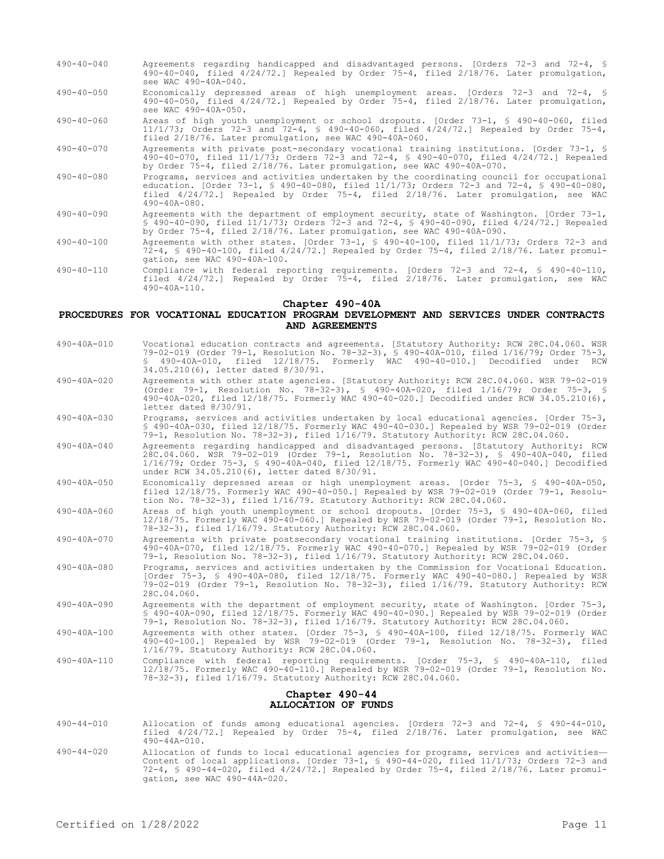- 490-40-040 Agreements regarding handicapped and disadvantaged persons. [Orders 72-3 and 72-4, § 490-40-040, filed 4/24/72.] Repealed by Order 75-4, filed 2/18/76. Later promulgation, see WAC 490-40A-040.
- 490-40-050 Economically depressed areas of high unemployment areas. [Orders 72-3 and 72-4, § 490-40-050, filed 4/24/72.] Repealed by Order 75-4, filed 2/18/76. Later promulgation, see WAC 490-40A-050.
- 490-40-060 Areas of high youth unemployment or school dropouts. [Order 73-1, § 490-40-060, filed 11/1/73; Orders 72-3 and 72-4, § 490-40-060, filed 4/24/72.] Repealed by Order 75-4, filed 2/18/76. Later promulgation, see WAC 490-40A-060.
- 490-40-070 Agreements with private post-secondary vocational training institutions. [Order 73-1, § 490-40-070, filed 11/1/73; Orders 72-3 and 72-4, § 490-40-070, filed 4/24/72.] Repealed by Order 75-4, filed 2/18/76. Later promulgation, see WAC 490-40A-070.
- 490-40-080 Programs, services and activities undertaken by the coordinating council for occupational education. [Order 73-1, § 490-40-080, filed 11/1/73; Orders 72-3 and 72-4, § 490-40-080, filed 4/24/72.] Repealed by Order 75-4, filed 2/18/76. Later promulgation, see WAC 490-40A-080.
- 490-40-090 Agreements with the department of employment security, state of Washington. [Order 73-1, § 490-40-090, filed 11/1/73; Orders 72-3 and 72-4, § 490-40-090, filed 4/24/72.] Repealed by Order 75-4, filed 2/18/76. Later promulgation, see WAC 490-40A-090.
- 490-40-100 Agreements with other states. [Order 73-1, § 490-40-100, filed 11/1/73; Orders 72-3 and 72-4, § 490-40-100, filed 4/24/72.] Repealed by Order 75-4, filed 2/18/76. Later promulgation, see WAC 490-40A-100.
- 490-40-110 Compliance with federal reporting requirements. [Orders 72-3 and 72-4, § 490-40-110, filed 4/24/72.] Repealed by Order 75-4, filed 2/18/76. Later promulgation, see WAC 490-40A-110.

#### **Chapter 490-40A**

#### **PROCEDURES FOR VOCATIONAL EDUCATION PROGRAM DEVELOPMENT AND SERVICES UNDER CONTRACTS AND AGREEMENTS**

- 490-40A-010 Vocational education contracts and agreements. [Statutory Authority: RCW 28C.04.060. WSR 79-02-019 (Order 79-1, Resolution No. 78-32-3), § 490-40A-010, filed 1/16/79; Order 75-3, § 490-40A-010, filed 12/18/75. Formerly WAC 490-40-010.] Decodified under RCW 34.05.210(6), letter dated 8/30/91.
- 490-40A-020 Agreements with other state agencies. [Statutory Authority: RCW 28C.04.060. WSR 79-02-019 (Order 79-1, Resolution No. 78-32-3), § 490-40A-020, filed 1/16/79; Order 75-3, § 490-40A-020, filed 12/18/75. Formerly WAC 490-40-020.] Decodified under RCW 34.05.210(6), letter dated 8/30/91.
- 490-40A-030 Programs, services and activities undertaken by local educational agencies. [Order 75-3, § 490-40A-030, filed 12/18/75. Formerly WAC 490-40-030.] Repealed by WSR 79-02-019 (Order 79-1, Resolution No. 78-32-3), filed 1/16/79. Statutory Authority: RCW 28C.04.060.
- 490-40A-040 Agreements regarding handicapped and disadvantaged persons. [Statutory Authority: RCW 28C.04.060. WSR 79-02-019 (Order 79-1, Resolution No. 78-32-3), § 490-40A-040, filed 1/16/79; Order 75-3, § 490-40A-040, filed 12/18/75. Formerly WAC 490-40-040.] Decodified under RCW 34.05.210(6), letter dated 8/30/91.
- 490-40A-050 Economically depressed areas or high unemployment areas. [Order 75-3, § 490-40A-050, filed 12/18/75. Formerly WAC 490-40-050.] Repealed by WSR 79-02-019 (Order 79-1, Resolution No. 78-32-3), filed 1/16/79. Statutory Authority: RCW 28C.04.060.
- 490-40A-060 Areas of high youth unemployment or school dropouts. [Order 75-3, § 490-40A-060, filed 12/18/75. Formerly WAC 490-40-060.] Repealed by WSR 79-02-019 (Order 79-1, Resolution No. 78-32-3), filed 1/16/79. Statutory Authority: RCW 28C.04.060.
- 490-40A-070 Agreements with private postsecondary vocational training institutions. [Order 75-3, § 490-40A-070, filed 12/18/75. Formerly WAC 490-40-070.] Repealed by WSR 79-02-019 (Order 79-1, Resolution No. 78-32-3), filed 1/16/79. Statutory Authority: RCW 28C.04.060.
- 490-40A-080 Programs, services and activities undertaken by the Commission for Vocational Education. [Order 75-3, § 490-40A-080, filed 12/18/75. Formerly WAC 490-40-080.] Repealed by WSR 79-02-019 (Order 79-1, Resolution No. 78-32-3), filed 1/16/79. Statutory Authority: RCW 28C.04.060.
- 490-40A-090 Agreements with the department of employment security, state of Washington. [Order 75-3, § 490-40A-090, filed 12/18/75. Formerly WAC 490-40-090.] Repealed by WSR 79-02-019 (Order 79-1, Resolution No. 78-32-3), filed 1/16/79. Statutory Authority: RCW 28C.04.060.
- 490-40A-100 Agreements with other states. [Order 75-3, § 490-40A-100, filed 12/18/75. Formerly WAC 490-40-100.] Repealed by WSR 79-02-019 (Order 79-1, Resolution No. 78-32-3), filed 1/16/79. Statutory Authority: RCW 28C.04.060.
- 490-40A-110 Compliance with federal reporting requirements. [Order 75-3, § 490-40A-110, filed 12/18/75. Formerly WAC 490-40-110.] Repealed by WSR 79-02-019 (Order 79-1, Resolution No. 78-32-3), filed 1/16/79. Statutory Authority: RCW 28C.04.060.

# **Chapter 490-44 ALLOCATION OF FUNDS**

- 490-44-010 Allocation of funds among educational agencies. [Orders 72-3 and 72-4, § 490-44-010, filed 4/24/72.] Repealed by Order 75-4, filed 2/18/76. Later promulgation, see WAC 490-44A-010.
- 490-44-020 Allocation of funds to local educational agencies for programs, services and activities— Content of local applications. [Order 73-1, § 490-44-020, filed 11/1/73; Orders 72-3 and 72-4, § 490-44-020, filed 4/24/72.] Repealed by Order 75-4, filed 2/18/76. Later promulgation, see WAC 490-44A-020.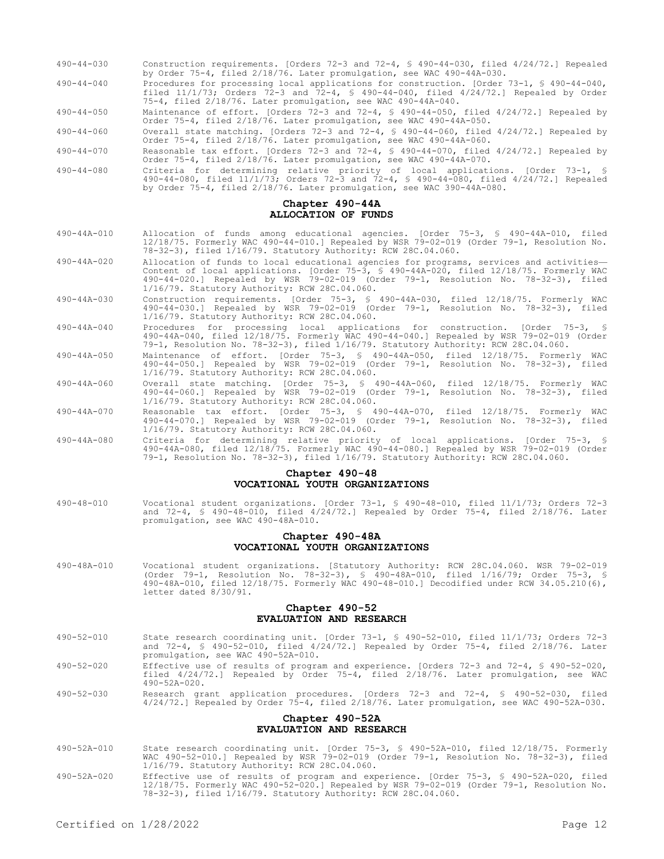| $490 - 44 - 030$ | Construction requirements. [Orders 72-3 and 72-4, § 490-44-030, filed 4/24/72.] Repealed<br>by Order 75-4, filed 2/18/76. Later promulgation, see WAC 490-44A-030.                                                                                      |
|------------------|---------------------------------------------------------------------------------------------------------------------------------------------------------------------------------------------------------------------------------------------------------|
| $490 - 44 - 040$ | Procedures for processing local applications for construction. [Order 73-1, § 490-44-040,<br>filed $11/1/73$ ; Orders 72-3 and 72-4, § 490-44-040, filed $4/24/72$ . Repealed by Order<br>75-4, filed 2/18/76. Later promulgation, see WAC 490-44A-040. |
| $490 - 44 - 050$ | Maintenance of effort. [Orders 72-3 and 72-4, $\frac{1}{2}$ 490-44-050, filed 4/24/72.] Repealed by<br>Order 75-4, filed 2/18/76. Later promulgation, see WAC 490-44A-050.                                                                              |
| $490 - 44 - 060$ | Overall state matching. [Orders 72-3 and 72-4, $\frac{1}{2}$ 490-44-060, filed 4/24/72.] Repealed by<br>Order 75-4, filed 2/18/76. Later promulgation, see WAC 490-44A-060.                                                                             |
| $490 - 44 - 070$ | Reasonable tax effort. [Orders 72-3 and 72-4, $\frac{1}{2}$ 490-44-070, filed 4/24/72.] Repealed by<br>Order 75-4, filed 2/18/76. Later promulgation, see WAC 490-44A-070.                                                                              |
| $490 - 44 - 080$ | Criteria for determining relative priority of local applications. [Order 73-1, §<br>490-44-080, filed 11/1/73; Orders 72-3 and 72-4, § 490-44-080, filed 4/24/72.] Repealed<br>by Order 75-4, filed 2/18/76. Later promulgation, see WAC 390-44A-080.   |

#### **Chapter 490-44A ALLOCATION OF FUNDS**

- 490-44A-010 Allocation of funds among educational agencies. [Order 75-3, § 490-44A-010, filed 12/18/75. Formerly WAC 490-44-010.] Repealed by WSR 79-02-019 (Order 79-1, Resolution No. 78-32-3), filed 1/16/79. Statutory Authority: RCW 28C.04.060.
- 490-44A-020 Allocation of funds to local educational agencies for programs, services and activities— Content of local applications. [Order 75-3, § 490-44A-020, filed 12/18/75. Formerly WAC 490-44-020.] Repealed by WSR 79-02-019 (Order 79-1, Resolution No. 78-32-3), filed 1/16/79. Statutory Authority: RCW 28C.04.060.
- 490-44A-030 Construction requirements. [Order 75-3, § 490-44A-030, filed 12/18/75. Formerly WAC 490-44-030.] Repealed by WSR 79-02-019 (Order 79-1, Resolution No. 78-32-3), filed 1/16/79. Statutory Authority: RCW 28C.04.060.
- 490-44A-040 Procedures for processing local applications for construction. [Order 75-3, § 490-44A-040, filed 12/18/75. Formerly WAC 490-44-040.] Repealed by WSR 79-02-019 (Order 79-1, Resolution No. 78-32-3), filed 1/16/79. Statutory Authority: RCW 28C.04.060.
- 490-44A-050 Maintenance of effort. [Order 75-3, § 490-44A-050, filed 12/18/75. Formerly WAC 490-44-050.] Repealed by WSR 79-02-019 (Order 79-1, Resolution No. 78-32-3), filed 1/16/79. Statutory Authority: RCW 28C.04.060.
- 490-44A-060 Overall state matching. [Order 75-3, § 490-44A-060, filed 12/18/75. Formerly WAC 490-44-060.] Repealed by WSR 79-02-019 (Order 79-1, Resolution No. 78-32-3), filed 1/16/79. Statutory Authority: RCW 28C.04.060.
- 490-44A-070 Reasonable tax effort. [Order 75-3, § 490-44A-070, filed 12/18/75. Formerly WAC 490-44-070.] Repealed by WSR 79-02-019 (Order 79-1, Resolution No. 78-32-3), filed 1/16/79. Statutory Authority: RCW 28C.04.060.
- 490-44A-080 Criteria for determining relative priority of local applications. [Order 75-3, § 490-44A-080, filed 12/18/75. Formerly WAC 490-44-080.] Repealed by WSR 79-02-019 (Order 79-1, Resolution No. 78-32-3), filed 1/16/79. Statutory Authority: RCW 28C.04.060.

# **Chapter 490-48 VOCATIONAL YOUTH ORGANIZATIONS**

490-48-010 Vocational student organizations. [Order 73-1, § 490-48-010, filed 11/1/73; Orders 72-3 and 72-4, § 490-48-010, filed 4/24/72.] Repealed by Order 75-4, filed 2/18/76. Later promulgation, see WAC 490-48A-010.

# **Chapter 490-48A VOCATIONAL YOUTH ORGANIZATIONS**

490-48A-010 Vocational student organizations. [Statutory Authority: RCW 28C.04.060. WSR 79-02-019 (Order 79-1, Resolution No. 78-32-3), § 490-48A-010, filed 1/16/79; Order 75-3, § 490-48A-010, filed 12/18/75. Formerly WAC 490-48-010.] Decodified under RCW 34.05.210(6), letter dated 8/30/91.

#### **Chapter 490-52 EVALUATION AND RESEARCH**

- 490-52-010 State research coordinating unit. [Order 73-1, § 490-52-010, filed 11/1/73; Orders 72-3 and 72-4, § 490-52-010, filed 4/24/72.] Repealed by Order 75-4, filed 2/18/76. Later promulgation, see WAC 490-52A-010.
- 490-52-020 Effective use of results of program and experience. [Orders 72-3 and 72-4, § 490-52-020, filed 4/24/72.] Repealed by Order 75-4, filed 2/18/76. Later promulgation, see WAC 490-52A-020.
- 490-52-030 Research grant application procedures. [Orders 72-3 and 72-4, § 490-52-030, filed 4/24/72.] Repealed by Order 75-4, filed 2/18/76. Later promulgation, see WAC 490-52A-030.

#### **Chapter 490-52A EVALUATION AND RESEARCH**

- 490-52A-010 State research coordinating unit. [Order 75-3, § 490-52A-010, filed 12/18/75. Formerly WAC 490-52-010.] Repealed by WSR 79-02-019 (Order 79-1, Resolution No. 78-32-3), filed 1/16/79. Statutory Authority: RCW 28C.04.060.
- 490-52A-020 Effective use of results of program and experience. [Order 75-3, § 490-52A-020, filed 12/18/75. Formerly WAC 490-52-020.] Repealed by WSR 79-02-019 (Order 79-1, Resolution No. 78-32-3), filed 1/16/79. Statutory Authority: RCW 28C.04.060.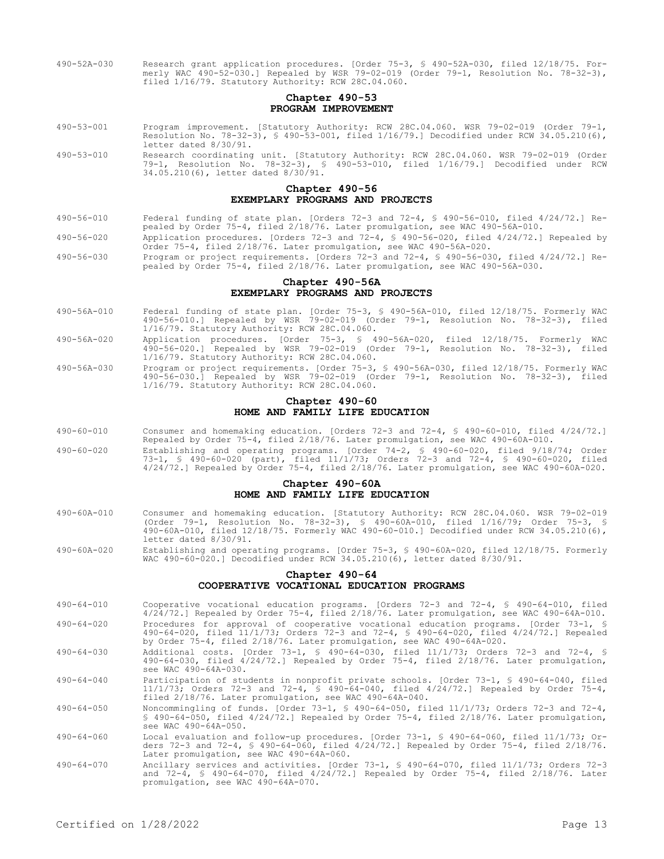490-52A-030 Research grant application procedures. [Order 75-3, § 490-52A-030, filed 12/18/75. Formerly WAC 490-52-030.] Repealed by WSR 79-02-019 (Order 79-1, Resolution No. 78-32-3), filed 1/16/79. Statutory Authority: RCW 28C.04.060.

## **Chapter 490-53 PROGRAM IMPROVEMENT**

- 490-53-001 Program improvement. [Statutory Authority: RCW 28C.04.060. WSR 79-02-019 (Order 79-1, Resolution No. 78-32-3), § 490-53-001, filed 1/16/79.] Decodified under RCW 34.05.210(6), letter dated 8/30/91.
- 490-53-010 Research coordinating unit. [Statutory Authority: RCW 28C.04.060. WSR 79-02-019 (Order 79-1, Resolution No. 78-32-3), § 490-53-010, filed 1/16/79.] Decodified under RCW 34.05.210(6), letter dated 8/30/91.

#### **Chapter 490-56 EXEMPLARY PROGRAMS AND PROJECTS**

- 490-56-010 Federal funding of state plan. [Orders 72-3 and 72-4, § 490-56-010, filed 4/24/72.] Repealed by Order 75-4, filed 2/18/76. Later promulgation, see WAC 490-56A-010.
- 490-56-020 Application procedures. [Orders 72-3 and 72-4, § 490-56-020, filed 4/24/72.] Repealed by Order 75-4, filed 2/18/76. Later promulgation, see WAC 490-56A-020.
- 490-56-030 Program or project requirements. [Orders 72-3 and 72-4, § 490-56-030, filed 4/24/72.] Repealed by Order 75-4, filed 2/18/76. Later promulgation, see WAC 490-56A-030.

## **Chapter 490-56A EXEMPLARY PROGRAMS AND PROJECTS**

- 490-56A-010 Federal funding of state plan. [Order 75-3, § 490-56A-010, filed 12/18/75. Formerly WAC 490-56-010.] Repealed by WSR 79-02-019 (Order 79-1, Resolution No. 78-32-3), filed 1/16/79. Statutory Authority: RCW 28C.04.060.
- 490-56A-020 Application procedures. [Order 75-3, § 490-56A-020, filed 12/18/75. Formerly WAC 490-56-020.] Repealed by WSR 79-02-019 (Order 79-1, Resolution No. 78-32-3), filed 1/16/79. Statutory Authority: RCW 28C.04.060.
- 490-56A-030 Program or project requirements. [Order 75-3, § 490-56A-030, filed 12/18/75. Formerly WAC 490-56-030.] Repealed by WSR 79-02-019 (Order 79-1, Resolution No. 78-32-3), filed 1/16/79. Statutory Authority: RCW 28C.04.060.

# **Chapter 490-60 HOME AND FAMILY LIFE EDUCATION**

- 490-60-010 Consumer and homemaking education. [Orders 72-3 and 72-4, § 490-60-010, filed 4/24/72.] Repealed by Order 75-4, filed 2/18/76. Later promulgation, see WAC 490-60A-010.
- 490-60-020 Establishing and operating programs. [Order 74-2, § 490-60-020, filed 9/18/74; Order 73-1, § 490-60-020 (part), filed 11/1/73; Orders 72-3 and 72-4, § 490-60-020, filed 4/24/72.] Repealed by Order 75-4, filed 2/18/76. Later promulgation, see WAC 490-60A-020.

# **Chapter 490-60A HOME AND FAMILY LIFE EDUCATION**

- 490-60A-010 Consumer and homemaking education. [Statutory Authority: RCW 28C.04.060. WSR 79-02-019 (Order 79-1, Resolution No. 78-32-3), § 490-60A-010, filed 1/16/79; Order 75-3, § 490-60A-010, filed 12/18/75. Formerly WAC 490-60-010.] Decodified under RCW 34.05.210(6), letter dated 8/30/91.
- 490-60A-020 Establishing and operating programs. [Order 75-3, § 490-60A-020, filed 12/18/75. Formerly WAC 490-60-020.] Decodified under RCW 34.05.210(6), letter dated 8/30/91.

# **Chapter 490-64 COOPERATIVE VOCATIONAL EDUCATION PROGRAMS**

- 490-64-010 Cooperative vocational education programs. [Orders 72-3 and 72-4, § 490-64-010, filed 4/24/72.] Repealed by Order 75-4, filed 2/18/76. Later promulgation, see WAC 490-64A-010. 490-64-020 Procedures for approval of cooperative vocational education programs. [Order 73-1, §
- 490-64-020, filed 11/1/73; Orders 72-3 and 72-4, § 490-64-020, filed 4/24/72.] Repealed by Order 75-4, filed 2/18/76. Later promulgation, see WAC 490-64A-020. 490-64-030 Additional costs. [Order 73-1, § 490-64-030, filed 11/1/73; Orders 72-3 and 72-4, §
- 490-64-030, filed 4/24/72.] Repealed by Order 75-4, filed 2/18/76. Later promulgation, see WAC 490-64A-030.
- 490-64-040 Participation of students in nonprofit private schools. [Order 73-1, § 490-64-040, filed 11/1/73; Orders 72-3 and 72-4, § 490-64-040, filed 4/24/72.] Repealed by Order 75-4, filed 2/18/76. Later promulgation, see WAC 490-64A-040.
- 490-64-050 Noncommingling of funds. [Order 73-1, § 490-64-050, filed 11/1/73; Orders 72-3 and 72-4, § 490-64-050, filed 4/24/72.] Repealed by Order 75-4, filed 2/18/76. Later promulgation, see WAC 490-64A-050.
- 490-64-060 Local evaluation and follow-up procedures. [Order 73-1, § 490-64-060, filed 11/1/73; Orders 72-3 and 72-4, § 490-64-060, filed 4/24/72.] Repealed by Order 75-4, filed 2/18/76. Later promulgation, see WAC 490-64A-060.
- 490-64-070 Ancillary services and activities. [Order 73-1, § 490-64-070, filed 11/1/73; Orders 72-3 and 72-4, § 490-64-070, filed 4/24/72.] Repealed by Order 75-4, filed 2/18/76. Later promulgation, see WAC 490-64A-070.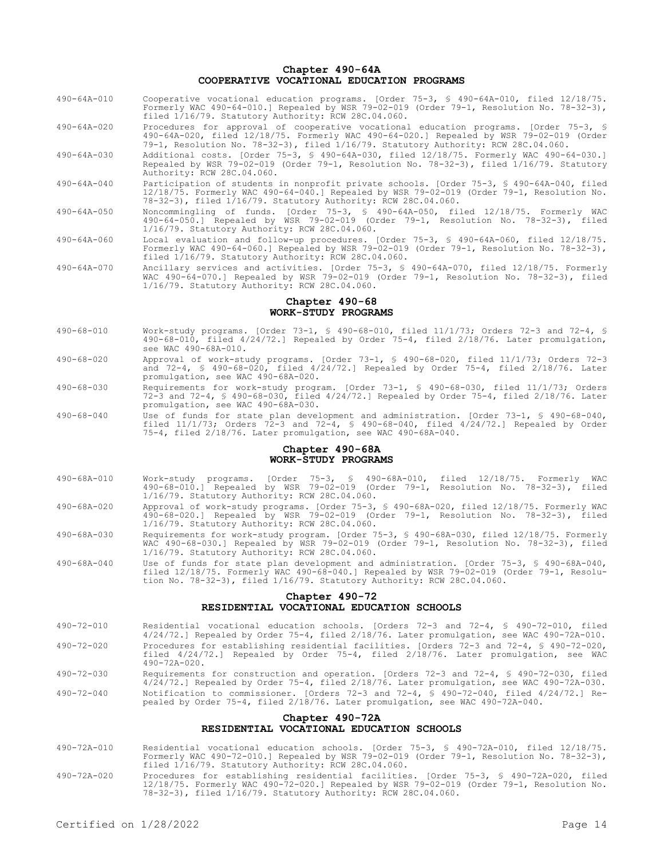## **Chapter 490-64A COOPERATIVE VOCATIONAL EDUCATION PROGRAMS**

- 490-64A-010 Cooperative vocational education programs. [Order 75-3, § 490-64A-010, filed 12/18/75. Formerly WAC 490-64-010.] Repealed by WSR 79-02-019 (Order 79-1, Resolution No. 78-32-3), filed 1/16/79. Statutory Authority: RCW 28C.04.060.
- 490-64A-020 Procedures for approval of cooperative vocational education programs. [Order 75-3, § 490-64A-020, filed 12/18/75. Formerly WAC 490-64-020.] Repealed by WSR 79-02-019 (Order 79-1, Resolution No. 78-32-3), filed 1/16/79. Statutory Authority: RCW 28C.04.060.
- 490-64A-030 Additional costs. [Order 75-3, § 490-64A-030, filed 12/18/75. Formerly WAC 490-64-030.] Repealed by WSR 79-02-019 (Order 79-1, Resolution No. 78-32-3), filed 1/16/79. Statutory Authority: RCW 28C.04.060.
- 490-64A-040 Participation of students in nonprofit private schools. [Order 75-3, § 490-64A-040, filed 12/18/75. Formerly WAC 490-64-040.] Repealed by WSR 79-02-019 (Order 79-1, Resolution No. 78-32-3), filed 1/16/79. Statutory Authority: RCW 28C.04.060.
- 490-64A-050 Noncommingling of funds. [Order 75-3, § 490-64A-050, filed 12/18/75. Formerly WAC 490-64-050.] Repealed by WSR 79-02-019 (Order 79-1, Resolution No. 78-32-3), filed 1/16/79. Statutory Authority: RCW 28C.04.060.
- 490-64A-060 Local evaluation and follow-up procedures. [Order 75-3, § 490-64A-060, filed 12/18/75. Formerly WAC 490-64-060.] Repealed by WSR 79-02-019 (Order 79-1, Resolution No. 78-32-3), filed 1/16/79. Statutory Authority: RCW 28C.04.060.
- 490-64A-070 Ancillary services and activities. [Order 75-3, § 490-64A-070, filed 12/18/75. Formerly WAC 490-64-070.] Repealed by WSR 79-02-019 (Order 79-1, Resolution No. 78-32-3), filed 1/16/79. Statutory Authority: RCW 28C.04.060.

# **Chapter 490-68 WORK-STUDY PROGRAMS**

- 490-68-010 Work-study programs. [Order 73-1, § 490-68-010, filed 11/1/73; Orders 72-3 and 72-4, § 490-68-010, filed 4/24/72.] Repealed by Order 75-4, filed 2/18/76. Later promulgation, see WAC 490-68A-010.
- 490-68-020 Approval of work-study programs. [Order 73-1, § 490-68-020, filed 11/1/73; Orders 72-3 and 72-4, § 490-68-020, filed 4/24/72.] Repealed by Order 75-4, filed 2/18/76. Later promulgation, see WAC 490-68A-020.
- 490-68-030 Requirements for work-study program. [Order 73-1, § 490-68-030, filed 11/1/73; Orders 72-3 and 72-4, § 490-68-030, filed 4/24/72.] Repealed by Order 75-4, filed 2/18/76. Later promulgation, see WAC 490-68A-030.
- 490-68-040 Use of funds for state plan development and administration. [Order 73-1, § 490-68-040, filed 11/1/73; Orders 72-3 and 72-4, § 490-68-040, filed 4/24/72.] Repealed by Order 75-4, filed 2/18/76. Later promulgation, see WAC 490-68A-040.

#### **Chapter 490-68A WORK-STUDY PROGRAMS**

- 490-68A-010 Work-study programs. [Order 75-3, § 490-68A-010, filed 12/18/75. Formerly WAC 490-68-010.] Repealed by WSR 79-02-019 (Order 79-1, Resolution No. 78-32-3), filed 1/16/79. Statutory Authority: RCW 28C.04.060.
- 490-68A-020 Approval of work-study programs. [Order 75-3, § 490-68A-020, filed 12/18/75. Formerly WAC 490-68-020.] Repealed by WSR 79-02-019 (Order 79-1, Resolution No. 78-32-3), filed 1/16/79. Statutory Authority: RCW 28C.04.060.
- 490-68A-030 Requirements for work-study program. [Order 75-3, § 490-68A-030, filed 12/18/75. Formerly WAC 490-68-030.] Repealed by WSR 79-02-019 (Order 79-1, Resolution No. 78-32-3), filed 1/16/79. Statutory Authority: RCW 28C.04.060.
- 490-68A-040 Use of funds for state plan development and administration. [Order 75-3, § 490-68A-040, filed 12/18/75. Formerly WAC 490-68-040.] Repealed by WSR 79-02-019 (Order 79-1, Resolution No. 78-32-3), filed 1/16/79. Statutory Authority: RCW 28C.04.060.

## **Chapter 490-72 RESIDENTIAL VOCATIONAL EDUCATION SCHOOLS**

- 490-72-010 Residential vocational education schools. [Orders 72-3 and 72-4, § 490-72-010, filed 4/24/72.] Repealed by Order 75-4, filed 2/18/76. Later promulgation, see WAC 490-72A-010. 490-72-020 Procedures for establishing residential facilities. [Orders 72-3 and 72-4, § 490-72-020, filed 4/24/72.] Repealed by Order 75-4, filed 2/18/76. Later promulgation, see WAC
- 490-72-030 Requirements for construction and operation. [Orders 72-3 and 72-4, § 490-72-030, filed 4/24/72.] Repealed by Order 75-4, filed 2/18/76. Later promulgation, see WAC 490-72A-030. 490-72-040 Notification to commissioner. [Orders 72-3 and 72-4, § 490-72-040, filed 4/24/72.] Repealed by Order 75-4, filed 2/18/76. Later promulgation, see WAC 490-72A-040.

# **Chapter 490-72A RESIDENTIAL VOCATIONAL EDUCATION SCHOOLS**

- 490-72A-010 Residential vocational education schools. [Order 75-3, § 490-72A-010, filed 12/18/75. Formerly WAC 490-72-010.] Repealed by WSR 79-02-019 (Order 79-1, Resolution No. 78-32-3), filed 1/16/79. Statutory Authority: RCW 28C.04.060.
- 490-72A-020 Procedures for establishing residential facilities. [Order 75-3, § 490-72A-020, filed 12/18/75. Formerly WAC 490-72-020.] Repealed by WSR 79-02-019 (Order 79-1, Resolution No. 78-32-3), filed 1/16/79. Statutory Authority: RCW 28C.04.060.

490-72A-020.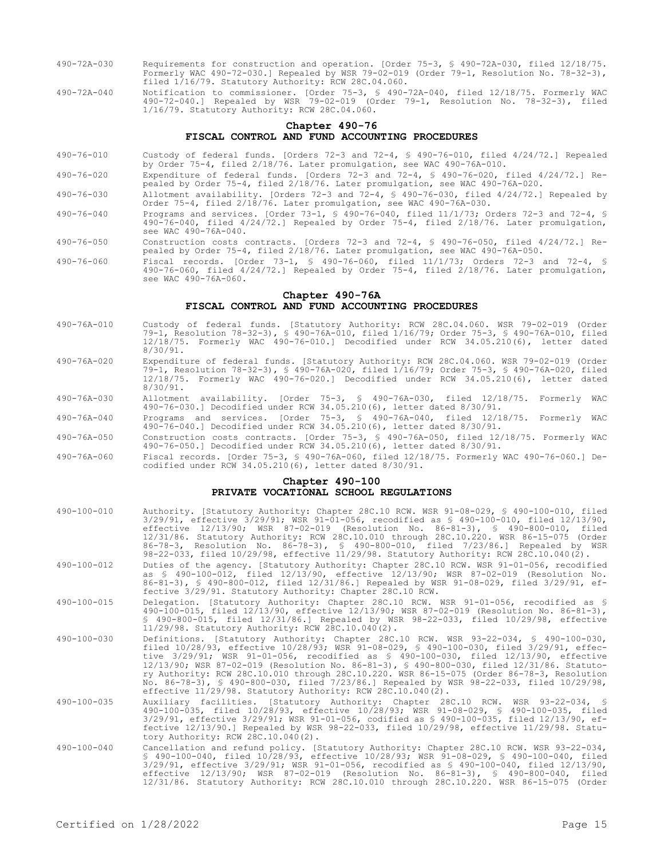- 490-72A-030 Requirements for construction and operation. [Order 75-3, § 490-72A-030, filed 12/18/75. Formerly WAC 490-72-030.] Repealed by WSR 79-02-019 (Order 79-1, Resolution No. 78-32-3), filed 1/16/79. Statutory Authority: RCW 28C.04.060.
- 490-72A-040 Notification to commissioner. [Order 75-3, § 490-72A-040, filed 12/18/75. Formerly WAC 490-72-040.] Repealed by WSR 79-02-019 (Order 79-1, Resolution No. 78-32-3), filed 1/16/79. Statutory Authority: RCW 28C.04.060.

# **Chapter 490-76 FISCAL CONTROL AND FUND ACCOUNTING PROCEDURES**

- 490-76-010 Custody of federal funds. [Orders 72-3 and 72-4, § 490-76-010, filed 4/24/72.] Repealed by Order 75-4, filed 2/18/76. Later promulgation, see WAC 490-76A-010.
- 490-76-020 Expenditure of federal funds. [Orders 72-3 and 72-4, § 490-76-020, filed 4/24/72.] Repealed by Order 75-4, filed 2/18/76. Later promulgation, see WAC 490-76A-020.
- 490-76-030 Allotment availability. [Orders 72-3 and 72-4, § 490-76-030, filed 4/24/72.] Repealed by Order 75-4, filed 2/18/76. Later promulgation, see WAC 490-76A-030.
- 490-76-040 Programs and services. [Order 73-1, § 490-76-040, filed 11/1/73; Orders 72-3 and 72-4, § 490-76-040, filed 4/24/72.] Repealed by Order 75-4, filed 2/18/76. Later promulgation, see WAC 490-76A-040.
- 490-76-050 Construction costs contracts. [Orders 72-3 and 72-4, § 490-76-050, filed 4/24/72.] Repealed by Order 75-4, filed 2/18/76. Later promulgation, see WAC 490-76A-050.
- 490-76-060 Fiscal records. [Order 73-1, § 490-76-060, filed 11/1/73; Orders 72-3 and 72-4, § 490-76-060, filed 4/24/72.] Repealed by Order 75-4, filed 2/18/76. Later promulgation, see WAC 490-76A-060.

#### **Chapter 490-76A FISCAL CONTROL AND FUND ACCOUNTING PROCEDURES**

- 490-76A-010 Custody of federal funds. [Statutory Authority: RCW 28C.04.060. WSR 79-02-019 (Order 79-1, Resolution 78-32-3), § 490-76A-010, filed 1/16/79; Order 75-3, § 490-76A-010, filed 12/18/75. Formerly WAC 490-76-010.] Decodified under RCW 34.05.210(6), letter dated 8/30/91.
- 490-76A-020 Expenditure of federal funds. [Statutory Authority: RCW 28C.04.060. WSR 79-02-019 (Order 79-1, Resolution 78-32-3), § 490-76A-020, filed 1/16/79; Order 75-3, § 490-76A-020, filed 12/18/75. Formerly WAC 490-76-020.] Decodified under RCW 34.05.210(6), letter dated 8/30/91.
- 490-76A-030 Allotment availability. [Order 75-3, § 490-76A-030, filed 12/18/75. Formerly WAC 490-76-030.] Decodified under RCW 34.05.210(6), letter dated 8/30/91.
- 490-76A-040 Programs and services. [Order 75-3, § 490-76A-040, filed 12/18/75. Formerly WAC 490-76-040.] Decodified under RCW 34.05.210(6), letter dated 8/30/91.
- 490-76A-050 Construction costs contracts. [Order 75-3, § 490-76A-050, filed 12/18/75. Formerly WAC 490-76-050.] Decodified under RCW 34.05.210(6), letter dated 8/30/91.
- 490-76A-060 Fiscal records. [Order 75-3, § 490-76A-060, filed 12/18/75. Formerly WAC 490-76-060.] Decodified under RCW 34.05.210(6), letter dated 8/30/91.

# **Chapter 490-100 PRIVATE VOCATIONAL SCHOOL REGULATIONS**

490-100-010 Authority. [Statutory Authority: Chapter 28C.10 RCW. WSR 91-08-029, § 490-100-010, filed 3/29/91, effective 3/29/91; WSR 91-01-056, recodified as § 490-100-010, filed 12/13/90, effective 12/13/90; WSR 87-02-019 (Resolution No. 86-81-3), § 490-800-010, filed 12/31/86. Statutory Authority: RCW 28C.10.010 through 28C.10.220. WSR 86-15-075 (Order 86-78-3, Resolution No. 86-78-3), § 490-800-010, filed 7/23/86.] Repealed by WSR 98-22-033, filed 10/29/98, effective 11/29/98. Statutory Authority: RCW 28C.10.040(2). 490-100-012 Duties of the agency. [Statutory Authority: Chapter 28C.10 RCW. WSR 91-01-056, recodified as § 490-100-012, filed 12/13/90, effective 12/13/90; WSR 87-02-019 (Resolution No. 86-81-3), § 490-800-012, filed 12/31/86.] Repealed by WSR 91-08-029, filed 3/29/91, effective 3/29/91. Statutory Authority: Chapter 28C.10 RCW. 490-100-015 Delegation. [Statutory Authority: Chapter 28C.10 RCW. WSR 91-01-056, recodified as § 490-100-015, filed 12/13/90, effective 12/13/90; WSR 87-02-019 (Resolution No. 86-81-3), § 490-800-015, filed 12/31/86.] Repealed by WSR 98-22-033, filed 10/29/98, effective 11/29/98. Statutory Authority: RCW 28C.10.040(2). 490-100-030 Definitions. [Statutory Authority: Chapter 28C.10 RCW. WSR 93-22-034, § 490-100-030, filed 10/28/93, effective 10/28/93; WSR 91-08-029, § 490-100-030, filed 3/29/91, effective 3/29/91; WSR 91-01-056, recodified as § 490-100-030, filed 12/13/90, effective 12/13/90; WSR 87-02-019 (Resolution No. 86-81-3), § 490-800-030, filed 12/31/86. Statutory Authority: RCW 28C.10.010 through 28C.10.220. WSR 86-15-075 (Order 86-78-3, Resolution No. 86-78-3), § 490-800-030, filed 7/23/86.] Repealed by WSR 98-22-033, filed 10/29/98, effective 11/29/98. Statutory Authority: RCW 28C.10.040(2). 490-100-035 Auxiliary facilities. [Statutory Authority: Chapter 28C.10 RCW. WSR 93-22-034, § 490-100-035, filed 10/28/93, effective 10/28/93; WSR 91-08-029, § 490-100-035, filed<br>3/29/91, effective 3/29/91; WSR 91-01-056, codified as § 490-100-035, filed 12/13/90, ef-<br>fective 12/13/90.] Repealed by WSR 98-22-033, f tory Authority: RCW 28C.10.040(2). 490-100-040 Cancellation and refund policy. [Statutory Authority: Chapter 28C.10 RCW. WSR 93-22-034, § 490-100-040, filed 10/28/93, effective 10/28/93; WSR 91-08-029, § 490-100-040, filed 3/29/91, effective 3/29/91; WSR 91-01-056, recodified as § 490-100-040, filed 12/13/90, effective 12/13/90; WSR 87-02-019 (Resolution No. 86-81-3), § 490-800-040, filed

12/31/86. Statutory Authority: RCW 28C.10.010 through 28C.10.220. WSR 86-15-075 (Order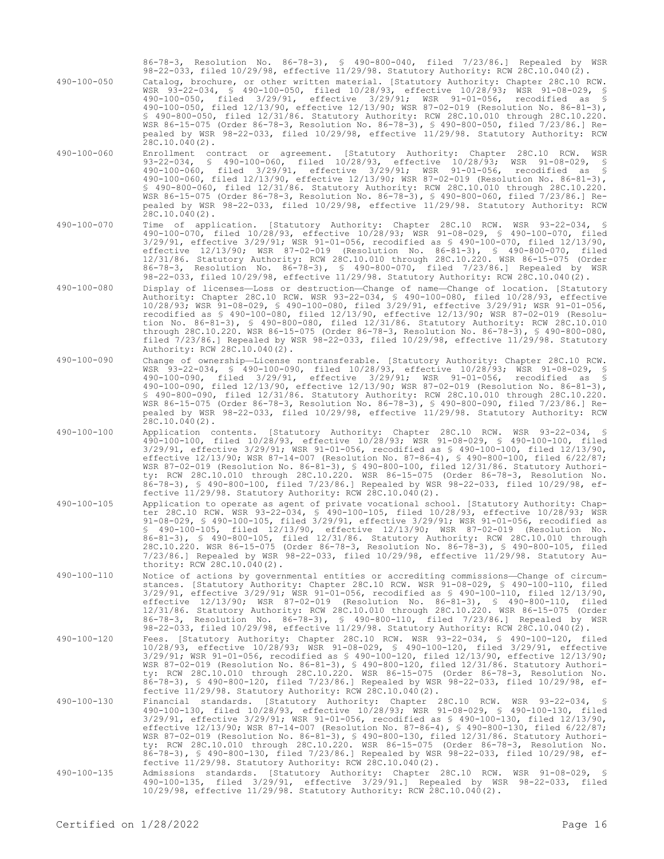86-78-3, Resolution No. 86-78-3), § 490-800-040, filed 7/23/86.] Repealed by WSR 98-22-033, filed 10/29/98, effective 11/29/98. Statutory Authority: RCW 28C.10.040(2).

490-100-050 Catalog, brochure, or other written material. [Statutory Authority: Chapter 28C.10 RCW. WSR 93-22-034, § 490-100-050, filed 10/28/93, effective 10/28/93; WSR 91-08-029, § 490-100-050, filed 3/29/91, effective 3/29/91; WSR 91-01-056, recodified as § 490-100-050, filed 12/13/90, effective 12/13/90; WSR 87-02-019 (Resolution No. 86-81-3), § 490-800-050, filed 12/31/86. Statutory Authority: RCW 28C.10.010 through 28C.10.220. WSR 86-15-075 (Order 86-78-3, Resolution No. 86-78-3), § 490-800-050, filed 7/23/86.] Repealed by WSR 98-22-033, filed 10/29/98, effective 11/29/98. Statutory Authority: RCW  $28C.10.040(2)$ .

- 490-100-060 Enrollment contract or agreement. [Statutory Authority: Chapter 28C.10 RCW. WSR 93-22-034, § 490-100-060, filed 10/28/93, effective 10/28/93; WSR 91-08-029, § 490-100-060, filed 3/29/91, effective 3/29/91; WSR 91-01-056, recodified as § 490-100-060, filed 12/13/90, effective 12/13/90; WSR 87-02-019 (Resolution No. 86-81-3), § 490-800-060, filed 12/31/86. Statutory Authority: RCW 28C.10.010 through 28C.10.220. WSR 86-15-075 (Order 86-78-3, Resolution No. 86-78-3), § 490-800-060, filed 7/23/86.] Repealed by WSR 98-22-033, filed 10/29/98, effective 11/29/98. Statutory Authority: RCW 28C.10.040(2).
- 490-100-070 Time of application. [Statutory Authority: Chapter 28C.10 RCW. WSR 93-22-034, § 490-100-070, filed 10/28/93, effective 10/28/93; WSR 91-08-029, § 490-100-070, filed 3/29/91, effective 3/29/91; WSR 91-01-056, recodified as § 490-100-070, filed 12/13/90, effective 12/13/90; WSR 87-02-019 (Resolution No. 86-81-3), § 490-800-070, filed 12/31/86. Statutory Authority: RCW 28C.10.010 through 28C.10.220. WSR 86-15-075 (Order 86-78-3, Resolution No. 86-78-3), § 490-800-070, filed 7/23/86.] Repealed by WSR 98-22-033, filed 10/29/98, effective 11/29/98. Statutory Authority: RCW 28C.10.040(2).
- 490-100-080 Display of licenses—Loss or destruction—Change of name—Change of location. [Statutory Authority: Chapter 28C.10 RCW. WSR 93-22-034, § 490-100-080, filed 10/28/93, effective 10/28/93; WSR 91-08-029, § 490-100-080, filed 3/29/91, effective 3/29/91; WSR 91-01-056, recodified as § 490-100-080, filed 12/13/90, effective 12/13/90; WSR 87-02-019 (Resolution No. 86-81-3), § 490-800-080, filed 12/31/86. Statutory Authority: RCW 28C.10.010 through 28C.10.220. WSR 86-15-075 (Order 86-78-3, Resolution No. 86-78-3), § 490-800-080, filed 7/23/86.] Repealed by WSR 98-22-033, filed 10/29/98, effective 11/29/98. Statutory Authority: RCW 28C.10.040(2).
- 490-100-090 Change of ownership—License nontransferable. [Statutory Authority: Chapter 28C.10 RCW. WSR 93-22-034, § 490-100-090, filed 10/28/93, effective 10/28/93; WSR 91-08-029, §<br>WSR 93-22-034, § 490-100-090, filed 10/28/93, effective 10/28/93; WSR 91-08-029, § 490-100-090, filed 3/29/91, effective 3/29/91; WSR 91-01-056, recodified as § 490-100-090, filed 12/13/90, effective 12/13/90; WSR 87-02-019 (Resolution No. 86-81-3), § 490-800-090, filed 12/31/86. Statutory Authority: RCW 28C.10.010 through 28C.10.220. WSR 86-15-075 (Order 86-78-3, Resolution No. 86-78-3), § 490-800-090, filed 7/23/86.] Repealed by WSR 98-22-033, filed 10/29/98, effective 11/29/98. Statutory Authority: RCW  $28C.10.040(2)$ .
- 490-100-100 Application contents. [Statutory Authority: Chapter 28C.10 RCW. WSR 93-22-034, § 490-100-100, filed 10/28/93, effective 10/28/93; WSR 91-08-029, § 490-100-100, filed 3/29/91, effective 3/29/91; WSR 91-01-056, recodified as § 490-100-100, filed 12/13/90, effective 12/13/90; WSR 87-14-007 (Resolution No. 87-86-4), § 490-800-100, filed 6/22/87; WSR 87-02-019 (Resolution No. 86-81-3), § 490-800-100, filed 12/31/86. Statutory Authority: RCW 28C.10.010 through 28C.10.220. WSR 86-15-075 (Order 86-78-3, Resolution No. 86-78-3), § 490-800-100, filed 7/23/86.] Repealed by WSR 98-22-033, filed 10/29/98, effective 11/29/98. Statutory Authority: RCW 28C.10.040(2).
- 490-100-105 Application to operate as agent of private vocational school. [Statutory Authority: Chapter 28C.10 RCW. WSR 93-22-034, § 490-100-105, filed 10/28/93, effective 10/28/93; WSR 91-08-029, § 490-100-105, filed 3/29/91, effective 3/29/91; WSR 91-01-056, recodified as § 490-100-105, filed 12/13/90, effective 12/13/90; WSR 87-02-019 (Resolution No. 86-81-3), § 490-800-105, filed 12/31/86. Statutory Authority: RCW 28C.10.010 through 28C.10.220. WSR 86-15-075 (Order 86-78-3, Resolution No. 86-78-3), § 490-800-105, filed 7/23/86.] Repealed by WSR 98-22-033, filed 10/29/98, effective 11/29/98. Statutory Authority: RCW 28C.10.040(2).
- 490-100-110 Notice of actions by governmental entities or accrediting commissions—Change of circumstances. [Statutory Authority: Chapter 28C.10 RCW. WSR 91-08-029, § 490-100-110, filed 3/29/91, effective 3/29/91; WSR 91-01-056, recodified as § 490-100-110, filed 12/13/90, effective 12/13/90; WSR 87-02-019 (Resolution No. 86-81-3), § 490-800-110, filed 12/31/86. Statutory Authority: RCW 28C.10.010 through 28C.10.220. WSR 86-15-075 (Order 86-78-3, Resolution No. 86-78-3), § 490-800-110, filed 7/23/86.] Repealed by WSR 98-22-033, filed 10/29/98, effective 11/29/98. Statutory Authority: RCW 28C.10.040(2).
- 490-100-120 Fees. [Statutory Authority: Chapter 28C.10 RCW. WSR 93-22-034, § 490-100-120, filed 10/28/93, effective 10/28/93; WSR 91-08-029, § 490-100-120, filed 3/29/91, effective 3/29/91; WSR 91-01-056, recodified as § 490-100-120, filed 12/13/90, effective 12/13/90; WSR 87-02-019 (Resolution No. 86-81-3), § 490-800-120, filed 12/31/86. Statutory Authority: RCW 28C.10.010 through 28C.10.220. WSR 86-15-075 (Order 86-78-3, Resolution No. 86-78-3), § 490-800-120, filed 7/23/86.] Repealed by WSR 98-22-033, filed 10/29/98, effective 11/29/98. Statutory Authority: RCW 28C.10.040(2).
- 490-100-130 Financial standards. [Statutory Authority: Chapter 28C.10 RCW. WSR 93-22-034, § 490-100-130, filed 10/28/93, effective 10/28/93; WSR 91-08-029, § 490-100-130, filed 3/29/91, effective 3/29/91; WSR 91-01-056, recodified as § 490-100-130, filed 12/13/90, effective 12/13/90; WSR 87-14-007 (Resolution No. 87-86-4), § 490-800-130, filed 6/22/87; WSR 87-02-019 (Resolution No. 86-81-3), § 490-800-130, filed 12/31/86. Statutory Authority: RCW 28C.10.010 through 28C.10.220. WSR 86-15-075 (Order 86-78-3, Resolution No. 86-78-3), § 490-800-130, filed 7/23/86.] Repealed by WSR 98-22-033, filed 10/29/98, effective 11/29/98. Statutory Authority: RCW 28C.10.040(2).
- 490-100-135 Admissions standards. [Statutory Authority: Chapter 28C.10 RCW. WSR 91-08-029, § 490-100-135, filed 3/29/91, effective 3/29/91.] Repealed by WSR 98-22-033, filed 10/29/98, effective 11/29/98. Statutory Authority: RCW 28C.10.040(2).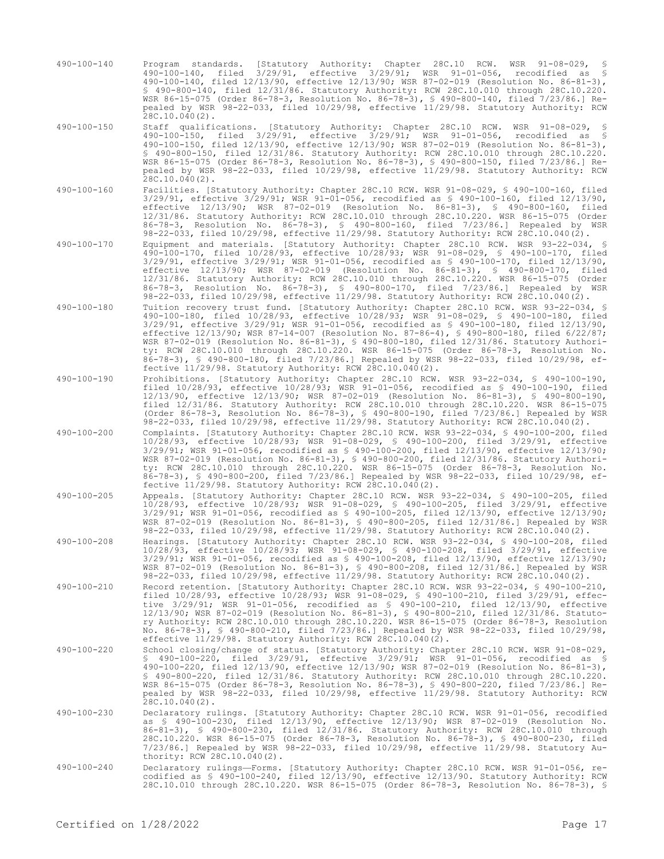- 490-100-140 Program standards. [Statutory Authority: Chapter 28C.10 RCW. WSR 91-08-029, § 490-100-140, filed 3/29/91, effective 3/29/91; WSR 91-01-056, recodified as § 490-100-140, filed 12/13/90, effective 12/13/90; WSR 87-02-019 (Resolution No. 86-81-3), § 490-800-140, filed 12/31/86. Statutory Authority: RCW 28C.10.010 through 28C.10.220. WSR 86-15-075 (Order 86-78-3, Resolution No. 86-78-3), § 490-800-140, filed 7/23/86.] Repealed by WSR 98-22-033, filed 10/29/98, effective 11/29/98. Statutory Authority: RCW 28C.10.040(2).
- 490-100-150 Staff qualifications. [Statutory Authority: Chapter 28C.10 RCW. WSR 91-08-029, § 490-100-150, filed 3/29/91, effective 3/29/91; WSR 91-01-056, recodified as § 490-100-150, filed 12/13/90, effective 12/13/90; WSR 87-02-019 (Resolution No. 86-81-3), § 490-800-150, filed 12/31/86. Statutory Authority: RCW 28C.10.010 through 28C.10.220. WSR 86-15-075 (Order 86-78-3, Resolution No. 86-78-3), § 490-800-150, filed 7/23/86.] Repealed by WSR 98-22-033, filed 10/29/98, effective 11/29/98. Statutory Authority: RCW 28C.10.040(2).
- 490-100-160 Facilities. [Statutory Authority: Chapter 28C.10 RCW. WSR 91-08-029, § 490-100-160, filed 3/29/91, effective 3/29/91; WSR 91-01-056, recodified as § 490-100-160, filed 12/13/90, effective 12/13/90; WSR 87-02-019 (Resolution No. 86-81-3), § 490-800-160, filed 12/31/86. Statutory Authority: RCW 28C.10.010 through 28C.10.220. WSR 86-15-075 (Order 86-78-3, Resolution No. 86-78-3), § 490-800-160, filed 7/23/86.] Repealed by WSR 98-22-033, filed 10/29/98, effective 11/29/98. Statutory Authority: RCW 28C.10.040(2).
- 490-100-170 Equipment and materials. [Statutory Authority: Chapter 28C.10 RCW. WSR 93-22-034, § 490-100-170, filed 10/28/93, effective 10/28/93; WSR 91-08-029, § 490-100-170, filed 3/29/91, effective 3/29/91; WSR 91-01-056, recodified as § 490-100-170, filed 12/13/90, effective 12/13/90; WSR 87-02-019 (Resolution No. 86-81-3), § 490-800-170, filed 12/31/86. Statutory Authority: RCW 28C.10.010 through 28C.10.220. WSR 86-15-075 (Order 86-78-3, Resolution No. 86-78-3), § 490-800-170, filed 7/23/86.] Repealed by WSR 98-22-033, filed 10/29/98, effective 11/29/98. Statutory Authority: RCW 28C.10.040(2).
- 490-100-180 Tuition recovery trust fund. [Statutory Authority: Chapter 28C.10 RCW. WSR 93-22-034, § 490-100-180, filed 10/28/93, effective 10/28/93; WSR 91-08-029, § 490-100-180, filed 3/29/91, effective 3/29/91; WSR 91-01-056, recodified as § 490-100-180, filed 12/13/90, effective 12/13/90; WSR 87-14-007 (Resolution No. 87-86-4), § 490-800-180, filed 6/22/87; WSR 87-02-019 (Resolution No. 86-81-3), § 490-800-180, filed 12/31/86. Statutory Authority: RCW 28C.10.010 through 28C.10.220. WSR 86-15-075 (Order 86-78-3, Resolution No. 86-78-3), § 490-800-180, filed 7/23/86.] Repealed by WSR 98-22-033, filed 10/29/98, effective 11/29/98. Statutory Authority: RCW 28C.10.040(2).
- 490-100-190 Prohibitions. [Statutory Authority: Chapter 28C.10 RCW. WSR 93-22-034, § 490-100-190, filed 10/28/93, effective 10/28/93; WSR 91-01-056, recodified as § 490-100-190, filed 12/13/90, effective 12/13/90; WSR 87-02-019 (Resolution No. 86-81-3), § 490-800-190, filed 12/31/86. Statutory Authority: RCW 28C.10.010 through 28C.10.220. WSR 86-15-075 (Order 86-78-3, Resolution No. 86-78-3), § 490-800-190, filed 7/23/86.] Repealed by WSR 98-22-033, filed 10/29/98, effective 11/29/98. Statutory Authority: RCW 28C.10.040(2).
- 490-100-200 Complaints. [Statutory Authority: Chapter 28C.10 RCW. WSR 93-22-034, § 490-100-200, filed 10/28/93, effective 10/28/93; WSR 91-08-029, § 490-100-200, filed 3/29/91, effective 3/29/91; WSR 91-01-056, recodified as § 490-100-200, filed 12/13/90, effective 12/13/90; WSR 87-02-019 (Resolution No. 86-81-3), § 490-800-200, filed 12/31/86. Statutory Authority: RCW 28C.10.010 through 28C.10.220. WSR 86-15-075 (Order 86-78-3, Resolution No. 86-78-3), § 490-800-200, filed 7/23/86.] Repealed by WSR 98-22-033, filed 10/29/98, effective 11/29/98. Statutory Authority: RCW 28C.10.040(2).
- 490-100-205 Appeals. [Statutory Authority: Chapter 28C.10 RCW. WSR 93-22-034, § 490-100-205, filed 10/28/93, effective 10/28/93; WSR 91-08-029, § 490-100-205, filed 3/29/91, effective 3/29/91; WSR 91-01-056, recodified as § 490-100-205, filed 12/13/90, effective 12/13/90; WSR 87-02-019 (Resolution No. 86-81-3), § 490-800-205, filed 12/31/86.] Repealed by WSR 98-22-033, filed 10/29/98, effective 11/29/98. Statutory Authority: RCW 28C.10.040(2).
- 490-100-208 Hearings. [Statutory Authority: Chapter 28C.10 RCW. WSR 93-22-034, § 490-100-208, filed 10/28/93, effective 10/28/93; WSR 91-08-029, § 490-100-208, filed 3/29/91, effective 3/29/91; WSR 91-01-056, recodified as § 490-100-208, filed 12/13/90, effective 12/13/90; WSR 87-02-019 (Resolution No. 86-81-3), § 490-800-208, filed 12/31/86.] Repealed by WSR 98-22-033, filed 10/29/98, effective 11/29/98. Statutory Authority: RCW 28C.10.040(2).
- 490-100-210 Record retention. [Statutory Authority: Chapter 28C.10 RCW. WSR 93-22-034, § 490-100-210, filed 10/28/93, effective 10/28/93; WSR 91-08-029, § 490-100-210, filed 3/29/91, effective 3/29/91; WSR 91-01-056, recodified as § 490-100-210, filed 12/13/90, effective 12/13/90; WSR 87-02-019 (Resolution No. 86-81-3), § 490-800-210, filed 12/31/86. Statutory Authority: RCW 28C.10.010 through 28C.10.220. WSR 86-15-075 (Order 86-78-3, Resolution No. 86-78-3), § 490-800-210, filed 7/23/86.] Repealed by WSR 98-22-033, filed 10/29/98, effective 11/29/98. Statutory Authority: RCW 28C.10.040(2).
- 490-100-220 School closing/change of status. [Statutory Authority: Chapter 28C.10 RCW. WSR 91-08-029, § 490-100-220, filed 3/29/91, effective 3/29/91; WSR 91-01-056, recodified as § 490-100-220, filed 12/13/90, effective 12/13/90; WSR 87-02-019 (Resolution No. 86-81-3), § 490-800-220, filed 12/31/86. Statutory Authority: RCW 28C.10.010 through 28C.10.220. WSR 86-15-075 (Order 86-78-3, Resolution No. 86-78-3), § 490-800-220, filed 7/23/86.] Repealed by WSR 98-22-033, filed 10/29/98, effective 11/29/98. Statutory Authority: RCW 28C.10.040(2).
- 490-100-230 Declaratory rulings. [Statutory Authority: Chapter 28C.10 RCW. WSR 91-01-056, recodified<br>as \$ 490-100-230, filed 12/13/90, effective 12/13/90; WSR 87-02-019 (Resolution No.<br>86-81-3), \$ 490-800-230, filed 12/31/ 28C.10.220. WSR 86-15-075 (Order 86-78-3, Resolution No. 86-78-3), § 490-800-230, filed 7/23/86.] Repealed by WSR 98-22-033, filed 10/29/98, effective 11/29/98. Statutory Authority: RCW 28C.10.040(2).
- 490-100-240 Declaratory rulings—Forms. [Statutory Authority: Chapter 28C.10 RCW. WSR 91-01-056, recodified as § 490-100-240, filed 12/13/90, effective 12/13/90. Statutory Authority: RCW 28C.10.010 through 28C.10.220. WSR 86-15-075 (Order 86-78-3, Resolution No. 86-78-3), §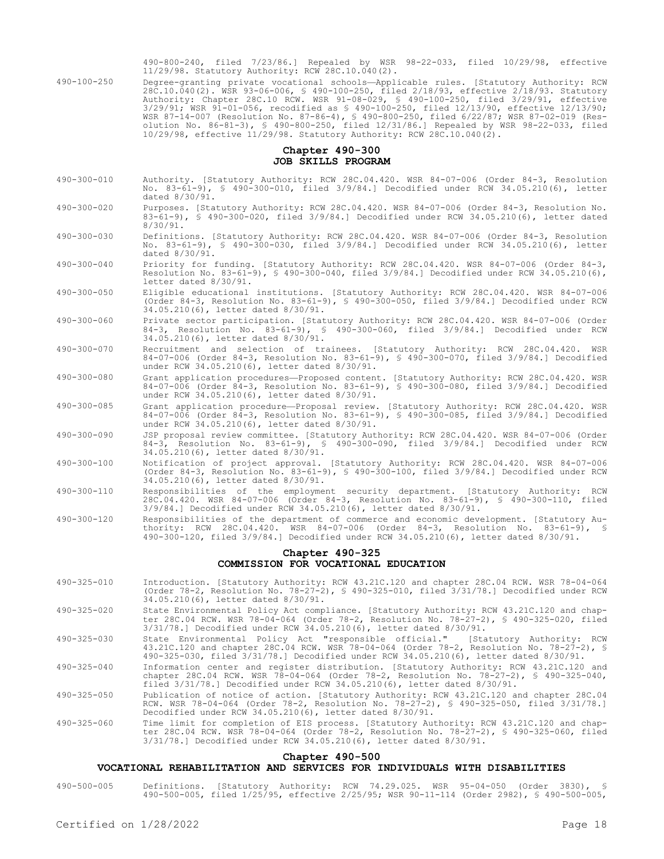490-800-240, filed 7/23/86.] Repealed by WSR 98-22-033, filed 10/29/98, effective 11/29/98. Statutory Authority: RCW 28C.10.040(2).

490-100-250 Degree-granting private vocational schools—Applicable rules. [Statutory Authority: RCW 28C.10.040(2). WSR 93-06-006, § 490-100-250, filed 2/18/93, effective 2/18/93. Statutory Authority: Chapter 28C.10 RCW. WSR 91-08-029, § 490-100-250, filed 3/29/91, effective 3/29/91; WSR 91-01-056, recodified as § 490-100-250, filed 12/13/90, effective 12/13/90; WSR 87-14-007 (Resolution No. 87-86-4), § 490-800-250, filed 6/22/87; WSR 87-02-019 (Resolution No. 86-81-3), § 490-800-250, filed 12/31/86.] Repealed by WSR 98-22-033, filed 10/29/98, effective 11/29/98. Statutory Authority: RCW 28C.10.040(2).

## **Chapter 490-300 JOB SKILLS PROGRAM**

- 490-300-010 Authority. [Statutory Authority: RCW 28C.04.420. WSR 84-07-006 (Order 84-3, Resolution No. 83-61-9), § 490-300-010, filed 3/9/84.] Decodified under RCW 34.05.210(6), letter dated 8/30/91.
- 490-300-020 Purposes. [Statutory Authority: RCW 28C.04.420. WSR 84-07-006 (Order 84-3, Resolution No. 83-61-9), § 490-300-020, filed 3/9/84.] Decodified under RCW 34.05.210(6), letter dated 8/30/91.
- 490-300-030 Definitions. [Statutory Authority: RCW 28C.04.420. WSR 84-07-006 (Order 84-3, Resolution No. 83-61-9), § 490-300-030, filed 3/9/84.] Decodified under RCW 34.05.210(6), letter dated 8/30/91.
- 490-300-040 Priority for funding. [Statutory Authority: RCW 28C.04.420. WSR 84-07-006 (Order 84-3, Resolution No. 83-61-9), § 490-300-040, filed 3/9/84.] Decodified under RCW 34.05.210(6), letter dated 8/30/91.
- 490-300-050 Eligible educational institutions. [Statutory Authority: RCW 28C.04.420. WSR 84-07-006 (Order 84-3, Resolution No. 83-61-9), § 490-300-050, filed 3/9/84.] Decodified under RCW 34.05.210(6), letter dated 8/30/91.
- 490-300-060 Private sector participation. [Statutory Authority: RCW 28C.04.420. WSR 84-07-006 (Order 84-3, Resolution No. 83-61-9), § 490-300-060, filed 3/9/84.] Decodified under RCW 34.05.210(6), letter dated 8/30/91.
- 490-300-070 Recruitment and selection of trainees. [Statutory Authority: RCW 28C.04.420. WSR 84-07-006 (Order 84-3, Resolution No. 83-61-9), § 490-300-070, filed 3/9/84.] Decodified under RCW 34.05.210(6), letter dated 8/30/91.
- 490-300-080 Grant application procedures—Proposed content. [Statutory Authority: RCW 28C.04.420. WSR 84-07-006 (Order 84-3, Resolution No. 83-61-9), § 490-300-080, filed 3/9/84.] Decodified under RCW 34.05.210(6), letter dated 8/30/91.
- 490-300-085 Grant application procedure—Proposal review. [Statutory Authority: RCW 28C.04.420. WSR 84-07-006 (Order 84-3, Resolution No. 83-61-9), § 490-300-085, filed 3/9/84.] Decodified under RCW 34.05.210(6), letter dated 8/30/91.
- 490-300-090 JSP proposal review committee. [Statutory Authority: RCW 28C.04.420. WSR 84-07-006 (Order 84-3, Resolution No. 83-61-9), § 490-300-090, filed 3/9/84.] Decodified under RCW 34.05.210(6), letter dated 8/30/91.
- 490-300-100 Notification of project approval. [Statutory Authority: RCW 28C.04.420. WSR 84-07-006 (Order 84-3, Resolution No. 83-61-9), § 490-300-100, filed 3/9/84.] Decodified under RCW 34.05.210(6), letter dated 8/30/91.
- 490-300-110 Responsibilities of the employment security department. [Statutory Authority: RCW 28C.04.420. WSR 84-07-006 (Order 84-3, Resolution No. 83-61-9), § 490-300-110, filed 3/9/84.] Decodified under RCW 34.05.210(6), letter dated 8/30/91.
- 490-300-120 Responsibilities of the department of commerce and economic development. [Statutory Authority: RCW 28C.04.420. WSR 84-07-006 (Order 84-3, Resolution No. 83-61-9), § 490-300-120, filed 3/9/84.] Decodified under RCW 34.05.210(6), letter dated 8/30/91.

# **Chapter 490-325 COMMISSION FOR VOCATIONAL EDUCATION**

- 490-325-010 Introduction. [Statutory Authority: RCW 43.21C.120 and chapter 28C.04 RCW. WSR 78-04-064 (Order 78-2, Resolution No. 78-27-2), § 490-325-010, filed 3/31/78.] Decodified under RCW 34.05.210(6), letter dated 8/30/91.
- 490-325-020 State Environmental Policy Act compliance. [Statutory Authority: RCW 43.21C.120 and chapter 28C.04 RCW. WSR 78-04-064 (Order 78-2, Resolution No. 78-27-2), § 490-325-020, filed 3/31/78.] Decodified under RCW 34.05.210(6), letter dated 8/30/91.
- 490-325-030 State Environmental Policy Act "responsible official." [Statutory Authority: RCW 43.21C.120 and chapter 28C.04 RCW. WSR 78-04-064 (Order 78-2, Resolution No. 78-27-2), § 490-325-030, filed 3/31/78.] Decodified under RCW 34.05.210(6), letter dated 8/30/91.
- 490-325-040 Information center and register distribution. [Statutory Authority: RCW 43.21C.120 and chapter 28C.04 RCW. WSR 78-04-064 (Order 78-2, Resolution No. 78-27-2), § 490-325-040, filed 3/31/78.] Decodified under RCW 34.05.210(6), letter dated 8/30/91.
- 490-325-050 Publication of notice of action. [Statutory Authority: RCW 43.21C.120 and chapter 28C.04 RCW. WSR 78-04-064 (Order 78-2, Resolution No. 78-27-2), § 490-325-050, filed 3/31/78.] Decodified under RCW 34.05.210(6), letter dated 8/30/91.
- 490-325-060 Time limit for completion of EIS process. [Statutory Authority: RCW 43.21C.120 and chap-ter 28C.04 RCW. WSR 78-04-064 (Order 78-2, Resolution No. 78-27-2), § 490-325-060, filed 3/31/78.] Decodified under RCW 34.05.210(6), letter dated 8/30/91.

# **Chapter 490-500**

# **VOCATIONAL REHABILITATION AND SERVICES FOR INDIVIDUALS WITH DISABILITIES**

490-500-005 Definitions. [Statutory Authority: RCW 74.29.025. WSR 95-04-050 (Order 3830), § 490-500-005, filed 1/25/95, effective 2/25/95; WSR 90-11-114 (Order 2982), § 490-500-005,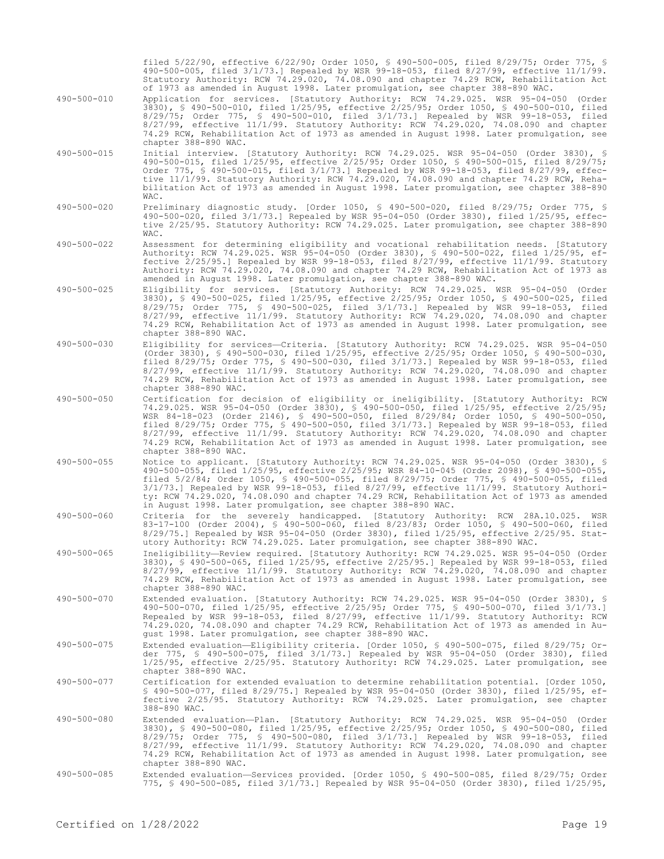filed 5/22/90, effective 6/22/90; Order 1050, § 490-500-005, filed 8/29/75; Order 775, § 490-500-005, filed 3/1/73.] Repealed by WSR 99-18-053, filed 8/27/99, effective 11/1/99. Statutory Authority: RCW 74.29.020, 74.08.090 and chapter 74.29 RCW, Rehabilitation Act of 1973 as amended in August 1998. Later promulgation, see chapter 388-890 WAC.

- 490-500-010 Application for services. [Statutory Authority: RCW 74.29.025. WSR 95-04-050 (Order 3830), § 490-500-010, filed 1/25/95, effective 2/25/95; Order 1050, § 490-500-010, filed 8/29/75; Order 775, § 490-500-010, filed 3/1/73.] Repealed by WSR 99-18-053, filed 8/27/99, effective 11/1/99. Statutory Authority: RCW 74.29.020, 74.08.090 and chapter 74.29 RCW, Rehabilitation Act of 1973 as amended in August 1998. Later promulgation, see chapter 388-890 WAC.
- 490-500-015 Initial interview. [Statutory Authority: RCW 74.29.025. WSR 95-04-050 (Order 3830), § 490-500-015, filed 1/25/95, effective 2/25/95; Order 1050, § 490-500-015, filed 8/29/75; Order 775, § 490-500-015, filed 3/1/73.] Repealed by WSR 99-18-053, filed 8/27/99, effective 11/1/99. Statutory Authority: RCW 74.29.020, 74.08.090 and chapter 74.29 RCW, Rehabilitation Act of 1973 as amended in August 1998. Later promulgation, see chapter 388-890 WAC.
- 490-500-020 Preliminary diagnostic study. [Order 1050, § 490-500-020, filed 8/29/75; Order 775, § 490-500-020, filed 3/1/73.] Repealed by WSR 95-04-050 (Order 3830), filed 1/25/95, effective 2/25/95. Statutory Authority: RCW 74.29.025. Later promulgation, see chapter 388-890  $WAP$
- 490-500-022 Assessment for determining eligibility and vocational rehabilitation needs. [Statutory Authority: RCW 74.29.025. WSR 95-04-050 (Order 3830), § 490-500-022, filed 1/25/95, effective 2/25/95.] Repealed by WSR 99-18-053, filed 8/27/99, effective 11/1/99. Statutory Authority: RCW 74.29.020, 74.08.090 and chapter 74.29 RCW, Rehabilitation Act of 1973 as amended in August 1998. Later promulgation, see chapter 388-890 WAC.
- 490-500-025 Eligibility for services. [Statutory Authority: RCW 74.29.025. WSR 95-04-050 (Order 3830), § 490-500-025, filed 1/25/95, effective 2/25/95; Order 1050, § 490-500-025, filed 8/29/75; Order 775, § 490-500-025, filed 3/1/73.] Repealed by WSR 99-18-053, filed 8/27/99, effective 11/1/99. Statutory Authority: RCW 74.29.020, 74.08.090 and chapter 74.29 RCW, Rehabilitation Act of 1973 as amended in August 1998. Later promulgation, see chapter 388-890 WAC.
- 490-500-030 Eligibility for services—Criteria. [Statutory Authority: RCW 74.29.025. WSR 95-04-050 (Order 3830), § 490-500-030, filed 1/25/95, effective 2/25/95; Order 1050, § 490-500-030, filed 8/29/75; Order 775, § 490-500-030, filed 3/1/73.] Repealed by WSR 99-18-053, filed 8/27/99, effective 11/1/99. Statutory Authority: RCW 74.29.020, 74.08.090 and chapter 74.29 RCW, Rehabilitation Act of 1973 as amended in August 1998. Later promulgation, see chapter 388-890 WAC.
- 490-500-050 Certification for decision of eligibility or ineligibility. [Statutory Authority: RCW 74.29.025. WSR 95-04-050 (Order 3830), § 490-500-050, filed 1/25/95, effective 2/25/95; WSR 84-18-023 (Order 2146), § 490-500-050, filed 8/29/84; Order 1050, § 490-500-050, filed 8/29/75; Order 775, § 490-500-050, filed 3/1/73.] Repealed by WSR 99-18-053, filed 8/27/99, effective 11/1/99. Statutory Authority: RCW 74.29.020, 74.08.090 and chapter 74.29 RCW, Rehabilitation Act of 1973 as amended in August 1998. Later promulgation, see chapter 388-890 WAC.
- 490-500-055 Notice to applicant. [Statutory Authority: RCW 74.29.025. WSR 95-04-050 (Order 3830), § 490-500-055, filed 1/25/95, effective 2/25/95; WSR 84-10-045 (Order 2098), § 490-500-055, filed 5/2/84; Order 1050, § 490-500-055, filed 8/29/75; Order 775, § 490-500-055, filed 3/1/73.] Repealed by WSR 99-18-053, filed 8/27/99, effective 11/1/99. Statutory Authority: RCW 74.29.020, 74.08.090 and chapter 74.29 RCW, Rehabilitation Act of 1973 as amended in August 1998. Later promulgation, see chapter 388-890 WAC.
- 490-500-060 Criteria for the severely handicapped. [Statutory Authority: RCW 28A.10.025. WSR 83-17-100 (Order 2004), § 490-500-060, filed 8/23/83; Order 1050, § 490-500-060, filed 8/29/75.] Repealed by WSR 95-04-050 (Order 3830), filed 1/25/95, effective 2/25/95. Statutory Authority: RCW 74.29.025. Later promulgation, see chapter 388-890 WAC.
- 490-500-065 Ineligibility—Review required. [Statutory Authority: RCW 74.29.025. WSR 95-04-050 (Order 3830), § 490-500-065, filed 1/25/95, effective 2/25/95.] Repealed by WSR 99-18-053, filed 8/27/99, effective 11/1/99. Statutory Authority: RCW 74.29.020, 74.08.090 and chapter 74.29 RCW, Rehabilitation Act of 1973 as amended in August 1998. Later promulgation, see chapter 388-890 WAC.
- 490-500-070 Extended evaluation. [Statutory Authority: RCW 74.29.025. WSR 95-04-050 (Order 3830), § 490-500-070, filed 1/25/95, effective 2/25/95; Order 775, § 490-500-070, filed 3/1/73.] Repealed by WSR 99-18-053, filed 8/27/99, effective 11/1/99. Statutory Authority: RCW 74.29.020, 74.08.090 and chapter 74.29 RCW, Rehabilitation Act of 1973 as amended in August 1998. Later promulgation, see chapter 388-890 WAC.
- 490-500-075 Extended evaluation—Eligibility criteria. [Order 1050, § 490-500-075, filed 8/29/75; Order 775, § 490-500-075, filed 3/1/73.] Repealed by WSR 95-04-050 (Order 3830), filed 1/25/95, effective 2/25/95. Statutory Authority: RCW 74.29.025. Later promulgation, see chapter 388-890 WAC.
- 490-500-077 Certification for extended evaluation to determine rehabilitation potential. [Order 1050, § 490-500-077, filed 8/29/75.] Repealed by WSR 95-04-050 (Order 3830), filed 1/25/95, effective 2/25/95. Statutory Authority: RCW 74.29.025. Later promulgation, see chapter 388-890 WAC.
- 490-500-080 Extended evaluation—Plan. [Statutory Authority: RCW 74.29.025. WSR 95-04-050 (Order 3830), § 490-500-080, filed 1/25/95, effective 2/25/95; Order 1050, § 490-500-080, filed 8/29/75; Order 775, § 490-500-080, filed 3/1/73.] Repealed by WSR 99-18-053, filed 8/27/99, effective 11/1/99. Statutory Authority: RCW 74.29.020, 74.08.090 and chapter 74.29 RCW, Rehabilitation Act of 1973 as amended in August 1998. Later promulgation, see chapter 388-890 WAC.
- 490-500-085 Extended evaluation—Services provided. [Order 1050, § 490-500-085, filed 8/29/75; Order 775, § 490-500-085, filed 3/1/73.] Repealed by WSR 95-04-050 (Order 3830), filed 1/25/95,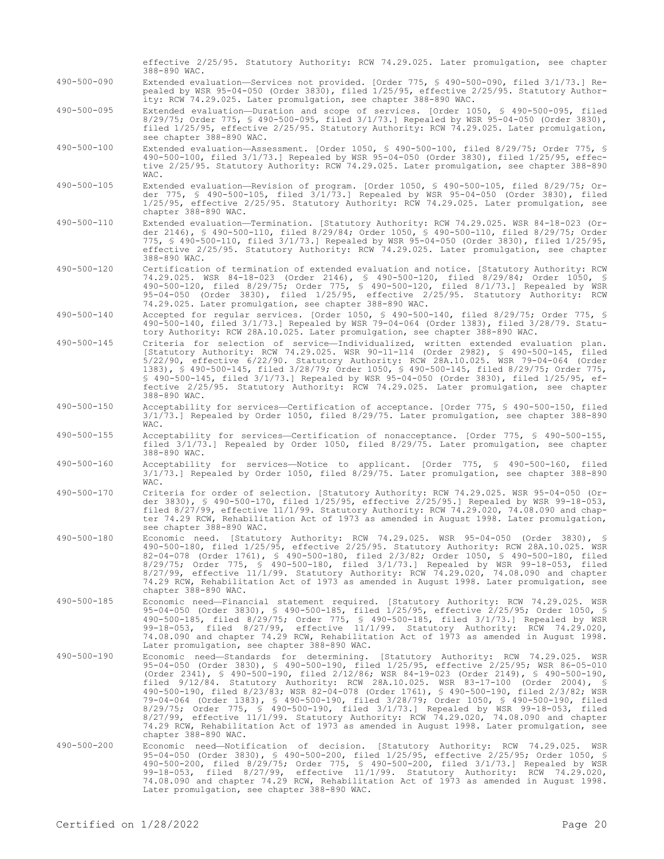|                   | effective 2/25/95. Statutory Authority: RCW 74.29.025. Later promulgation, see chapter<br>388-890 WAC.                                                                                                                                                                                                                                                                                                                                                                                                                                                                                                                                                                                                                                                                                                                                                       |
|-------------------|--------------------------------------------------------------------------------------------------------------------------------------------------------------------------------------------------------------------------------------------------------------------------------------------------------------------------------------------------------------------------------------------------------------------------------------------------------------------------------------------------------------------------------------------------------------------------------------------------------------------------------------------------------------------------------------------------------------------------------------------------------------------------------------------------------------------------------------------------------------|
| $490 - 500 - 090$ | Extended evaluation—Services not provided. [Order 775, § 490-500-090, filed 3/1/73.] Re-<br>pealed by WSR 95-04-050 (Order 3830), filed 1/25/95, effective 2/25/95. Statutory Author-<br>ity: RCW 74.29.025. Later promulgation, see chapter 388-890 WAC.                                                                                                                                                                                                                                                                                                                                                                                                                                                                                                                                                                                                    |
| $490 - 500 - 095$ | Extended evaluation-Duration and scope of services. [Order 1050, § 490-500-095, filed<br>$8/29/75$ ; Order 775, § 490-500-095, filed $3/1/73$ .] Repealed by WSR 95-04-050 (Order 3830),<br>filed 1/25/95, effective 2/25/95. Statutory Authority: RCW 74.29.025. Later promulgation,<br>see chapter 388-890 WAC.                                                                                                                                                                                                                                                                                                                                                                                                                                                                                                                                            |
| 490-500-100       | Extended evaluation-Assessment. [Order 1050, § 490-500-100, filed 8/29/75; Order 775, §<br>490-500-100, filed 3/1/73.] Repealed by WSR 95-04-050 (Order 3830), filed 1/25/95, effec-<br>tive 2/25/95. Statutory Authority: RCW 74.29.025. Later promulgation, see chapter 388-890<br>WAC.                                                                                                                                                                                                                                                                                                                                                                                                                                                                                                                                                                    |
| 490-500-105       | Extended evaluation—Revision of program. [Order 1050, § 490-500-105, filed 8/29/75; Or-<br>der 775, § 490-500-105, filed 3/1/73.] Repealed by WSR 95-04-050 (Order 3830), filed<br>1/25/95, effective 2/25/95. Statutory Authority: RCW 74.29.025. Later promulgation, see<br>chapter 388-890 WAC.                                                                                                                                                                                                                                                                                                                                                                                                                                                                                                                                                           |
| 490-500-110       | Extended evaluation-Termination. [Statutory Authority: RCW 74.29.025. WSR 84-18-023 (Or-<br>der 2146), § 490-500-110, filed 8/29/84; Order 1050, § 490-500-110, filed 8/29/75; Order<br>775, § 490-500-110, filed 3/1/73.] Repealed by WSR 95-04-050 (Order 3830), filed 1/25/95,<br>effective 2/25/95. Statutory Authority: RCW 74.29.025. Later promulgation, see chapter<br>388-890 WAC.                                                                                                                                                                                                                                                                                                                                                                                                                                                                  |
| 490-500-120       | Certification of termination of extended evaluation and notice. [Statutory Authority: RCW<br>74.29.025. WSR 84-18-023 (Order 2146), § 490-500-120, filed 8/29/84; Order 1050, §<br>490-500-120, filed 8/29/75; Order 775, § 490-500-120, filed 8/1/73.] Repealed by WSR<br>95-04-050 (Order 3830), filed 1/25/95, effective 2/25/95. Statutory Authority: RCW<br>74.29.025. Later promulgation, see chapter 388-890 WAC.                                                                                                                                                                                                                                                                                                                                                                                                                                     |
| 490-500-140       | Accepted for regular services. [Order 1050, § 490-500-140, filed 8/29/75; Order 775, §<br>490-500-140, filed 3/1/73.] Repealed by WSR 79-04-064 (Order 1383), filed 3/28/79. Statu-<br>tory Authority: RCW 28A.10.025. Later promulgation, see chapter 388-890 WAC.                                                                                                                                                                                                                                                                                                                                                                                                                                                                                                                                                                                          |
| 490-500-145       | Criteria for selection of service-Individualized, written extended evaluation plan.<br>[Statutory Authority: RCW 74.29.025. WSR 90-11-114 (Order 2982), § 490-500-145, filed<br>5/22/90, effective 6/22/90. Statutory Authority: RCW 28A.10.025. WSR 79-04-064 (Order<br>1383), § 490-500-145, filed 3/28/79; Order 1050, § 490-500-145, filed 8/29/75; Order 775,<br>\$ 490-500-145, filed 3/1/73.] Repealed by WSR 95-04-050 (Order 3830), filed 1/25/95, ef-<br>fective 2/25/95. Statutory Authority: RCW 74.29.025. Later promulgation, see chapter<br>388-890 WAC.                                                                                                                                                                                                                                                                                      |
| 490-500-150       | Acceptability for services—Certification of acceptance. [Order 775, § 490-500-150, filed<br>$3/1/73$ .] Repealed by Order 1050, filed $8/29/75$ . Later promulgation, see chapter 388-890<br>WAC.                                                                                                                                                                                                                                                                                                                                                                                                                                                                                                                                                                                                                                                            |
| 490-500-155       | Acceptability for services-Certification of nonacceptance. [Order 775, § 490-500-155,<br>filed 3/1/73.] Repealed by Order 1050, filed 8/29/75. Later promulgation, see chapter<br>388-890 WAC.                                                                                                                                                                                                                                                                                                                                                                                                                                                                                                                                                                                                                                                               |
| 490-500-160       | Acceptability for services—Notice to applicant. [Order 775, § 490-500-160, filed<br>3/1/73.] Repealed by Order 1050, filed 8/29/75. Later promulgation, see chapter 388-890<br>WAC.                                                                                                                                                                                                                                                                                                                                                                                                                                                                                                                                                                                                                                                                          |
| 490-500-170       | Criteria for order of selection. [Statutory Authority: RCW 74.29.025. WSR 95-04-050 (Or-<br>der 3830), § 490-500-170, filed 1/25/95, effective 2/25/95.] Repealed by WSR 99-18-053,<br>filed $8/27/99$ , effective $11/1/99$ . Statutory Authority: RCW 74.29.020, 74.08.090 and chap-<br>ter 74.29 RCW, Rehabilitation Act of 1973 as amended in August 1998. Later promulgation,<br>see chapter 388-890 WAC.                                                                                                                                                                                                                                                                                                                                                                                                                                               |
| 490-500-180       | Economic need. [Statutory Authority: RCW 74.29.025. WSR 95-04-050 (Order 3830), §<br>490-500-180, filed 1/25/95, effective 2/25/95. Statutory Authority: RCW 28A.10.025. WSR<br>82-04-078 (Order 1761), § 490-500-180, filed 2/3/82; Order 1050, § 490-500-180, filed<br>8/29/75; Order 775, § 490-500-180, filed 3/1/73.] Repealed by WSR 99-18-053, filed<br>$8/27/99$ , effective $11/1/99$ . Statutory Authority: RCW 74.29.020, 74.08.090 and chapter<br>74.29 RCW, Rehabilitation Act of 1973 as amended in August 1998. Later promulgation, see<br>chapter 388-890 WAC.                                                                                                                                                                                                                                                                               |
| 490-500-185       | Economic need-Financial statement required. [Statutory Authority: RCW 74.29.025. WSR<br>95-04-050 (Order 3830), § 490-500-185, filed 1/25/95, effective 2/25/95; Order 1050, §<br>490-500-185, filed 8/29/75; Order 775, § 490-500-185, filed 3/1/73.] Repealed by WSR<br>99-18-053, filed $8/27/99$ , effective $11/1/99$ . Statutory Authority: RCW 74.29.020,<br>74.08.090 and chapter 74.29 RCW, Rehabilitation Act of 1973 as amended in August 1998.<br>Later promulgation, see chapter 388-890 WAC.                                                                                                                                                                                                                                                                                                                                                   |
| 490-500-190       | Economic need-Standards for determining. [Statutory Authority: RCW 74.29.025. WSR<br>95-04-050 (Order 3830), § 490-500-190, filed 1/25/95, effective 2/25/95; WSR 86-05-010<br>(Order 2341), § 490-500-190, filed 2/12/86; WSR 84-19-023 (Order 2149), § 490-500-190,<br>filed $9/12/84$ . Statutory Authority: RCW 28A.10.025. WSR 83-17-100 (Order 2004), §<br>490-500-190, filed 8/23/83; WSR 82-04-078 (Order 1761), § 490-500-190, filed 2/3/82; WSR<br>79-04-064 (Order 1383), § 490-500-190, filed 3/28/79; Order 1050, § 490-500-190, filed<br>8/29/75; Order 775, § 490-500-190, filed 3/1/73.] Repealed by WSR 99-18-053, filed<br>$8/27/99$ , effective $11/1/99$ . Statutory Authority: RCW 74.29.020, 74.08.090 and chapter<br>74.29 RCW, Rehabilitation Act of 1973 as amended in August 1998. Later promulgation, see<br>chapter 388-890 WAC. |
| 490-500-200       | Economic need-Notification of decision. [Statutory Authority: RCW 74.29.025. WSR<br>95-04-050 (Order 3830), § 490-500-200, filed 1/25/95, effective 2/25/95; Order 1050, §<br>490-500-200, filed 8/29/75; Order 775, § 490-500-200, filed 3/1/73.] Repealed by WSR<br>99-18-053, filed 8/27/99, effective 11/1/99. Statutory Authority: RCW 74.29.020,<br>74.08.090 and chapter 74.29 RCW, Rehabilitation Act of 1973 as amended in August 1998.<br>Later promulgation, see chapter 388-890 WAC.                                                                                                                                                                                                                                                                                                                                                             |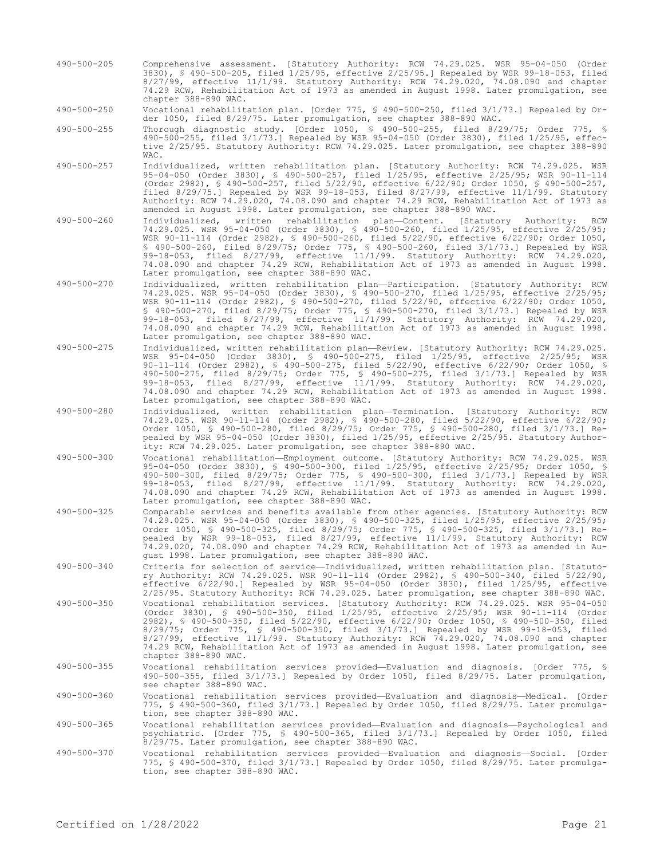490-500-205 Comprehensive assessment. [Statutory Authority: RCW 74.29.025. WSR 95-04-050 (Order 3830), § 490-500-205, filed 1/25/95, effective 2/25/95.] Repealed by WSR 99-18-053, filed 8/27/99, effective 11/1/99. Statutory Authority: RCW 74.29.020, 74.08.090 and chapter 74.29 RCW, Rehabilitation Act of 1973 as amended in August 1998. Later promulgation, see chapter 388-890 WAC.

490-500-250 Vocational rehabilitation plan. [Order 775, § 490-500-250, filed 3/1/73.] Repealed by Order 1050, filed 8/29/75. Later promulgation, see chapter 388-890 WAC.

490-500-255 Thorough diagnostic study. [Order 1050, § 490-500-255, filed 8/29/75; Order 775, § 490-500-255, filed 3/1/73.] Repealed by WSR 95-04-050 (Order 3830), filed 1/25/95, effective 2/25/95. Statutory Authority: RCW 74.29.025. Later promulgation, see chapter 388-890  $WAP$ 

490-500-257 Individualized, written rehabilitation plan. [Statutory Authority: RCW 74.29.025. WSR 95-04-050 (Order 3830), § 490-500-257, filed 1/25/95, effective 2/25/95; WSR 90-11-114 (Order 2982), § 490-500-257, filed 5/22/90, effective 6/22/90; Order 1050, § 490-500-257, filed 8/29/75.] Repealed by WSR 99-18-053, filed 8/27/99, effective 11/1/99. Statutory Authority: RCW 74.29.020, 74.08.090 and chapter 74.29 RCW, Rehabilitation Act of 1973 as amended in August 1998. Later promulgation, see chapter 388-890 WAC.

490-500-260 Individualized, written rehabilitation plan—Content. [Statutory Authority: RCW 74.29.025. WSR 95-04-050 (Order 3830), § 490-500-260, filed 1/25/95, effective 2/25/95; WSR 90-11-114 (Order 2982), § 490-500-260, filed 5/22/90, effective 6/22/90; Order 1050, § 490-500-260, filed 8/29/75; Order 775, § 490-500-260, filed 3/1/73.] Repealed by WSR 99-18-053, filed 8/27/99, effective 11/1/99. Statutory Authority: RCW 74.29.020, 74.08.090 and chapter 74.29 RCW, Rehabilitation Act of 1973 as amended in August 1998. Later promulgation, see chapter 388-890 WAC.

- 490-500-270 Individualized, written rehabilitation plan—Participation. [Statutory Authority: RCW 74.29.025. WSR 95-04-050 (Order 3830), § 490-500-270, filed 1/25/95, effective 2/25/95; WSR 90-11-114 (Order 2982), § 490-500-270, filed 5/22/90, effective 6/22/90; Order 1050, § 490-500-270, filed 8/29/75; Order 775, § 490-500-270, filed 3/1/73.] Repealed by WSR 99-18-053, filed 8/27/99, effective 11/1/99. Statutory Authority: RCW 74.29.020, 74.08.090 and chapter 74.29 RCW, Rehabilitation Act of 1973 as amended in August 1998. Later promulgation, see chapter 388-890 WAC.
- 490-500-275 Individualized, written rehabilitation plan—Review. [Statutory Authority: RCW 74.29.025. WSR 95-04-050 (Order 3830), § 490-500-275, filed 1/25/95, effective 2/25/95; WSR 90-11-114 (Order 2982), § 490-500-275, filed 5/22/90, effective 6/22/90; Order 1050, § 490-500-275, filed 8/29/75; Order 775, § 490-500-275, filed 3/1/73.] Repealed by WSR 99-18-053, filed 8/27/99, effective 11/1/99. Statutory Authority: RCW 74.29.020, 74.08.090 and chapter 74.29 RCW, Rehabilitation Act of 1973 as amended in August 1998. Later promulgation, see chapter 388-890 WAC.
- 490-500-280 Individualized, written rehabilitation plan—Termination. [Statutory Authority: RCW 74.29.025. WSR 90-11-114 (Order 2982), § 490-500-280, filed 5/22/90, effective 6/22/90; Order 1050, § 490-500-280, filed 8/29/75; Order 775, § 490-500-280, filed 3/1/73.] Repealed by WSR 95-04-050 (Order 3830), filed 1/25/95, effective 2/25/95. Statutory Authority: RCW 74.29.025. Later promulgation, see chapter 388-890 WAC.
- 490-500-300 Vocational rehabilitation—Employment outcome. [Statutory Authority: RCW 74.29.025. WSR 95-04-050 (Order 3830), § 490-500-300, filed 1/25/95, effective 2/25/95; Order 1050, § 490-500-300, filed 8/29/75; Order 775, § 490-500-300, filed 3/1/73.] Repealed by WSR 99-18-053, filed 8/27/99, effective 11/1/99. Statutory Authority: RCW 74.29.020, 74.08.090 and chapter 74.29 RCW, Rehabilitation Act of 1973 as amended in August 1998. Later promulgation, see chapter 388-890 WAC.
- 490-500-325 Comparable services and benefits available from other agencies. [Statutory Authority: RCW 74.29.025. WSR 95-04-050 (Order 3830), § 490-500-325, filed 1/25/95, effective 2/25/95; Order 1050, § 490-500-325, filed 8/29/75; Order 775, § 490-500-325, filed 3/1/73.] Repealed by WSR 99-18-053, filed 8/27/99, effective 11/1/99. Statutory Authority: RCW 74.29.020, 74.08.090 and chapter 74.29 RCW, Rehabilitation Act of 1973 as amended in August 1998. Later promulgation, see chapter 388-890 WAC.
- 490-500-340 Criteria for selection of service—Individualized, written rehabilitation plan. [Statutory Authority: RCW 74.29.025. WSR 90-11-114 (Order 2982), § 490-500-340, filed 5/22/90, effective 6/22/90.] Repealed by WSR 95-04-050 (Order 3830), filed 1/25/95, effective 2/25/95. Statutory Authority: RCW 74.29.025. Later promulgation, see chapter 388-890 WAC.
- 490-500-350 Vocational rehabilitation services. [Statutory Authority: RCW 74.29.025. WSR 95-04-050 (Order 3830), § 490-500-350, filed 1/25/95, effective 2/25/95; WSR 90-11-114 (Order 2982), § 490-500-350, filed 5/22/90, effective 6/22/90; Order 1050, § 490-500-350, filed 8/29/75; Order 775, § 490-500-350, filed 3/1/73.] Repealed by WSR 99-18-053, filed 8/27/99, effective 11/1/99. Statutory Authority: RCW 74.29.020, 74.08.090 and chapter 74.29 RCW, Rehabilitation Act of 1973 as amended in August 1998. Later promulgation, see chapter 388-890 WAC.
- 490-500-355 Vocational rehabilitation services provided—Evaluation and diagnosis. [Order 775, § 490-500-355, filed 3/1/73.] Repealed by Order 1050, filed 8/29/75. Later promulgation, see chapter 388-890 WAC.

490-500-360 Vocational rehabilitation services provided—Evaluation and diagnosis—Medical. [Order 775, § 490-500-360, filed 3/1/73.] Repealed by Order 1050, filed 8/29/75. Later promulgation, see chapter 388-890 WAC.

490-500-365 Vocational rehabilitation services provided—Evaluation and diagnosis—Psychological and psychiatric. [Order 775, § 490-500-365, filed 3/1/73.] Repealed by Order 1050, filed 8/29/75. Later promulgation, see chapter 388-890 WAC.

490-500-370 Vocational rehabilitation services provided—Evaluation and diagnosis—Social. [Order 775, § 490-500-370, filed 3/1/73.] Repealed by Order 1050, filed 8/29/75. Later promulgation, see chapter 388-890 WAC.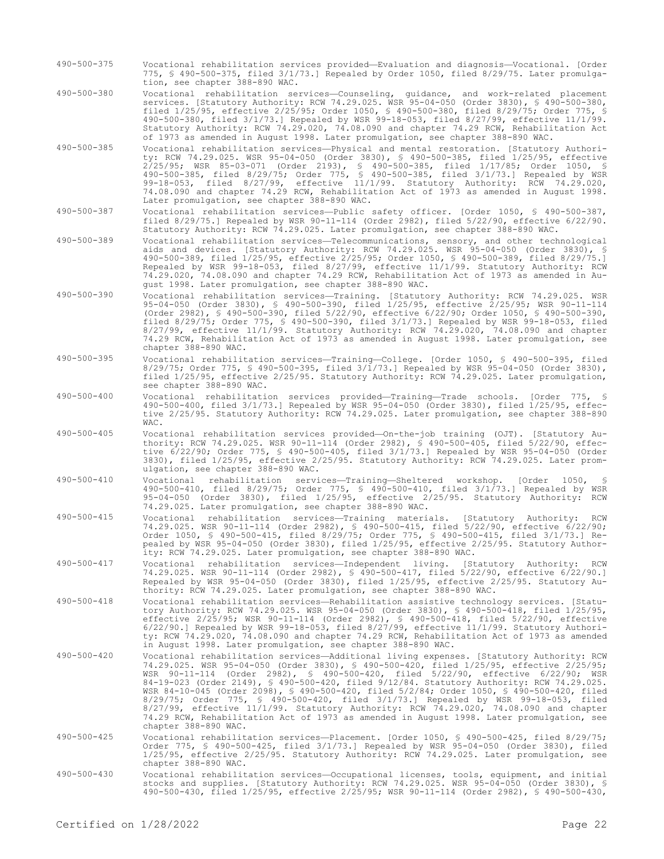- 490-500-375 Vocational rehabilitation services provided—Evaluation and diagnosis—Vocational. [Order 775, § 490-500-375, filed 3/1/73.] Repealed by Order 1050, filed 8/29/75. Later promulgation, see chapter 388-890 WAC.
- 490-500-380 Vocational rehabilitation services—Counseling, guidance, and work-related placement services. [Statutory Authority: RCW 74.29.025. WSR 95-04-050 (Order 3830), § 490-500-380, filed 1/25/95, effective 2/25/95; Order 1050, § 490-500-380, filed 8/29/75; Order 775, § 490-500-380, filed 3/1/73.] Repealed by WSR 99-18-053, filed 8/27/99, effective 11/1/99. Statutory Authority: RCW 74.29.020, 74.08.090 and chapter 74.29 RCW, Rehabilitation Act of 1973 as amended in August 1998. Later promulgation, see chapter 388-890 WAC.
- 490-500-385 Vocational rehabilitation services—Physical and mental restoration. [Statutory Authority: RCW 74.29.025. WSR 95-04-050 (Order 3830), § 490-500-385, filed 1/25/95, effective 2/25/95; WSR 85-03-071 (Order 2193), § 490-500-385, filed 1/17/85; Order 1050, § 490-500-385, filed 8/29/75; Order 775, § 490-500-385, filed 3/1/73.] Repealed by WSR 99-18-053, filed 8/27/99, effective 11/1/99. Statutory Authority: RCW 74.29.020, 74.08.090 and chapter 74.29 RCW, Rehabilitation Act of 1973 as amended in August 1998. Later promulgation, see chapter 388-890 WAC.
- 490-500-387 Vocational rehabilitation services—Public safety officer. [Order 1050, § 490-500-387, filed 8/29/75.] Repealed by WSR 90-11-114 (Order 2982), filed 5/22/90, effective 6/22/90. Statutory Authority: RCW 74.29.025. Later promulgation, see chapter 388-890 WAC.
- 490-500-389 Vocational rehabilitation services—Telecommunications, sensory, and other technological aids and devices. [Statutory Authority: RCW 74.29.025. WSR 95-04-050 (Order 3830), § 490-500-389, filed 1/25/95, effective 2/25/95; Order 1050, § 490-500-389, filed 8/29/75.] Repealed by WSR 99-18-053, filed 8/27/99, effective 11/1/99. Statutory Authority: RCW 74.29.020, 74.08.090 and chapter 74.29 RCW, Rehabilitation Act of 1973 as amended in August 1998. Later promulgation, see chapter 388-890 WAC.
- 490-500-390 Vocational rehabilitation services—Training. [Statutory Authority: RCW 74.29.025. WSR 95-04-050 (Order 3830), § 490-500-390, filed 1/25/95, effective 2/25/95; WSR 90-11-114 (Order 2982), § 490-500-390, filed 5/22/90, effective 6/22/90; Order 1050, § 490-500-390, filed 8/29/75; Order 775, § 490-500-390, filed 3/1/73.] Repealed by WSR 99-18-053, filed 8/27/99, effective 11/1/99. Statutory Authority: RCW 74.29.020, 74.08.090 and chapter 74.29 RCW, Rehabilitation Act of 1973 as amended in August 1998. Later promulgation, see chapter 388-890 WAC.
- 490-500-395 Vocational rehabilitation services—Training—College. [Order 1050, § 490-500-395, filed 8/29/75; Order 775, § 490-500-395, filed 3/1/73.] Repealed by WSR 95-04-050 (Order 3830), filed 1/25/95, effective 2/25/95. Statutory Authority: RCW 74.29.025. Later promulgation, see chapter 388-890 WAC.
- 490-500-400 Vocational rehabilitation services provided—Training—Trade schools. [Order 775, § 490-500-400, filed 3/1/73.] Repealed by WSR 95-04-050 (Order 3830), filed 1/25/95, effective 2/25/95. Statutory Authority: RCW 74.29.025. Later promulgation, see chapter 388-890 WAC.
- 490-500-405 Vocational rehabilitation services provided—On-the-job training (OJT). [Statutory Authority: RCW 74.29.025. WSR 90-11-114 (Order 2982), § 490-500-405, filed 5/22/90, effective 6/22/90; Order 775, § 490-500-405, filed 3/1/73.] Repealed by WSR 95-04-050 (Order 3830), filed 1/25/95, effective 2/25/95. Statutory Authority: RCW 74.29.025. Later promulgation, see chapter 388-890 WAC.
- 490-500-410 Vocational rehabilitation services—Training—Sheltered workshop. [Order 1050, § 490-500-410, filed 8/29/75; Order 775, § 490-500-410, filed 3/1/73.] Repealed by WSR 95-04-050 (Order 3830), filed 1/25/95, effective 2/25/95. Statutory Authority: RCW 74.29.025. Later promulgation, see chapter 388-890 WAC.
- 490-500-415 Vocational rehabilitation services—Training materials. [Statutory Authority: RCW 74.29.025. WSR 90-11-114 (Order 2982), § 490-500-415, filed 5/22/90, effective 6/22/90; Order 1050, § 490-500-415, filed 8/29/75; Order 775, § 490-500-415, filed 3/1/73.] Repealed by WSR 95-04-050 (Order 3830), filed 1/25/95, effective 2/25/95. Statutory Authority: RCW 74.29.025. Later promulgation, see chapter 388-890 WAC.
- 490-500-417 Vocational rehabilitation services—Independent living. [Statutory Authority: RCW 74.29.025. WSR 90-11-114 (Order 2982), § 490-500-417, filed 5/22/90, effective 6/22/90.] Repealed by WSR 95-04-050 (Order 3830), filed 1/25/95, effective 2/25/95. Statutory Authority: RCW 74.29.025. Later promulgation, see chapter 388-890 WAC.
- 490-500-418 Vocational rehabilitation services—Rehabilitation assistive technology services. [Statutory Authority: RCW 74.29.025. WSR 95-04-050 (Order 3830), § 490-500-418, filed 1/25/95, effective 2/25/95; WSR 90-11-114 (Order 2982), § 490-500-418, filed 5/22/90, effective 6/22/90.] Repealed by WSR 99-18-053, filed 8/27/99, effective 11/1/99. Statutory Authority: RCW 74.29.020, 74.08.090 and chapter 74.29 RCW, Rehabilitation Act of 1973 as amended in August 1998. Later promulgation, see chapter 388-890 WAC.
- 490-500-420 Vocational rehabilitation services—Additional living expenses. [Statutory Authority: RCW 74.29.025. WSR 95-04-050 (Order 3830), § 490-500-420, filed 1/25/95, effective 2/25/95; WSR 90-11-114 (Order 2982), § 490-500-420, filed 5/22/90, effective 6/22/90; WSR 84-19-023 (Order 2149), § 490-500-420, filed 9/12/84. Statutory Authority: RCW 74.29.025. WSR 84-10-045 (Order 2098), § 490-500-420, filed 5/2/84; Order 1050, § 490-500-420, filed 8/29/75; Order 775, § 490-500-420, filed 3/1/73.] Repealed by WSR 99-18-053, filed 8/27/99, effective 11/1/99. Statutory Authority: RCW 74.29.020, 74.08.090 and chapter 74.29 RCW, Rehabilitation Act of 1973 as amended in August 1998. Later promulgation, see chapter 388-890 WAC.
- 490-500-425 Vocational rehabilitation services—Placement. [Order 1050, § 490-500-425, filed 8/29/75; Order 775, § 490-500-425, filed 3/1/73.] Repealed by WSR 95-04-050 (Order 3830), filed 1/25/95, effective 2/25/95. Statutory Authority: RCW 74.29.025. Later promulgation, see chapter 388-890 WAC.
- 490-500-430 Vocational rehabilitation services—Occupational licenses, tools, equipment, and initial stocks and supplies. [Statutory Authority: RCW 74.29.025. WSR 95-04-050 (Order 3830), § 490-500-430, filed 1/25/95, effective 2/25/95; WSR 90-11-114 (Order 2982), § 490-500-430,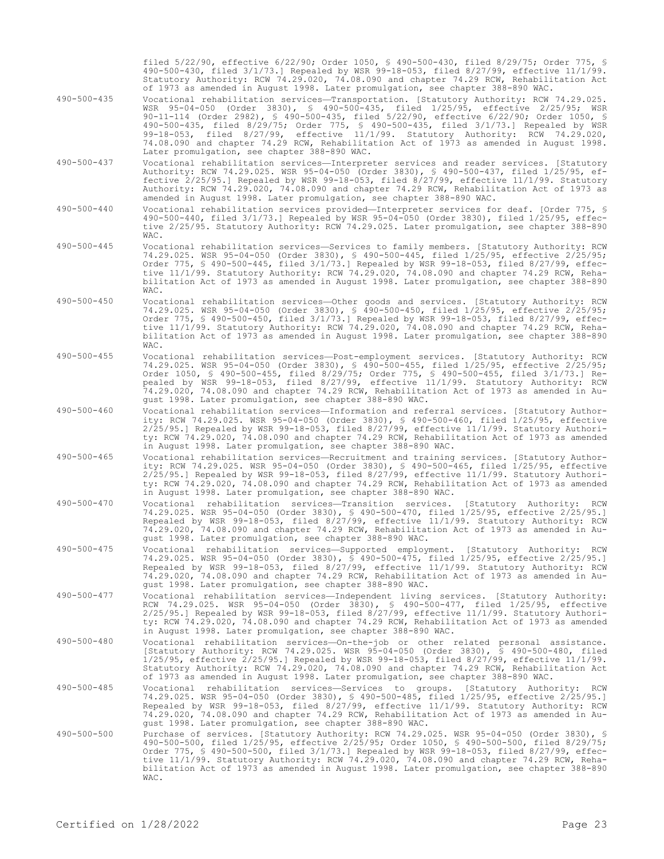filed 5/22/90, effective 6/22/90; Order 1050, § 490-500-430, filed 8/29/75; Order 775, § 490-500-430, filed 3/1/73.] Repealed by WSR 99-18-053, filed 8/27/99, effective 11/1/99. Statutory Authority: RCW 74.29.020, 74.08.090 and chapter 74.29 RCW, Rehabilitation Act of 1973 as amended in August 1998. Later promulgation, see chapter 388-890 WAC.

- 490-500-435 Vocational rehabilitation services—Transportation. [Statutory Authority: RCW 74.29.025. WSR 95-04-050 (Order 3830), § 490-500-435, filed 1/25/95, effective 2/25/95; WSR 90-11-114 (Order 2982), § 490-500-435, filed 5/22/90, effective 6/22/90; Order 1050, § 490-500-435, filed 8/29/75; Order 775, § 490-500-435, filed 3/1/73.] Repealed by WSR 99-18-053, filed 8/27/99, effective 11/1/99. Statutory Authority: RCW 74.29.020, 74.08.090 and chapter 74.29 RCW, Rehabilitation Act of 1973 as amended in August 1998. Later promulgation, see chapter 388-890 WAC.
- 490-500-437 Vocational rehabilitation services—Interpreter services and reader services. [Statutory Authority: RCW 74.29.025. WSR 95-04-050 (Order 3830), § 490-500-437, filed 1/25/95, effective 2/25/95.] Repealed by WSR 99-18-053, filed 8/27/99, effective 11/1/99. Statutory Authority: RCW 74.29.020, 74.08.090 and chapter 74.29 RCW, Rehabilitation Act of 1973 as amended in August 1998. Later promulgation, see chapter 388-890 WAC.
- 490-500-440 Vocational rehabilitation services provided—Interpreter services for deaf. [Order 775, § 490-500-440, filed 3/1/73.] Repealed by WSR 95-04-050 (Order 3830), filed 1/25/95, effective 2/25/95. Statutory Authority: RCW 74.29.025. Later promulgation, see chapter 388-890 WAC.
- 490-500-445 Vocational rehabilitation services—Services to family members. [Statutory Authority: RCW 74.29.025. WSR 95-04-050 (Order 3830), § 490-500-445, filed 1/25/95, effective 2/25/95; Order 775, § 490-500-445, filed 3/1/73.] Repealed by WSR 99-18-053, filed 8/27/99, effective 11/1/99. Statutory Authority: RCW 74.29.020, 74.08.090 and chapter 74.29 RCW, Rehabilitation Act of 1973 as amended in August 1998. Later promulgation, see chapter 388-890 WAC.
- 490-500-450 Vocational rehabilitation services—Other goods and services. [Statutory Authority: RCW 74.29.025. WSR 95-04-050 (Order 3830), § 490-500-450, filed 1/25/95, effective 2/25/95; Order 775, § 490-500-450, filed 3/1/73.] Repealed by WSR 99-18-053, filed 8/27/99, effective 11/1/99. Statutory Authority: RCW 74.29.020, 74.08.090 and chapter 74.29 RCW, Rehabilitation Act of 1973 as amended in August 1998. Later promulgation, see chapter 388-890 WAC.
- 490-500-455 Vocational rehabilitation services—Post-employment services. [Statutory Authority: RCW 74.29.025. WSR 95-04-050 (Order 3830), § 490-500-455, filed 1/25/95, effective 2/25/95; Order 1050, § 490-500-455, filed 8/29/75; Order 775, § 490-500-455, filed 3/1/73.] Repealed by WSR 99-18-053, filed 8/27/99, effective 11/1/99. Statutory Authority: RCW 74.29.020, 74.08.090 and chapter 74.29 RCW, Rehabilitation Act of 1973 as amended in August 1998. Later promulgation, see chapter 388-890 WAC.
- 490-500-460 Vocational rehabilitation services—Information and referral services. [Statutory Authority: RCW 74.29.025. WSR 95-04-050 (Order 3830), § 490-500-460, filed 1/25/95, effective 2/25/95.] Repealed by WSR 99-18-053, filed 8/27/99, effective 11/1/99. Statutory Authority: RCW 74.29.020, 74.08.090 and chapter 74.29 RCW, Rehabilitation Act of 1973 as amended in August 1998. Later promulgation, see chapter 388-890 WAC.
- 490-500-465 Vocational rehabilitation services—Recruitment and training services. [Statutory Authority: RCW 74.29.025. WSR 95-04-050 (Order 3830), § 490-500-465, filed 1/25/95, effective 2/25/95.] Repealed by WSR 99-18-053, filed 8/27/99, effective 11/1/99. Statutory Authority: RCW 74.29.020, 74.08.090 and chapter 74.29 RCW, Rehabilitation Act of 1973 as amended in August 1998. Later promulgation, see chapter 388-890 WAC.<br>Vocational rehabilitation services—Transition services.
- 490-500-470 Vocational rehabilitation services—Transition services. [Statutory Authority: RCW 74.29.025. WSR 95-04-050 (Order 3830), § 490-500-470, filed 1/25/95, effective 2/25/95.] Repealed by WSR 99-18-053, filed 8/27/99, effective 11/1/99. Statutory Authority: RCW 74.29.020, 74.08.090 and chapter 74.29 RCW, Rehabilitation Act of 1973 as amended in August 1998. Later promulgation, see chapter 388-890 WAC.
- 490-500-475 Vocational rehabilitation services—Supported employment. [Statutory Authority: 74.29.025. WSR 95-04-050 (Order 3830), § 490-500-475, filed 1/25/95, effective 2/25/95.] Repealed by WSR 99-18-053, filed 8/27/99, effective 11/1/99. Statutory Authority: RCW 74.29.020, 74.08.090 and chapter 74.29 RCW, Rehabilitation Act of 1973 as amended in August 1998. Later promulgation, see chapter 388-890 WAC.
- 490-500-477 Vocational rehabilitation services—Independent living services. [Statutory Authority: RCW 74.29.025. WSR 95-04-050 (Order 3830), § 490-500-477, filed 1/25/95, effective 2/25/95.] Repealed by WSR 99-18-053, filed 8/27/99, effective 11/1/99. Statutory Authority: RCW 74.29.020, 74.08.090 and chapter 74.29 RCW, Rehabilitation Act of 1973 as amended in August 1998. Later promulgation, see chapter 388-890 WAC.
- 490-500-480 Vocational rehabilitation services—On-the-job or other related personal assistance. [Statutory Authority: RCW 74.29.025. WSR 95-04-050 (Order 3830), § 490-500-480, filed 1/25/95, effective 2/25/95.] Repealed by WSR 99-18-053, filed 8/27/99, effective 11/1/99. Statutory Authority: RCW 74.29.020, 74.08.090 and chapter 74.29 RCW, Rehabilitation Act of 1973 as amended in August 1998. Later promulgation, see chapter 388-890 WAC.
- 490-500-485 Vocational rehabilitation services—Services to groups. [Statutory Authority: RCW 74.29.025. WSR 95-04-050 (Order 3830), § 490-500-485, filed 1/25/95, effective 2/25/95.] Repealed by WSR 99-18-053, filed 8/27/99, effective 11/1/99. Statutory Authority: RCW 74.29.020, 74.08.090 and chapter 74.29 RCW, Rehabilitation Act of 1973 as amended in Au-gust 1998. Later promulgation, see chapter 388-890 WAC.
- 490-500-500 Purchase of services. [Statutory Authority: RCW 74.29.025. WSR 95-04-050 (Order 3830), § 490-500-500, filed 1/25/95, effective 2/25/95; Order 1050, § 490-500-500, filed 8/29/75; Order 775, § 490-500-500, filed 3/1/73.] Repealed by WSR 99-18-053, filed 8/27/99, effective 11/1/99. Statutory Authority: RCW 74.29.020, 74.08.090 and chapter 74.29 RCW, Rehabilitation Act of 1973 as amended in August 1998. Later promulgation, see chapter 388-890 WAC.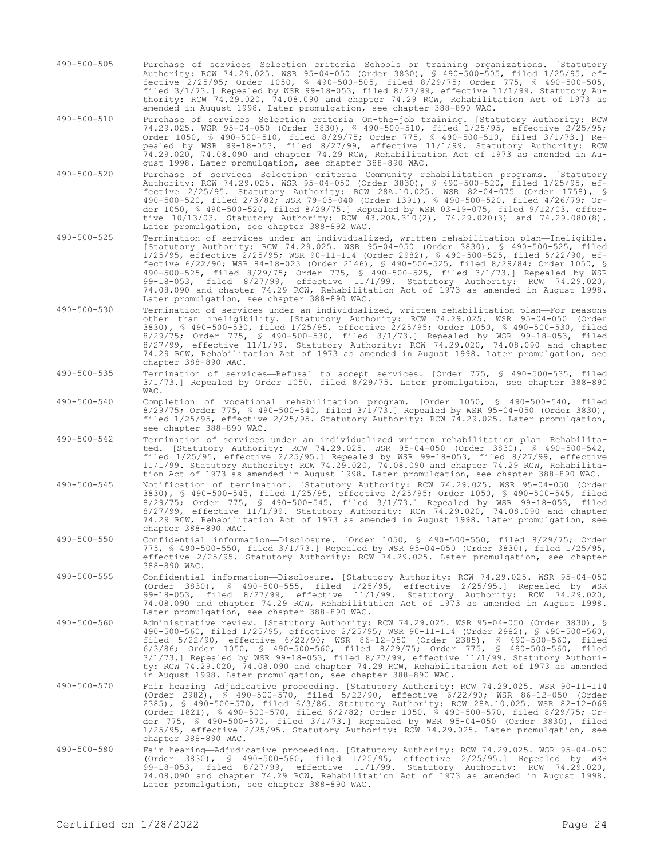490-500-505 Purchase of services—Selection criteria—Schools or training organizations. [Statutory Authority: RCW 74.29.025. WSR 95-04-050 (Order 3830), § 490-500-505, filed 1/25/95, effective 2/25/95; Order 1050, § 490-500-505, filed 8/29/75; Order 775, § 490-500-505, filed 3/1/73.] Repealed by WSR 99-18-053, filed 8/27/99, effective 11/1/99. Statutory Authority: RCW 74.29.020, 74.08.090 and chapter 74.29 RCW, Rehabilitation Act of 1973 as amended in August 1998. Later promulgation, see chapter 388-890 WAC.

490-500-510 Purchase of services—Selection criteria—On-the-job training. [Statutory Authority: RCW 74.29.025. WSR 95-04-050 (Order 3830), § 490-500-510, filed 1/25/95, effective 2/25/95; Order 1050, § 490-500-510, filed 8/29/75; Order 775, § 490-500-510, filed 3/1/73.] Repealed by WSR 99-18-053, filed 8/27/99, effective 11/1/99. Statutory Authority: RCW 74.29.020, 74.08.090 and chapter 74.29 RCW, Rehabilitation Act of 1973 as amended in August 1998. Later promulgation, see chapter 388-890 WAC.

- 490-500-520 Purchase of services—Selection criteria—Community rehabilitation programs. [Statutory Authority: RCW 74.29.025. WSR 95-04-050 (Order 3830), § 490-500-520, filed 1/25/95, effective 2/25/95. Statutory Authority: RCW 28A.10.025. WSR 82-04-075 (Order 1758), § 490-500-520, filed 2/3/82; WSR 79-05-040 (Order 1391), § 490-500-520, filed 4/26/79; Order 1050, § 490-500-520, filed 8/29/75.] Repealed by WSR 03-19-075, filed 9/12/03, effective 10/13/03. Statutory Authority: RCW 43.20A.310(2), 74.29.020(3) and 74.29.080(8). Later promulgation, see chapter 388-892 WAC.
- 490-500-525 Termination of services under an individualized, written rehabilitation plan—Ineligible. [Statutory Authority: RCW 74.29.025. WSR 95-04-050 (Order 3830), § 490-500-525, filed 1/25/95, effective 2/25/95; WSR 90-11-114 (Order 2982), § 490-500-525, filed 5/22/90, effective 6/22/90; WSR 84-18-023 (Order 2146), § 490-500-525, filed 8/29/84; Order 1050, § 490-500-525, filed 8/29/75; Order 775, § 490-500-525, filed 3/1/73.] Repealed by WSR 99-18-053, filed 8/27/99, effective 11/1/99. Statutory Authority: RCW 74.29.020, 74.08.090 and chapter 74.29 RCW, Rehabilitation Act of 1973 as amended in August 1998. Later promulgation, see chapter 388-890 WAC.
- 490-500-530 Termination of services under an individualized, written rehabilitation plan—For reasons other than ineligibility. [Statutory Authority: RCW 74.29.025. WSR 95-04-050 (Order 3830), § 490-500-530, filed 1/25/95, effective 2/25/95; Order 1050, § 490-500-530, filed 8/29/75; Order 775, § 490-500-530, filed 3/1/73.] Repealed by WSR 99-18-053, filed 8/27/99, effective 11/1/99. Statutory Authority: RCW 74.29.020, 74.08.090 and chapter 74.29 RCW, Rehabilitation Act of 1973 as amended in August 1998. Later promulgation, see chapter 388-890 WAC.

#### 490-500-535 Termination of services—Refusal to accept services. [Order 775, § 490-500-535, filed 3/1/73.] Repealed by Order 1050, filed 8/29/75. Later promulgation, see chapter 388-890 WAC.

- 490-500-540 Completion of vocational rehabilitation program. [Order 1050, § 490-500-540, filed 8/29/75; Order 775, § 490-500-540, filed 3/1/73.] Repealed by WSR 95-04-050 (Order 3830), filed 1/25/95, effective 2/25/95. Statutory Authority: RCW 74.29.025. Later promulgation, see chapter 388-890 WAC.
- 490-500-542 Termination of services under an individualized written rehabilitation plan—Rehabilitated. [Statutory Authority: RCW 74.29.025. WSR 95-04-050 (Order 3830), § 490-500-542, filed 1/25/95, effective 2/25/95.] Repealed by WSR 99-18-053, filed 8/27/99, effective 11/1/99. Statutory Authority: RCW 74.29.020, 74.08.090 and chapter 74.29 RCW, Rehabilitation Act of 1973 as amended in August 1998. Later promulgation, see chapter 388-890 WAC.
- 490-500-545 Notification of termination. [Statutory Authority: RCW 74.29.025. WSR 95-04-050 (Order 3830), § 490-500-545, filed 1/25/95, effective 2/25/95; Order 1050, § 490-500-545, filed 8/29/75; Order 775, § 490-500-545, filed 3/1/73.] Repealed by WSR 99-18-053, filed 8/27/99, effective 11/1/99. Statutory Authority: RCW 74.29.020, 74.08.090 and chapter 74.29 RCW, Rehabilitation Act of 1973 as amended in August 1998. Later promulgation, see chapter 388-890 WAC.
- 490-500-550 Confidential information—Disclosure. [Order 1050, § 490-500-550, filed 8/29/75; Order 775, § 490-500-550, filed 3/1/73.] Repealed by WSR 95-04-050 (Order 3830), filed 1/25/95, effective 2/25/95. Statutory Authority: RCW 74.29.025. Later promulgation, see chapter 388-890 WAC.
- 490-500-555 Confidential information—Disclosure. [Statutory Authority: RCW 74.29.025. WSR 95-04-050 (Order 3830), § 490-500-555, filed 1/25/95, effective 2/25/95.] Repealed by WSR 99-18-053, filed 8/27/99, effective 11/1/99. Statutory Authority: RCW 74.29.020, 74.08.090 and chapter 74.29 RCW, Rehabilitation Act of 1973 as amended in August 1998. Later promulgation, see chapter 388-890 WAC.
- 490-500-560 Administrative review. [Statutory Authority: RCW 74.29.025. WSR 95-04-050 (Order 3830), § 490-500-560, filed 1/25/95, effective 2/25/95; WSR 90-11-114 (Order 2982), § 490-500-560, filed 5/22/90, effective 6/22/90; WSR 86-12-050 (Order 2385), § 490-500-560, filed 6/3/86; Order 1050, § 490-500-560, filed 8/29/75; Order 775, § 490-500-560, filed 3/1/73.] Repealed by WSR 99-18-053, filed 8/27/99, effective 11/1/99. Statutory Authority: RCW 74.29.020, 74.08.090 and chapter 74.29 RCW, Rehabilitation Act of 1973 as amended in August 1998. Later promulgation, see chapter 388-890 WAC.
- 490-500-570 Fair hearing—Adjudicative proceeding. [Statutory Authority: RCW 74.29.025. WSR 90-11-114 (Order 2982), § 490-500-570, filed 5/22/90, effective 6/22/90; WSR 86-12-050 (Order 2385), § 490-500-570, filed 6/3/86. Statutory Authority: RCW 28A.10.025. WSR 82-12-069 (Order 1821), § 490-500-570, filed 6/2/82; Order 1050, § 490-500-570, filed 8/29/75; Order 775, § 490-500-570, filed 3/1/73.] Repealed by WSR 95-04-050 (Order 3830), filed 1/25/95, effective 2/25/95. Statutory Authority: RCW 74.29.025. Later promulgation, see chapter 388-890 WAC.
- 490-500-580 Fair hearing—Adjudicative proceeding. [Statutory Authority: RCW 74.29.025. WSR 95-04-050 (Order 3830), § 490-500-580, filed 1/25/95, effective 2/25/95.] Repealed by WSR 99-18-053, filed 8/27/99, effective 11/1/99. Statutory Authority: RCW 74.29.020, 74.08.090 and chapter 74.29 RCW, Rehabilitation Act of 1973 as amended in August 1998. Later promulgation, see chapter 388-890 WAC.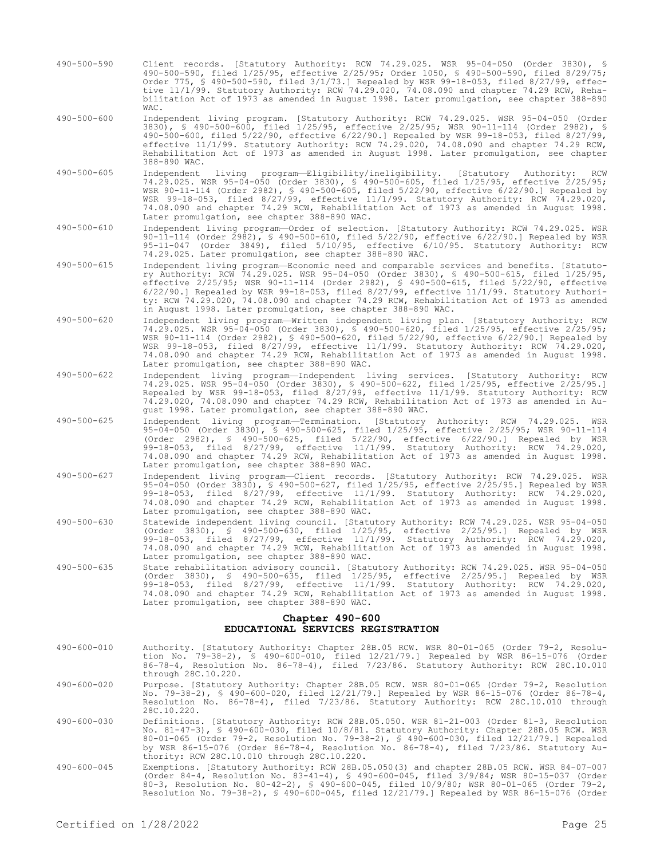- 490-500-590 Client records. [Statutory Authority: RCW 74.29.025. WSR 95-04-050 (Order 3830), § 490-500-590, filed 1/25/95, effective 2/25/95; Order 1050, § 490-500-590, filed 8/29/75; Order 775, § 490-500-590, filed 3/1/73.] Repealed by WSR 99-18-053, filed 8/27/99, effective 11/1/99. Statutory Authority: RCW 74.29.020, 74.08.090 and chapter 74.29 RCW, Rehabilitation Act of 1973 as amended in August 1998. Later promulgation, see chapter 388-890 WAC.
- 490-500-600 Independent living program. [Statutory Authority: RCW 74.29.025. WSR 95-04-050 (Order 3830), § 490-500-600, filed 1/25/95, effective 2/25/95; WSR 90-11-114 (Order 2982), § 490-500-600, filed 5/22/90, effective 6/22/90.] Repealed by WSR 99-18-053, filed 8/27/99, effective 11/1/99. Statutory Authority: RCW 74.29.020, 74.08.090 and chapter 74.29 RCW, Rehabilitation Act of 1973 as amended in August 1998. Later promulgation, see chapter 388-890 WAC.
- 490-500-605 Independent living program—Eligibility/ineligibility. [Statutory Authority: RCW 74.29.025. WSR 95-04-050 (Order 3830), § 490-500-605, filed 1/25/95, effective 2/25/95; WSR 90-11-114 (Order 2982), § 490-500-605, filed 5/22/90, effective 6/22/90.] Repealed by WSR 99-18-053, filed 8/27/99, effective 11/1/99. Statutory Authority: RCW 74.29.020, 74.08.090 and chapter 74.29 RCW, Rehabilitation Act of 1973 as amended in August 1998. Later promulgation, see chapter 388-890 WAC.
- 490-500-610 Independent living program—Order of selection. [Statutory Authority: RCW 74.29.025. WSR 90-11-114 (Order 2982), § 490-500-610, filed 5/22/90, effective 6/22/90.] Repealed by WSR 95-11-047 (Order 3849), filed 5/10/95, effective 6/10/95. Statutory Authority: RCW 74.29.025. Later promulgation, see chapter 388-890 WAC.
- 490-500-615 Independent living program—Economic need and comparable services and benefits. [Statutory Authority: RCW 74.29.025. WSR 95-04-050 (Order 3830), § 490-500-615, filed 1/25/95, effective 2/25/95; WSR 90-11-114 (Order 2982), § 490-500-615, filed 5/22/90, effective 6/22/90.] Repealed by WSR 99-18-053, filed 8/27/99, effective 11/1/99. Statutory Authority: RCW 74.29.020, 74.08.090 and chapter 74.29 RCW, Rehabilitation Act of 1973 as amended in August 1998. Later promulgation, see chapter 388-890 WAC.
- 490-500-620 Independent living program—Written independent living plan. [Statutory Authority: RCW 74.29.025. WSR 95-04-050 (Order 3830), § 490-500-620, filed 1/25/95, effective 2/25/95; WSR 90-11-114 (Order 2982), § 490-500-620, filed 5/22/90, effective 6/22/90.] Repealed by WSR 99-18-053, filed 8/27/99, effective 11/1/99. Statutory Authority: RCW 74.29.020, 74.08.090 and chapter 74.29 RCW, Rehabilitation Act of 1973 as amended in August 1998. Later promulgation, see chapter 388-890 WAC.
- 490-500-622 Independent living program—Independent living services. [Statutory Authority: RCW 74.29.025. WSR 95-04-050 (Order 3830), § 490-500-622, filed 1/25/95, effective 2/25/95.] Repealed by WSR 99-18-053, filed 8/27/99, effective 11/1/99. Statutory Authority: RCW 74.29.020, 74.08.090 and chapter 74.29 RCW, Rehabilitation Act of 1973 as amended in August 1998. Later promulgation, see chapter 388-890 WAC.
- 490-500-625 Independent living program—Termination. [Statutory Authority: RCW 74.29.025. WSR 95-04-050 (Order 3830), § 490-500-625, filed 1/25/95, effective 2/25/95; WSR 90-11-114 (Order 2982), § 490-500-625, filed 5/22/90, effective 6/22/90.] Repealed by WSR 99-18-053, filed 8/27/99, effective 11/1/99. Statutory Authority: RCW 74.29.020, 74.08.090 and chapter 74.29 RCW, Rehabilitation Act of 1973 as amended in August 1998. Later promulgation, see chapter 388-890 WAC.
- 490-500-627 Independent living program—Client records. [Statutory Authority: RCW 74.29.025. WSR 95-04-050 (Order 3830), § 490-500-627, filed 1/25/95, effective 2/25/95.] Repealed by WSR 99-18-053, filed 8/27/99, effective 11/1/99. Statutory Authority: RCW 74.29.020, 74.08.090 and chapter 74.29 RCW, Rehabilitation Act of 1973 as amended in August 1998. Later promulgation, see chapter 388-890 WAC.
- 490-500-630 Statewide independent living council. [Statutory Authority: RCW 74.29.025. WSR 95-04-050 (Order 3830), § 490-500-630, filed 1/25/95, effective 2/25/95.] Repealed by WSR 99-18-053, filed 8/27/99, effective 11/1/99. Statutory Authority: RCW 74.29.020, 74.08.090 and chapter 74.29 RCW, Rehabilitation Act of 1973 as amended in August 1998. Later promulgation, see chapter 388-890 WAC.
- 490-500-635 State rehabilitation advisory council. [Statutory Authority: RCW 74.29.025. WSR 95-04-050 (Order 3830), § 490-500-635, filed 1/25/95, effective 2/25/95.] Repealed by WSR 99-18-053, filed 8/27/99, effective 11/1/99. Statutory Authority: RCW 74.29.020, 74.08.090 and chapter 74.29 RCW, Rehabilitation Act of 1973 as amended in August 1998. Later promulgation, see chapter 388-890 WAC.

## **Chapter 490-600 EDUCATIONAL SERVICES REGISTRATION**

- 490-600-010 Authority. [Statutory Authority: Chapter 28B.05 RCW. WSR 80-01-065 (Order 79-2, Resolution No. 79-38-2), § 490-600-010, filed 12/21/79.] Repealed by WSR 86-15-076 (Order 86-78-4, Resolution No. 86-78-4), filed 7/23/86. Statutory Authority: RCW 28C.10.010 through 28C.10.220.
- 490-600-020 Purpose. [Statutory Authority: Chapter 28B.05 RCW. WSR 80-01-065 (Order 79-2, Resolution No. 79-38-2), § 490-600-020, filed 12/21/79.] Repealed by WSR 86-15-076 (Order 86-78-4, Resolution No. 86-78-4), filed 7/23/86. Statutory Authority: RCW 28C.10.010 through 28C.10.220.
- 490-600-030 Definitions. [Statutory Authority: RCW 28B.05.050. WSR 81-21-003 (Order 81-3, Resolution No. 81-47-3), § 490-600-030, filed 10/8/81. Statutory Authority: Chapter 28B.05 RCW. WSR 80-01-065 (Order 79-2, Resolution No. 79-38-2), § 490-600-030, filed 12/21/79.] Repealed by WSR 86-15-076 (Order 86-78-4, Resolution No. 86-78-4), filed 7/23/86. Statutory Authority: RCW 28C.10.010 through 28C.10.220.
- 490-600-045 Exemptions. [Statutory Authority: RCW 28B.05.050(3) and chapter 28B.05 RCW. WSR 84-07-007 (Order 84-4, Resolution No. 83-41-4), § 490-600-045, filed 3/9/84; WSR 80-15-037 (Order 80-3, Resolution No. 80-42-2), § 490-600-045, filed 10/9/80; WSR 80-01-065 (Order 79-2, Resolution No. 79-38-2), § 490-600-045, filed 12/21/79.] Repealed by WSR 86-15-076 (Order